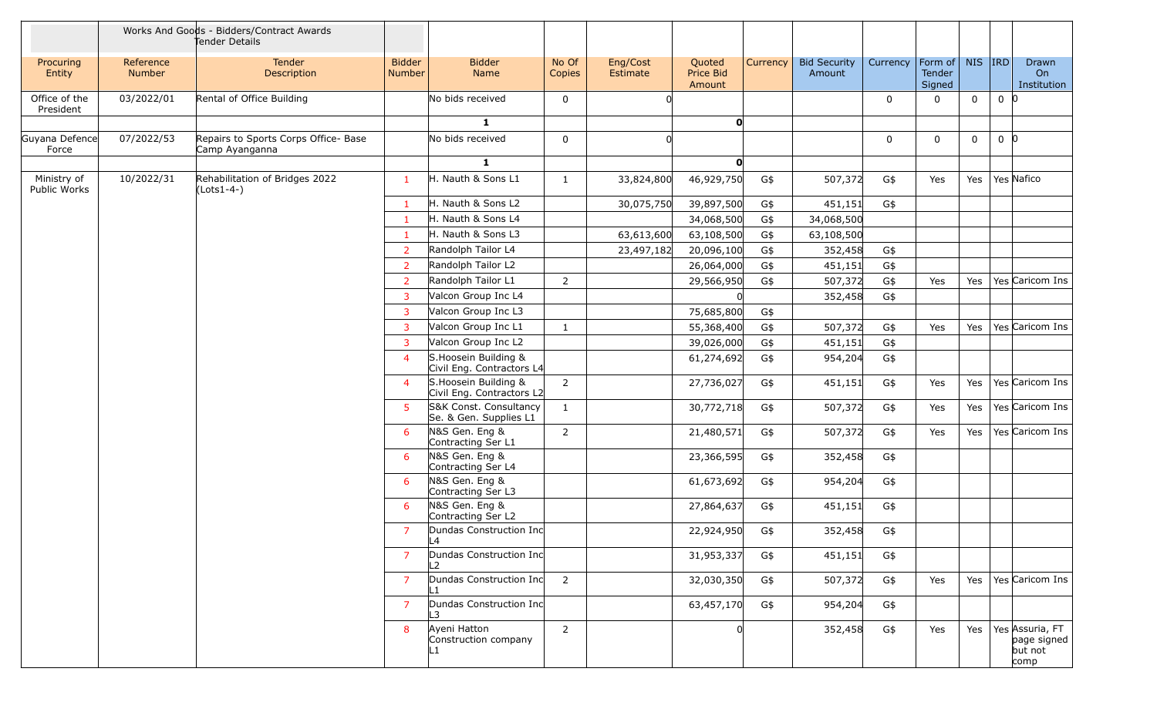|                             |                            | Works And Goods - Bidders/Contract Awards<br>Tender Details |                                |                                                    |                 |                      |                               |          |                               |          |                             |             |                |                                                   |
|-----------------------------|----------------------------|-------------------------------------------------------------|--------------------------------|----------------------------------------------------|-----------------|----------------------|-------------------------------|----------|-------------------------------|----------|-----------------------------|-------------|----------------|---------------------------------------------------|
| Procuring<br>Entity         | Reference<br><b>Number</b> | Tender<br>Description                                       | <b>Bidder</b><br><b>Number</b> | <b>Bidder</b><br>Name                              | No Of<br>Copies | Eng/Cost<br>Estimate | Quoted<br>Price Bid<br>Amount | Currency | <b>Bid Security</b><br>Amount | Currency | Form of<br>Tender<br>Signed | NIS RD      |                | Drawn<br>On<br>Institution                        |
| Office of the<br>President  | 03/2022/01                 | Rental of Office Building                                   |                                | No bids received                                   | $\mathbf 0$     |                      |                               |          |                               | 0        |                             | 0           | 0 <sup>0</sup> |                                                   |
|                             |                            |                                                             |                                | $\mathbf{1}$                                       |                 |                      | 0                             |          |                               |          |                             |             |                |                                                   |
| Guyana Defence<br>Force     | 07/2022/53                 | Repairs to Sports Corps Office- Base<br>Camp Ayanganna      |                                | No bids received                                   | 0               |                      |                               |          |                               | 0        | $\Omega$                    | $\mathbf 0$ | 0 <sub>0</sub> |                                                   |
|                             |                            |                                                             |                                | $\mathbf{1}$                                       |                 |                      | $\mathbf{0}$                  |          |                               |          |                             |             |                |                                                   |
| Ministry of<br>Public Works | 10/2022/31                 | Rehabilitation of Bridges 2022<br>(Lots1-4-)                | $\mathbf{1}$                   | H. Nauth & Sons L1                                 | 1               | 33,824,800           | 46,929,750                    | G\$      | 507,372                       | G\$      | Yes                         | Yes         |                | Yes Nafico                                        |
|                             |                            |                                                             | $\mathbf{1}$                   | H. Nauth & Sons L2                                 |                 | 30,075,750           | 39,897,500                    | G\$      | 451,151                       | G\$      |                             |             |                |                                                   |
|                             |                            |                                                             | $\mathbf{1}$                   | H. Nauth & Sons L4                                 |                 |                      | 34,068,500                    | G\$      | 34,068,500                    |          |                             |             |                |                                                   |
|                             |                            |                                                             | $\mathbf{1}$                   | H. Nauth & Sons L3                                 |                 | 63,613,600           | 63,108,500                    | G\$      | 63,108,500                    |          |                             |             |                |                                                   |
|                             |                            |                                                             | $\overline{2}$                 | Randolph Tailor L4                                 |                 | 23,497,182           | 20,096,100                    | G\$      | 352,458                       | G\$      |                             |             |                |                                                   |
|                             |                            |                                                             | $\overline{2}$                 | Randolph Tailor L2                                 |                 |                      | 26,064,000                    | G\$      | 451,151                       | G\$      |                             |             |                |                                                   |
|                             |                            |                                                             | $\overline{2}$                 | Randolph Tailor L1                                 | $\overline{2}$  |                      | 29,566,950                    | G\$      | 507,372                       | $G\$     | Yes                         | Yes         |                | Yes Caricom Ins                                   |
|                             |                            |                                                             | $\overline{3}$                 | Valcon Group Inc L4                                |                 |                      |                               |          | 352,458                       | G\$      |                             |             |                |                                                   |
|                             |                            |                                                             | 3                              | Valcon Group Inc L3                                |                 |                      | 75,685,800                    | G\$      |                               |          |                             |             |                |                                                   |
|                             |                            |                                                             | $\overline{3}$                 | Valcon Group Inc L1                                | 1               |                      | 55,368,400                    | G\$      | 507,372                       | $G\$     | Yes                         | Yes         |                | Yes Caricom Ins                                   |
|                             |                            |                                                             | 3                              | Valcon Group Inc L2                                |                 |                      | 39,026,000                    | G\$      | 451,151                       | G\$      |                             |             |                |                                                   |
|                             |                            |                                                             | $\overline{4}$                 | S. Hoosein Building &<br>Civil Eng. Contractors L4 |                 |                      | 61,274,692                    | G\$      | 954,204                       | G\$      |                             |             |                |                                                   |
|                             |                            |                                                             | $\overline{4}$                 | S. Hoosein Building &<br>Civil Eng. Contractors L2 | $\overline{2}$  |                      | 27,736,027                    | G\$      | 451,151                       | G\$      | Yes                         | Yes         |                | Yes Caricom Ins                                   |
|                             |                            |                                                             | 5                              | S&K Const. Consultancy<br>Se. & Gen. Supplies L1   | $\mathbf{1}$    |                      | 30,772,718                    | G\$      | 507,372                       | G\$      | Yes                         | Yes         |                | Yes Caricom Ins                                   |
|                             |                            |                                                             | 6                              | N&S Gen. Eng &<br>Contracting Ser L1               | $\overline{2}$  |                      | 21,480,571                    | G\$      | 507,372                       | G\$      | Yes                         | Yes         |                | Yes Caricom Ins                                   |
|                             |                            |                                                             | 6                              | N&S Gen. Eng &<br>Contracting Ser L4               |                 |                      | 23,366,595                    | G\$      | 352,458                       | G\$      |                             |             |                |                                                   |
|                             |                            |                                                             | 6                              | N&S Gen. Eng &<br>Contracting Ser L3               |                 |                      | 61,673,692                    | G\$      | 954,204                       | G\$      |                             |             |                |                                                   |
|                             |                            |                                                             | 6                              | N&S Gen. Eng &<br>Contracting Ser L2               |                 |                      | 27,864,637                    | G\$      | 451,151                       | G\$      |                             |             |                |                                                   |
|                             |                            |                                                             | $\overline{7}$                 | Dundas Construction Inc<br>L4                      |                 |                      | 22,924,950                    | G\$      | 352,458                       | G\$      |                             |             |                |                                                   |
|                             |                            |                                                             | $\overline{7}$                 | Dundas Construction Inc<br>L2                      |                 |                      | 31,953,337                    | G\$      | 451,151                       | G\$      |                             |             |                |                                                   |
|                             |                            |                                                             | $\overline{7}$                 | Dundas Construction Inc                            | 2               |                      | 32,030,350                    | G\$      | 507,372                       | G\$      | Yes                         | Yes         |                | Yes Caricom Ins                                   |
|                             |                            |                                                             | $\overline{7}$                 | Dundas Construction Inc<br>L3                      |                 |                      | 63,457,170                    | G\$      | 954,204                       | G\$      |                             |             |                |                                                   |
|                             |                            |                                                             | 8                              | Ayeni Hatton<br>Construction company<br>ll 1       | $\overline{2}$  |                      |                               |          | 352,458                       | G\$      | Yes                         | Yes         |                | Yes Assuria, FT<br>page signed<br>but not<br>comp |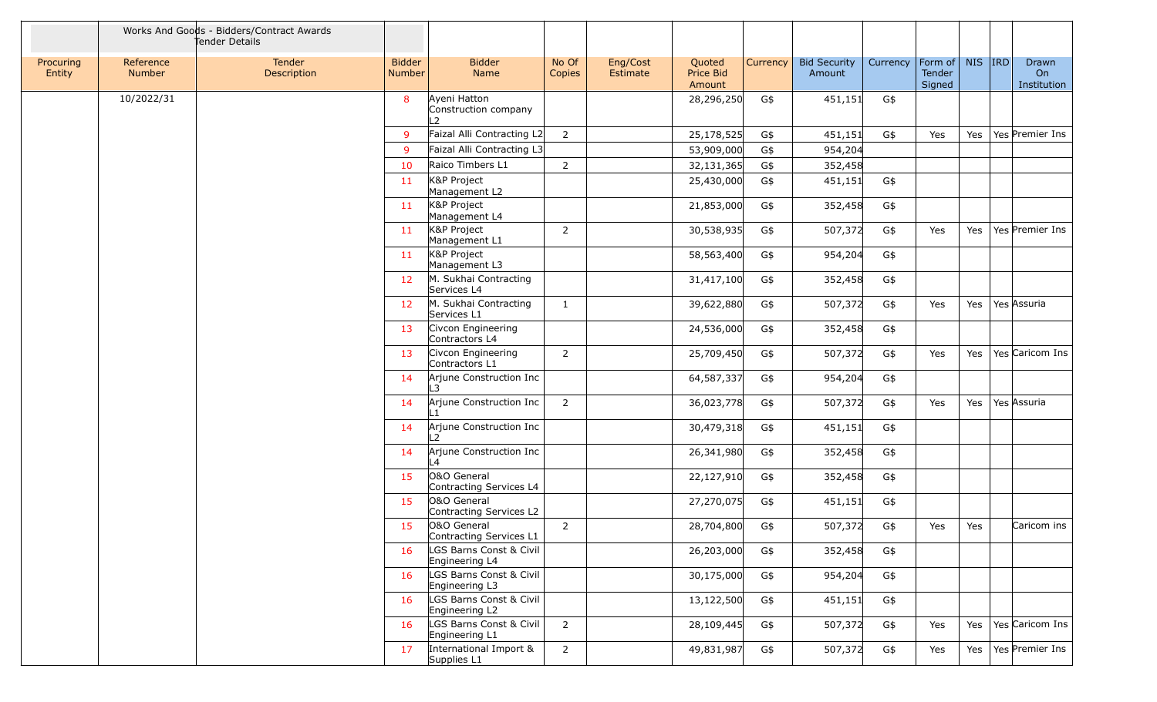|                     |                            | Works And Goods - Bidders/Contract Awards<br>Tender Details |                                |                                                       |                 |                      |                               |          |                               |          |                             |           |                            |
|---------------------|----------------------------|-------------------------------------------------------------|--------------------------------|-------------------------------------------------------|-----------------|----------------------|-------------------------------|----------|-------------------------------|----------|-----------------------------|-----------|----------------------------|
| Procuring<br>Entity | Reference<br><b>Number</b> | Tender<br>Description                                       | <b>Bidder</b><br><b>Number</b> | <b>Bidder</b><br>Name                                 | No Of<br>Copies | Eng/Cost<br>Estimate | Quoted<br>Price Bid<br>Amount | Currency | <b>Bid Security</b><br>Amount | Currency | Form of<br>Tender<br>Signed | $NIS$ IRD | Drawn<br>On<br>Institution |
|                     | 10/2022/31                 |                                                             | 8                              | Ayeni Hatton<br>Construction company<br>$\mathcal{L}$ |                 |                      | 28,296,250                    | G\$      | 451,151                       | G\$      |                             |           |                            |
|                     |                            |                                                             | 9                              | Faizal Alli Contracting L2                            | $\overline{2}$  |                      | 25,178,525                    | G\$      | 451,151                       | G\$      | Yes                         | Yes       | Yes Premier Ins            |
|                     |                            |                                                             | 9                              | Faizal Alli Contracting L3                            |                 |                      | 53,909,000                    | G\$      | 954,204                       |          |                             |           |                            |
|                     |                            |                                                             | 10                             | Raico Timbers L1                                      | $\overline{2}$  |                      | 32,131,365                    | G\$      | 352,458                       |          |                             |           |                            |
|                     |                            |                                                             | 11                             | K&P Project<br>Management L2                          |                 |                      | 25,430,000                    | G\$      | 451,151                       | G\$      |                             |           |                            |
|                     |                            |                                                             | 11                             | K&P Project<br>Management L4                          |                 |                      | 21,853,000                    | G\$      | 352,458                       | G\$      |                             |           |                            |
|                     |                            |                                                             | 11                             | K&P Project<br>Management L1                          | $\overline{2}$  |                      | 30,538,935                    | G\$      | 507,372                       | G\$      | Yes                         | Yes       | Yes Premier Ins            |
|                     |                            |                                                             | 11                             | K&P Project<br>Management L3                          |                 |                      | 58,563,400                    | G\$      | 954,204                       | G\$      |                             |           |                            |
|                     |                            |                                                             | 12                             | M. Sukhai Contracting<br>Services L4                  |                 |                      | 31,417,100                    | G\$      | 352,458                       | G\$      |                             |           |                            |
|                     |                            |                                                             | 12                             | M. Sukhai Contracting<br>Services L1                  | $\mathbf{1}$    |                      | 39,622,880                    | G\$      | 507,372                       | G\$      | Yes                         | Yes       | Yes Assuria                |
|                     |                            |                                                             | 13                             | Civcon Engineering<br>Contractors L4                  |                 |                      | 24,536,000                    | G\$      | 352,458                       | G\$      |                             |           |                            |
|                     |                            |                                                             | 13                             | Civcon Engineering<br>Contractors L1                  | $\overline{2}$  |                      | 25,709,450                    | G\$      | 507,372                       | G\$      | Yes                         | Yes       | Yes Caricom Ins            |
|                     |                            |                                                             | 14                             | Arjune Construction Inc<br>3                          |                 |                      | 64,587,337                    | G\$      | 954,204                       | G\$      |                             |           |                            |
|                     |                            |                                                             | 14                             | Arjune Construction Inc                               | $\overline{2}$  |                      | 36,023,778                    | G\$      | 507,372                       | G\$      | Yes                         | Yes       | Yes Assuria                |
|                     |                            |                                                             | 14                             | Arjune Construction Inc                               |                 |                      | 30,479,318                    | G\$      | 451,151                       | G\$      |                             |           |                            |
|                     |                            |                                                             | 14                             | Arjune Construction Inc<br>$\overline{4}$             |                 |                      | 26,341,980                    | G\$      | 352,458                       | G\$      |                             |           |                            |
|                     |                            |                                                             | 15                             | O&O General<br>Contracting Services L4                |                 |                      | 22,127,910                    | G\$      | 352,458                       | G\$      |                             |           |                            |
|                     |                            |                                                             | 15                             | O&O General<br>Contracting Services L2                |                 |                      | 27,270,075                    | G\$      | 451,151                       | G\$      |                             |           |                            |
|                     |                            |                                                             | 15                             | O&O General<br>Contracting Services L1                | $\overline{2}$  |                      | 28,704,800                    | G\$      | 507,372                       | G\$      | Yes                         | Yes       | Caricom ins                |
|                     |                            |                                                             | 16                             | LGS Barns Const & Civil<br>Engineering L4             |                 |                      | 26,203,000                    | G\$      | 352,458                       | G\$      |                             |           |                            |
|                     |                            |                                                             | 16                             | LGS Barns Const & Civil<br>Engineering L3             |                 |                      | 30,175,000                    | G\$      | 954,204                       | G\$      |                             |           |                            |
|                     |                            |                                                             | 16                             | LGS Barns Const & Civil<br>Engineering L2             |                 |                      | 13,122,500                    | G\$      | 451,151                       | G\$      |                             |           |                            |
|                     |                            |                                                             | 16                             | LGS Barns Const & Civil<br>Engineering L1             | $\overline{2}$  |                      | 28,109,445                    | G\$      | 507,372                       | G\$      | Yes                         | Yes       | Yes Caricom Ins            |
|                     |                            |                                                             | 17                             | International Import &<br>Supplies L1                 | $\overline{2}$  |                      | 49,831,987                    | G\$      | 507,372                       | G\$      | Yes                         | Yes       | Yes Premier Ins            |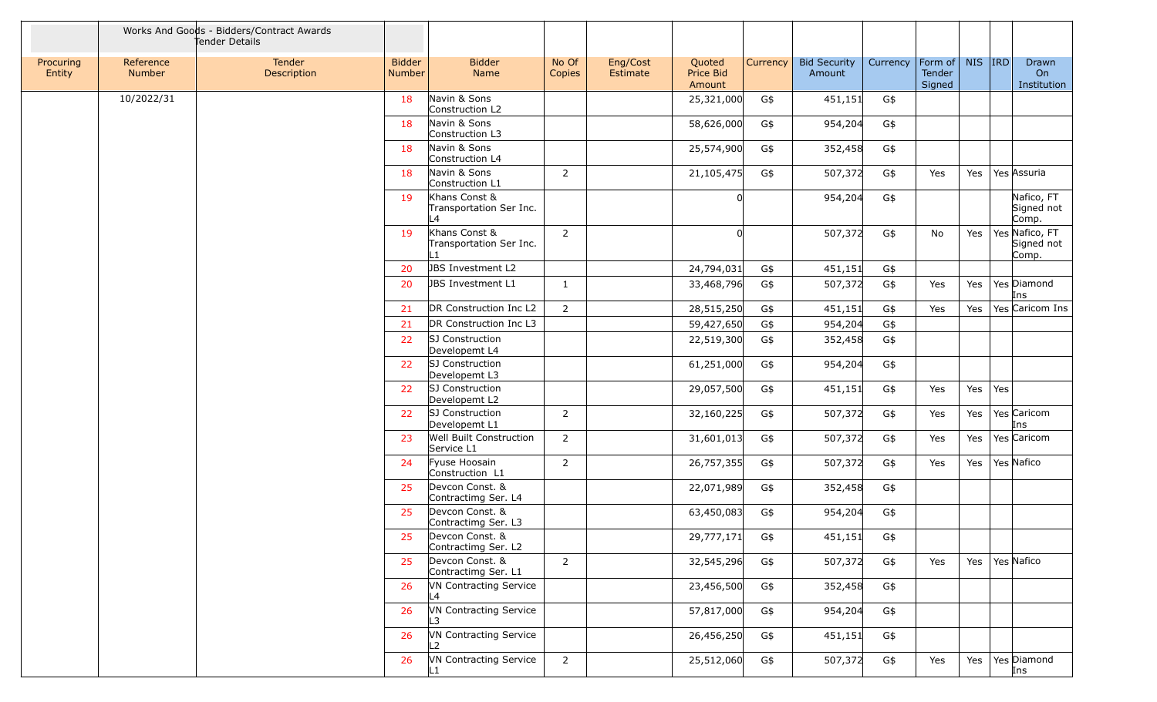|                     |                     | Works And Goods - Bidders/Contract Awards<br>Tender Details |                                |                                                            |                 |                             |                               |          |                               |          |                             |         |     |                                       |
|---------------------|---------------------|-------------------------------------------------------------|--------------------------------|------------------------------------------------------------|-----------------|-----------------------------|-------------------------------|----------|-------------------------------|----------|-----------------------------|---------|-----|---------------------------------------|
| Procuring<br>Entity | Reference<br>Number | Tender<br>Description                                       | <b>Bidder</b><br><b>Number</b> | <b>Bidder</b><br>Name                                      | No Of<br>Copies | Eng/Cost<br><b>Estimate</b> | Quoted<br>Price Bid<br>Amount | Currency | <b>Bid Security</b><br>Amount | Currency | Form of<br>Tender<br>Signed | NIS IRD |     | Drawn<br>On<br>Institution            |
|                     | 10/2022/31          |                                                             | 18                             | Navin & Sons<br>Construction L2                            |                 |                             | 25,321,000                    | G\$      | 451,151                       | G\$      |                             |         |     |                                       |
|                     |                     |                                                             | -18                            | Navin & Sons<br>Construction L3                            |                 |                             | 58,626,000                    | G\$      | 954,204                       | G\$      |                             |         |     |                                       |
|                     |                     |                                                             | 18                             | Navin & Sons<br>Construction L4                            |                 |                             | 25,574,900                    | G\$      | 352,458                       | G\$      |                             |         |     |                                       |
|                     |                     |                                                             | 18                             | Navin & Sons<br>Construction L1                            | 2               |                             | 21,105,475                    | G\$      | 507,372                       | G\$      | Yes                         | Yes     |     | Yes Assuria                           |
|                     |                     |                                                             | 19                             | Khans Const &<br>Transportation Ser Inc.<br>$-4$           |                 |                             |                               |          | 954,204                       | G\$      |                             |         |     | Nafico, FT<br>Signed not<br>Comp.     |
|                     |                     |                                                             | 19                             | Khans Const &<br>Transportation Ser Inc.<br>$\overline{1}$ | 2               |                             |                               |          | 507,372                       | G\$      | No                          | Yes     |     | Yes Nafico, FT<br>Signed not<br>Comp. |
|                     |                     |                                                             | 20                             | JBS Investment L2                                          |                 |                             | 24,794,031                    | G\$      | 451,151                       | G\$      |                             |         |     |                                       |
|                     |                     |                                                             | 20                             | JBS Investment L1                                          | 1               |                             | 33,468,796                    | G\$      | 507,372                       | G\$      | Yes                         | Yes     |     | Yes Diamond<br>Ins                    |
|                     |                     |                                                             | 21                             | DR Construction Inc L2                                     | 2               |                             | 28,515,250                    | G\$      | 451,151                       | G\$      | Yes                         | Yes     |     | Yes Caricom Ins                       |
|                     |                     |                                                             | 21                             | DR Construction Inc L3                                     |                 |                             | 59,427,650                    | G\$      | 954,204                       | G\$      |                             |         |     |                                       |
|                     |                     |                                                             | 22                             | SJ Construction<br>Developemt L4                           |                 |                             | 22,519,300                    | G\$      | 352,458                       | G\$      |                             |         |     |                                       |
|                     |                     |                                                             | 22                             | SJ Construction<br>Developemt L3                           |                 |                             | 61,251,000                    | G\$      | 954,204                       | G\$      |                             |         |     |                                       |
|                     |                     |                                                             | 22                             | SJ Construction<br>Developemt L2                           |                 |                             | 29,057,500                    | G\$      | 451,151                       | G\$      | Yes                         | Yes     | Yes |                                       |
|                     |                     |                                                             | 22                             | SJ Construction<br>Developemt L1                           | 2               |                             | 32,160,225                    | G\$      | 507,372                       | G\$      | Yes                         | Yes     |     | Yes Caricom<br>Ins                    |
|                     |                     |                                                             | 23                             | Well Built Construction<br>Service L1                      | $\overline{2}$  |                             | 31,601,013                    | G\$      | 507,372                       | G\$      | Yes                         | Yes     |     | Yes Caricom                           |
|                     |                     |                                                             | 24                             | Fyuse Hoosain<br>Construction L1                           | 2               |                             | 26,757,355                    | G\$      | 507,372                       | G\$      | Yes                         | Yes     |     | Yes Nafico                            |
|                     |                     |                                                             | 25                             | Devcon Const. &<br>Contractimg Ser. L4                     |                 |                             | 22,071,989                    | G\$      | 352,458                       | G\$      |                             |         |     |                                       |
|                     |                     |                                                             | 25                             | Devcon Const. &<br>Contractimg Ser. L3                     |                 |                             | 63,450,083                    | G\$      | 954,204                       | G\$      |                             |         |     |                                       |
|                     |                     |                                                             |                                | Devcon Const. &<br>Contractimg Ser. L2                     |                 |                             | 29,777,171                    | G\$      | 451,151                       | G\$      |                             |         |     |                                       |
|                     |                     |                                                             | 25                             | Devcon Const. &<br>Contractimg Ser. L1                     | $\overline{2}$  |                             | 32,545,296                    | G\$      | 507,372                       | G\$      | Yes                         | Yes     |     | Yes Nafico                            |
|                     |                     |                                                             | 26                             | <b>VN Contracting Service</b><br>L4                        |                 |                             | 23,456,500                    | G\$      | 352,458                       | G\$      |                             |         |     |                                       |
|                     |                     |                                                             | 26                             | VN Contracting Service<br>L3.                              |                 |                             | 57,817,000                    | G\$      | 954,204                       | G\$      |                             |         |     |                                       |
|                     |                     |                                                             | 26                             | <b>VN Contracting Service</b><br>L2                        |                 |                             | 26,456,250                    | G\$      | 451,151                       | G\$      |                             |         |     |                                       |
|                     |                     |                                                             | 26                             | VN Contracting Service                                     | $\overline{2}$  |                             | 25,512,060                    | G\$      | 507,372                       | G\$      | Yes                         | Yes     |     | Yes Diamond<br>Ins                    |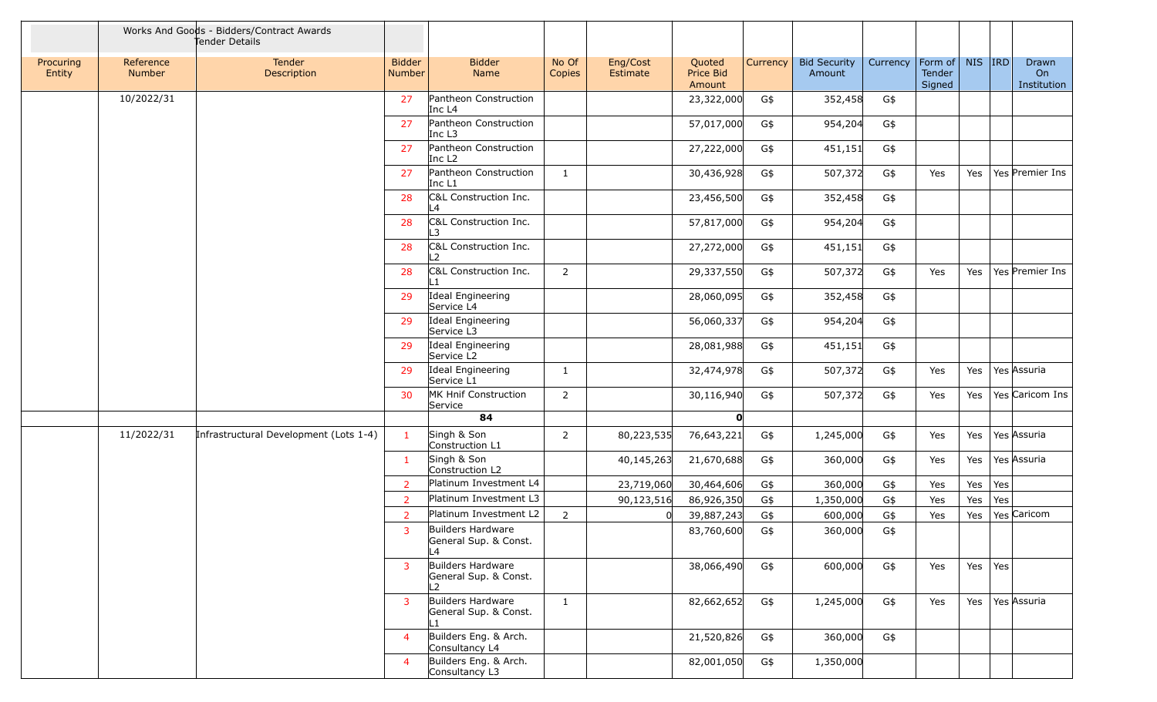|                     |                            | Works And Goods - Bidders/Contract Awards<br>Tender Details |                                |                                                   |                 |                      |                               |          |                               |          |                             |        |     |                            |
|---------------------|----------------------------|-------------------------------------------------------------|--------------------------------|---------------------------------------------------|-----------------|----------------------|-------------------------------|----------|-------------------------------|----------|-----------------------------|--------|-----|----------------------------|
| Procuring<br>Entity | Reference<br><b>Number</b> | Tender<br>Description                                       | <b>Bidder</b><br><b>Number</b> | <b>Bidder</b><br>Name                             | No Of<br>Copies | Eng/Cost<br>Estimate | Quoted<br>Price Bid<br>Amount | Currency | <b>Bid Security</b><br>Amount | Currency | Form of<br>Tender<br>Signed | NIS RD |     | Drawn<br>On<br>Institution |
|                     | 10/2022/31                 |                                                             | 27                             | Pantheon Construction<br>Inc L4                   |                 |                      | 23,322,000                    | G\$      | 352,458                       | G\$      |                             |        |     |                            |
|                     |                            |                                                             | 27                             | Pantheon Construction<br>Inc $L3$                 |                 |                      | 57,017,000                    | G\$      | 954,204                       | G\$      |                             |        |     |                            |
|                     |                            |                                                             | 27                             | Pantheon Construction<br>Inc L <sub>2</sub>       |                 |                      | 27,222,000                    | G\$      | 451,151                       | G\$      |                             |        |     |                            |
|                     |                            |                                                             | 27                             | Pantheon Construction<br>Inc $L1$                 | 1               |                      | 30,436,928                    | G\$      | 507,372                       | G\$      | Yes                         | Yes    |     | Yes Premier Ins            |
|                     |                            |                                                             | 28                             | C&L Construction Inc.<br>L4                       |                 |                      | 23,456,500                    | G\$      | 352,458                       | G\$      |                             |        |     |                            |
|                     |                            |                                                             | 28                             | C&L Construction Inc.<br>L3.                      |                 |                      | 57,817,000                    | G\$      | 954,204                       | G\$      |                             |        |     |                            |
|                     |                            |                                                             | 28                             | C&L Construction Inc.<br>$\mathcal{L}$            |                 |                      | 27,272,000                    | G\$      | 451,151                       | G\$      |                             |        |     |                            |
|                     |                            |                                                             | 28                             | C&L Construction Inc.<br>$\parallel$ 1            | $\overline{2}$  |                      | 29,337,550                    | G\$      | 507,372                       | G\$      | Yes                         | Yes    |     | Yes Premier Ins            |
|                     |                            |                                                             | 29                             | Ideal Engineering<br>Service L4                   |                 |                      | 28,060,095                    | G\$      | 352,458                       | G\$      |                             |        |     |                            |
|                     |                            |                                                             | 29                             | Ideal Engineering<br>Service L3                   |                 |                      | 56,060,337                    | G\$      | 954,204                       | G\$      |                             |        |     |                            |
|                     |                            |                                                             | 29                             | Ideal Engineering<br>Service L2                   |                 |                      | 28,081,988                    | G\$      | 451,151                       | G\$      |                             |        |     |                            |
|                     |                            |                                                             | 29                             | Ideal Engineering<br>Service L1                   | 1               |                      | 32,474,978                    | G\$      | 507,372                       | G\$      | Yes                         | Yes    |     | Yes Assuria                |
|                     |                            |                                                             | 30                             | MK Hnif Construction<br>Service                   | $\overline{2}$  |                      | 30,116,940                    | G\$      | 507,372                       | G\$      | Yes                         | Yes    |     | Yes Caricom Ins            |
|                     |                            |                                                             |                                | 84                                                |                 |                      | $\mathbf{o}$                  |          |                               |          |                             |        |     |                            |
|                     | 11/2022/31                 | Infrastructural Development (Lots 1-4)                      | $\mathbf{1}$                   | Singh & Son<br>Construction L1                    | 2               | 80,223,535           | 76,643,221                    | G\$      | 1,245,000                     | G\$      | Yes                         | Yes    |     | Yes Assuria                |
|                     |                            |                                                             | -1                             | Singh & Son<br>Construction L2                    |                 | 40,145,263           | 21,670,688                    | G\$      | 360,000                       | G\$      | Yes                         | Yes    |     | Yes Assuria                |
|                     |                            |                                                             | 2                              | Platinum Investment L4                            |                 | 23,719,060           | 30,464,606                    | G\$      | 360,000                       | G\$      | Yes                         | Yes    | Yes |                            |
|                     |                            |                                                             | 2                              | Platinum Investment L3                            |                 | 90,123,516           | 86,926,350                    | G\$      | 1,350,000                     | G\$      | Yes                         | Yes    | Yes |                            |
|                     |                            |                                                             | $\overline{2}$                 | Platinum Investment L2                            | 2               |                      | 39,887,243                    | G\$      | 600,000                       | G\$      | Yes                         | Yes    |     | Yes Caricom                |
|                     |                            |                                                             | 3                              | Builders Hardware<br>General Sup. & Const.<br>l 4 |                 |                      | 83,760,600                    | G\$      | 360,000                       | G\$      |                             |        |     |                            |
|                     |                            |                                                             | $\overline{3}$                 | Builders Hardware<br>General Sup. & Const.<br>L2  |                 |                      | 38,066,490                    | G\$      | 600,000                       | G\$      | Yes                         | Yes    | Yes |                            |
|                     |                            |                                                             | $\overline{3}$                 | Builders Hardware<br>General Sup. & Const.<br>IL1 | $\mathbf{1}$    |                      | 82,662,652                    | G\$      | 1,245,000                     | G\$      | Yes                         | Yes    |     | Yes Assuria                |
|                     |                            |                                                             | $\overline{4}$                 | Builders Eng. & Arch.<br>Consultancy L4           |                 |                      | 21,520,826                    | G\$      | 360,000                       | G\$      |                             |        |     |                            |
|                     |                            |                                                             | $\overline{4}$                 | Builders Eng. & Arch.<br>Consultancy L3           |                 |                      | 82,001,050                    | G\$      | 1,350,000                     |          |                             |        |     |                            |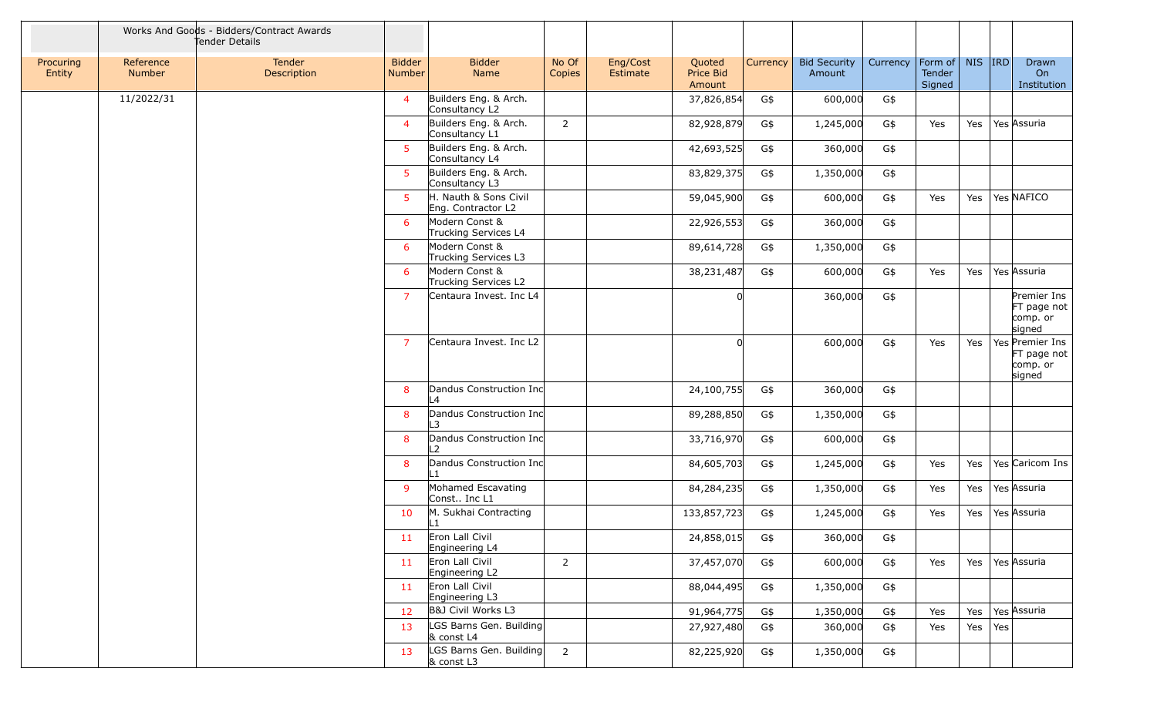|                     |                            | Works And Goods - Bidders/Contract Awards<br>Tender Details |                         |                                             |                 |                      |                               |          |                               |          |                             |         |     |                                                      |
|---------------------|----------------------------|-------------------------------------------------------------|-------------------------|---------------------------------------------|-----------------|----------------------|-------------------------------|----------|-------------------------------|----------|-----------------------------|---------|-----|------------------------------------------------------|
| Procuring<br>Entity | Reference<br><b>Number</b> | Tender<br><b>Description</b>                                | <b>Bidder</b><br>Number | <b>Bidder</b><br>Name                       | No Of<br>Copies | Eng/Cost<br>Estimate | Quoted<br>Price Bid<br>Amount | Currency | <b>Bid Security</b><br>Amount | Currency | Form of<br>Tender<br>Signed | NIS IRD |     | Drawn<br>On<br>Institution                           |
|                     | 11/2022/31                 |                                                             | $\overline{4}$          | Builders Eng. & Arch.<br>Consultancy L2     |                 |                      | 37,826,854                    | G\$      | 600,000                       | G\$      |                             |         |     |                                                      |
|                     |                            |                                                             | $\overline{4}$          | Builders Eng. & Arch.<br>Consultancy L1     | $\overline{2}$  |                      | 82,928,879                    | G\$      | 1,245,000                     | G\$      | Yes                         | Yes     |     | Yes Assuria                                          |
|                     |                            |                                                             | 5                       | Builders Eng. & Arch.<br>Consultancy L4     |                 |                      | 42,693,525                    | G\$      | 360,000                       | G\$      |                             |         |     |                                                      |
|                     |                            |                                                             | 5                       | Builders Eng. & Arch.<br>Consultancy L3     |                 |                      | 83,829,375                    | G\$      | 1,350,000                     | G\$      |                             |         |     |                                                      |
|                     |                            |                                                             | 5 <sup>1</sup>          | H. Nauth & Sons Civil<br>Eng. Contractor L2 |                 |                      | 59,045,900                    | G\$      | 600,000                       | G\$      | Yes                         | Yes     |     | Yes NAFICO                                           |
|                     |                            |                                                             | 6                       | Modern Const &<br>Trucking Services L4      |                 |                      | 22,926,553                    | G\$      | 360,000                       | G\$      |                             |         |     |                                                      |
|                     |                            |                                                             | 6                       | Modern Const &<br>Trucking Services L3      |                 |                      | 89,614,728                    | G\$      | 1,350,000                     | G\$      |                             |         |     |                                                      |
|                     |                            |                                                             | 6                       | Modern Const &<br>Trucking Services L2      |                 |                      | 38,231,487                    | G\$      | 600,000                       | G\$      | Yes                         | Yes     |     | Yes Assuria                                          |
|                     |                            |                                                             | $\overline{7}$          | Centaura Invest. Inc L4                     |                 |                      |                               |          | 360,000                       | G\$      |                             |         |     | Premier Ins<br>FT page not<br>comp. or<br>signed     |
|                     |                            |                                                             | $\overline{7}$          | Centaura Invest. Inc L2                     |                 |                      |                               |          | 600,000                       | G\$      | Yes                         | Yes     |     | Yes Premier Ins<br>FT page not<br>comp. or<br>signed |
|                     |                            |                                                             | 8                       | Dandus Construction Inc<br>L4               |                 |                      | 24,100,755                    | G\$      | 360,000                       | G\$      |                             |         |     |                                                      |
|                     |                            |                                                             | 8                       | Dandus Construction Inc<br>_3               |                 |                      | 89,288,850                    | G\$      | 1,350,000                     | G\$      |                             |         |     |                                                      |
|                     |                            |                                                             | 8                       | Dandus Construction Inc<br>$\mathcal{P}$    |                 |                      | 33,716,970                    | G\$      | 600,000                       | G\$      |                             |         |     |                                                      |
|                     |                            |                                                             | 8                       | Dandus Construction Inc<br>L1               |                 |                      | 84,605,703                    | G\$      | 1,245,000                     | G\$      | Yes                         | Yes     |     | Yes Caricom Ins                                      |
|                     |                            |                                                             | 9                       | Mohamed Escavating<br>Const Inc L1          |                 |                      | 84,284,235                    | G\$      | 1,350,000                     | G\$      | Yes                         | Yes     |     | Yes Assuria                                          |
|                     |                            |                                                             | 10                      | M. Sukhai Contracting<br>L1                 |                 |                      | 133,857,723                   | G\$      | 1,245,000                     | G\$      | Yes                         | Yes     |     | Yes Assuria                                          |
|                     |                            |                                                             | 11                      | Eron Lall Civil<br>Engineering L4           |                 |                      | 24,858,015                    | G\$      | 360,000                       | G\$      |                             |         |     |                                                      |
|                     |                            |                                                             | 11                      | Eron Lall Civil<br>Engineering L2           | $\overline{2}$  |                      | 37,457,070                    | G\$      | 600,000                       | G\$      | Yes                         | Yes     |     | Yes Assuria                                          |
|                     |                            |                                                             | 11                      | Eron Lall Civil<br>Engineering L3           |                 |                      | 88,044,495                    | G\$      | 1,350,000                     | G\$      |                             |         |     |                                                      |
|                     |                            |                                                             | 12                      | B&J Civil Works L3                          |                 |                      | 91,964,775                    | G\$      | 1,350,000                     | G\$      | Yes                         | Yes     |     | Yes Assuria                                          |
|                     |                            |                                                             | 13                      | LGS Barns Gen. Building<br>& const L4       |                 |                      | 27,927,480                    | G\$      | 360,000                       | G\$      | Yes                         | Yes     | Yes |                                                      |
|                     |                            |                                                             | 13                      | LGS Barns Gen. Building<br>& const L3       | $\overline{2}$  |                      | 82,225,920                    | G\$      | 1,350,000                     | G\$      |                             |         |     |                                                      |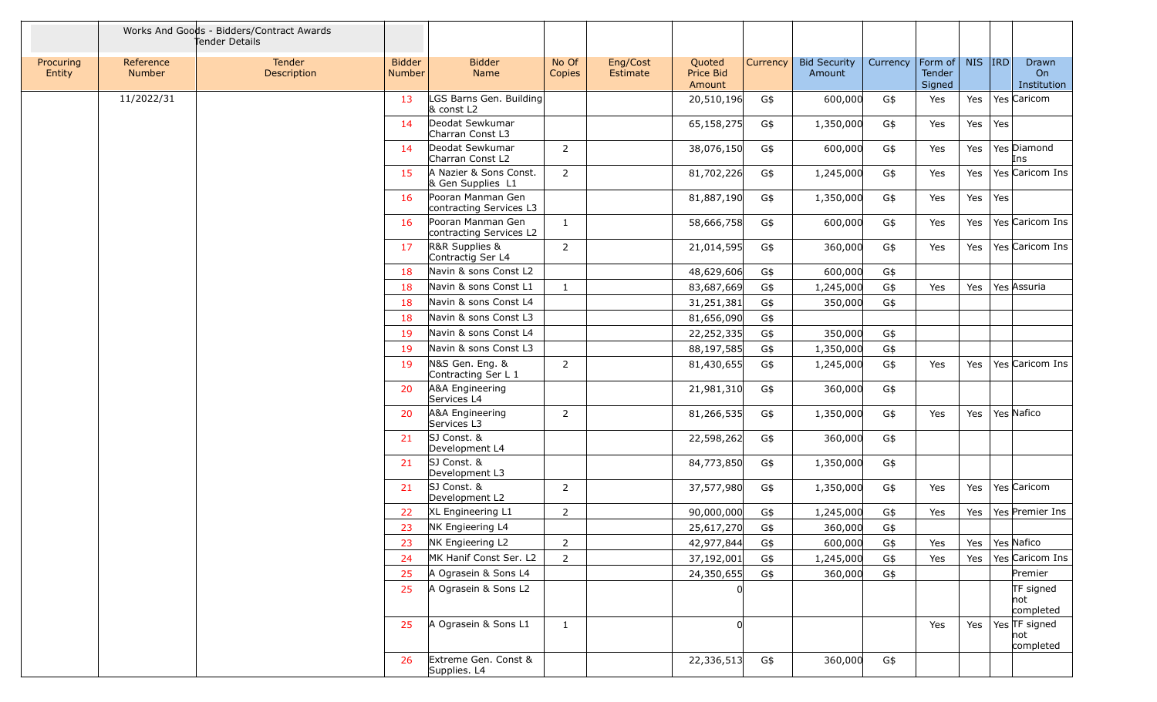|                     |                     | Works And Goods - Bidders/Contract Awards<br>Tender Details |                                |                                              |                 |                      |                               |          |                               |          |                             |         |     |                                   |
|---------------------|---------------------|-------------------------------------------------------------|--------------------------------|----------------------------------------------|-----------------|----------------------|-------------------------------|----------|-------------------------------|----------|-----------------------------|---------|-----|-----------------------------------|
| Procuring<br>Entity | Reference<br>Number | Tender<br>Description                                       | <b>Bidder</b><br><b>Number</b> | <b>Bidder</b><br>Name                        | No Of<br>Copies | Eng/Cost<br>Estimate | Quoted<br>Price Bid<br>Amount | Currency | <b>Bid Security</b><br>Amount | Currency | Form of<br>Tender<br>Signed | NIS IRD |     | Drawn<br>On<br>Institution        |
|                     | 11/2022/31          |                                                             | 13                             | LGS Barns Gen. Building<br>& const L2        |                 |                      | 20,510,196                    | G\$      | 600,000                       | G\$      | Yes                         | Yes     |     | Yes Caricom                       |
|                     |                     |                                                             | 14                             | Deodat Sewkumar<br>Charran Const L3          |                 |                      | 65,158,275                    | G\$      | 1,350,000                     | G\$      | Yes                         | Yes     | Yes |                                   |
|                     |                     |                                                             | 14                             | Deodat Sewkumar<br>Charran Const L2          | $\overline{2}$  |                      | 38,076,150                    | G\$      | 600,000                       | G\$      | Yes                         | Yes     |     | Yes Diamond<br>Ins                |
|                     |                     |                                                             | 15                             | A Nazier & Sons Const.<br>& Gen Supplies L1  | $\overline{2}$  |                      | 81,702,226                    | G\$      | 1,245,000                     | G\$      | Yes                         | Yes     |     | Yes Caricom Ins                   |
|                     |                     |                                                             | 16                             | Pooran Manman Gen<br>contracting Services L3 |                 |                      | 81,887,190                    | G\$      | 1,350,000                     | G\$      | Yes                         | Yes     | Yes |                                   |
|                     |                     |                                                             | 16                             | Pooran Manman Gen<br>contracting Services L2 | 1               |                      | 58,666,758                    | G\$      | 600,000                       | G\$      | Yes                         | Yes     |     | Yes Caricom Ins                   |
|                     |                     |                                                             | 17                             | R&R Supplies &<br>Contractig Ser L4          | 2               |                      | 21,014,595                    | G\$      | 360,000                       | G\$      | Yes                         | Yes     |     | Yes Caricom Ins                   |
|                     |                     |                                                             | 18                             | Navin & sons Const L2                        |                 |                      | 48,629,606                    | G\$      | 600,000                       | G\$      |                             |         |     |                                   |
|                     |                     |                                                             | 18                             | Navin & sons Const L1                        | $\mathbf{1}$    |                      | 83,687,669                    | G\$      | 1,245,000                     | G\$      | Yes                         | Yes     |     | Yes Assuria                       |
|                     |                     |                                                             | 18                             | Navin & sons Const L4                        |                 |                      | 31,251,381                    | G\$      | 350,000                       | G\$      |                             |         |     |                                   |
|                     |                     |                                                             | 18                             | Navin & sons Const L3                        |                 |                      | 81,656,090                    | G\$      |                               |          |                             |         |     |                                   |
|                     |                     |                                                             | 19                             | Navin & sons Const L4                        |                 |                      | 22,252,335                    | G\$      | 350,000                       | G\$      |                             |         |     |                                   |
|                     |                     |                                                             | 19                             | Navin & sons Const L3                        |                 |                      | 88,197,585                    | G\$      | 1,350,000                     | G\$      |                             |         |     |                                   |
|                     |                     |                                                             | 19                             | N&S Gen. Eng. &<br>Contracting Ser L 1       | 2               |                      | 81,430,655                    | G\$      | 1,245,000                     | G\$      | Yes                         | Yes     |     | Yes Caricom Ins                   |
|                     |                     |                                                             | 20                             | A&A Engineering<br>Services L4               |                 |                      | 21,981,310                    | G\$      | 360,000                       | G\$      |                             |         |     |                                   |
|                     |                     |                                                             | 20                             | A&A Engineering<br>Services L3               | 2               |                      | 81,266,535                    | G\$      | 1,350,000                     | G\$      | Yes                         | Yes     |     | Yes Nafico                        |
|                     |                     |                                                             | 21                             | SJ Const. &<br>Development L4                |                 |                      | 22,598,262                    | G\$      | 360,000                       | G\$      |                             |         |     |                                   |
|                     |                     |                                                             | 21                             | SJ Const. &<br>Development L3                |                 |                      | 84,773,850                    | G\$      | 1,350,000                     | G\$      |                             |         |     |                                   |
|                     |                     |                                                             | 21                             | SJ Const. &<br>Development L2                | $\overline{2}$  |                      | 37,577,980                    | G\$      | 1,350,000                     | G\$      | Yes                         | Yes     |     | Yes Caricom                       |
|                     |                     |                                                             | 22                             | XL Engineering L1                            | 2               |                      | 90,000,000                    | G\$      | 1,245,000                     | G\$      | Yes                         | Yes     |     | Yes Premier Ins                   |
|                     |                     |                                                             | 23                             | NK Engieering L4                             |                 |                      | 25,617,270                    | G\$      | 360,000                       | G\$      |                             |         |     |                                   |
|                     |                     |                                                             | 23                             | NK Engieering L2                             | 2               |                      | 42,977,844                    | G\$      | 600,000                       | G\$      | Yes                         | Yes     |     | Yes Nafico                        |
|                     |                     |                                                             | 24                             | MK Hanif Const Ser. L2                       | $\overline{2}$  |                      | 37,192,001                    | G\$      | 1,245,000                     | G\$      | Yes                         | Yes     |     | Yes Caricom Ins                   |
|                     |                     |                                                             | 25                             | A Ograsein & Sons L4                         |                 |                      | 24,350,655                    | G\$      | 360,000                       | G\$      |                             |         |     | Premier                           |
|                     |                     |                                                             | 25                             | A Ograsein & Sons L2                         |                 |                      |                               |          |                               |          |                             |         |     | TF signed<br> not<br>completed    |
|                     |                     |                                                             | 25                             | A Ograsein & Sons L1                         | $\mathbf{1}$    |                      |                               |          |                               |          | Yes                         | Yes     |     | Yes TF signed<br>not<br>completed |
|                     |                     |                                                             | 26                             | Extreme Gen. Const &<br>Supplies. L4         |                 |                      | 22,336,513                    | G\$      | 360,000                       | G\$      |                             |         |     |                                   |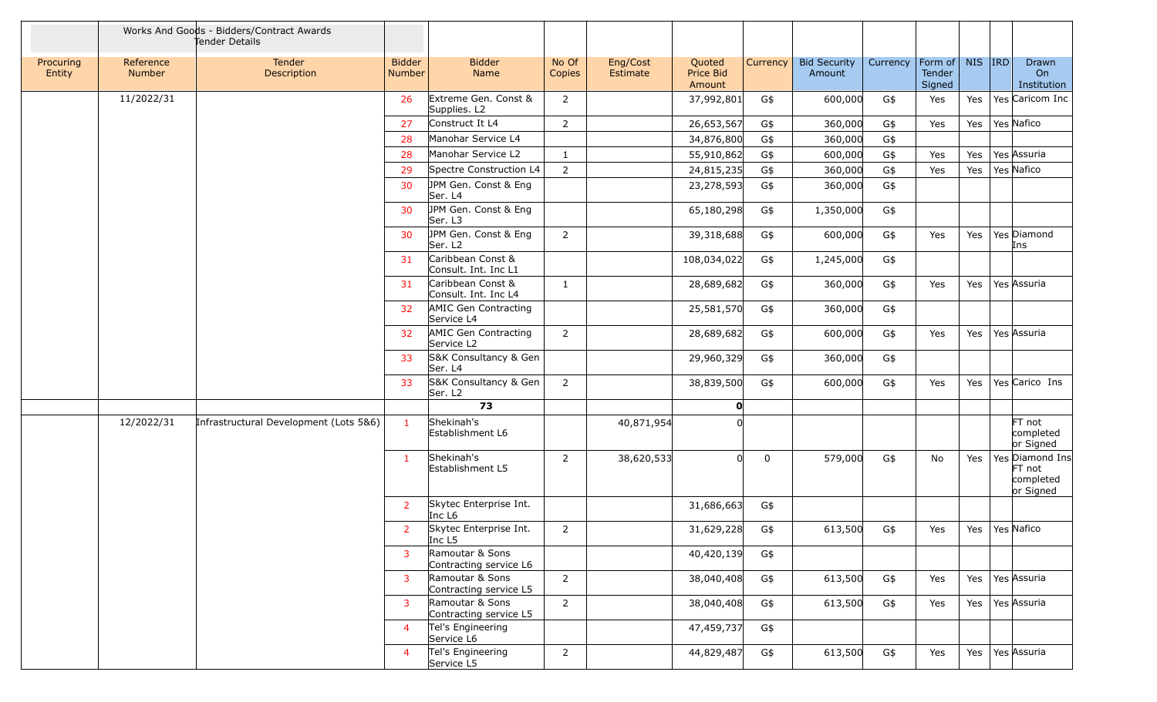|                     |                     | Works And Goods - Bidders/Contract Awards<br>Tender Details |                                |                                              |                 |                      |                               |             |                               |          |                             |        |                                                     |
|---------------------|---------------------|-------------------------------------------------------------|--------------------------------|----------------------------------------------|-----------------|----------------------|-------------------------------|-------------|-------------------------------|----------|-----------------------------|--------|-----------------------------------------------------|
| Procuring<br>Entity | Reference<br>Number | Tender<br>Description                                       | <b>Bidder</b><br><b>Number</b> | <b>Bidder</b><br>Name                        | No Of<br>Copies | Eng/Cost<br>Estimate | Quoted<br>Price Bid<br>Amount | Currency    | <b>Bid Security</b><br>Amount | Currency | Form of<br>Tender<br>Signed | NIS RD | Drawn<br>On<br>Institution                          |
|                     | 11/2022/31          |                                                             | -26                            | Extreme Gen. Const &<br>Supplies. L2         | $\overline{2}$  |                      | 37,992,801                    | G\$         | 600,000                       | G\$      | Yes                         | Yes    | Yes Caricom Inc                                     |
|                     |                     |                                                             | 27                             | Construct It L4                              | $\overline{2}$  |                      | 26,653,567                    | G\$         | 360,000                       | G\$      | Yes                         | Yes    | Yes Nafico                                          |
|                     |                     |                                                             | 28                             | Manohar Service L4                           |                 |                      | 34,876,800                    | G\$         | 360,000                       | G\$      |                             |        |                                                     |
|                     |                     |                                                             | 28                             | Manohar Service L2                           | $\mathbf{1}$    |                      | 55,910,862                    | G\$         | 600,000                       | G\$      | Yes                         | Yes    | Yes Assuria                                         |
|                     |                     |                                                             | 29                             | Spectre Construction L4                      | $\overline{2}$  |                      | 24,815,235                    | G\$         | 360,000                       | G\$      | Yes                         | Yes    | Yes Nafico                                          |
|                     |                     |                                                             | 30                             | JPM Gen. Const & Eng<br>Ser. L4              |                 |                      | 23,278,593                    | G\$         | 360,000                       | G\$      |                             |        |                                                     |
|                     |                     |                                                             | 30                             | JPM Gen. Const & Eng<br>Ser. L3              |                 |                      | 65,180,298                    | G\$         | 1,350,000                     | G\$      |                             |        |                                                     |
|                     |                     |                                                             | 30                             | JPM Gen. Const & Eng<br>Ser. L2              | $\overline{2}$  |                      | 39,318,688                    | G\$         | 600,000                       | G\$      | Yes                         | Yes    | Yes Diamond<br>Ins                                  |
|                     |                     |                                                             | 31                             | Caribbean Const &<br>Consult. Int. Inc L1    |                 |                      | 108,034,022                   | G\$         | 1,245,000                     | G\$      |                             |        |                                                     |
|                     |                     |                                                             | 31                             | Caribbean Const &<br>Consult. Int. Inc L4    | 1               |                      | 28,689,682                    | G\$         | 360,000                       | G\$      | Yes                         | Yes    | Yes Assuria                                         |
|                     |                     |                                                             | 32                             | AMIC Gen Contracting<br>Service L4           |                 |                      | 25,581,570                    | G\$         | 360,000                       | G\$      |                             |        |                                                     |
|                     |                     |                                                             | 32                             | AMIC Gen Contracting<br>Service L2           | $\overline{2}$  |                      | 28,689,682                    | G\$         | 600,000                       | G\$      | Yes                         | Yes    | Yes Assuria                                         |
|                     |                     |                                                             | 33                             | S&K Consultancy & Gen<br>Ser. L4             |                 |                      | 29,960,329                    | G\$         | 360,000                       | G\$      |                             |        |                                                     |
|                     |                     |                                                             | 33                             | S&K Consultancy & Gen<br>Ser. L <sub>2</sub> | $\overline{2}$  |                      | 38,839,500                    | G\$         | 600,000                       | G\$      | Yes                         | Yes    | Yes Carico Ins                                      |
|                     |                     |                                                             |                                | 73                                           |                 |                      | O                             |             |                               |          |                             |        |                                                     |
|                     | 12/2022/31          | Infrastructural Development (Lots 5&6)                      | $\mathbf{1}$                   | Shekinah's<br>Establishment L6               |                 | 40,871,954           |                               |             |                               |          |                             |        | FT not<br>completed<br>or Signed                    |
|                     |                     |                                                             | $\mathbf{1}$                   | Shekinah's<br>Establishment L5               | 2               | 38,620,533           | 0l.                           | $\mathbf 0$ | 579,000                       | G\$      | No                          | Yes    | Yes Diamond Ins<br>FT not<br>completed<br>or Signed |
|                     |                     |                                                             | $\overline{2}$                 | Skytec Enterprise Int.<br>Inc L <sub>6</sub> |                 |                      | 31,686,663                    | G\$         |                               |          |                             |        |                                                     |
|                     |                     |                                                             | $\overline{2}$                 | Skytec Enterprise Int.<br>Inc L5             | 2               |                      | 31,629,228                    | G\$         | 613,500                       | G\$      | Yes                         | Yes    | Yes Nafico                                          |
|                     |                     |                                                             | 3                              | Ramoutar & Sons<br>Contracting service L6    |                 |                      | 40,420,139                    | G\$         |                               |          |                             |        |                                                     |
|                     |                     |                                                             | $\mathbf{3}$                   | Ramoutar & Sons<br>Contracting service L5    | $\overline{2}$  |                      | 38,040,408                    | G\$         | 613,500                       | G\$      | Yes                         | Yes    | Yes Assuria                                         |
|                     |                     |                                                             | $\mathbf{3}$                   | Ramoutar & Sons<br>Contracting service L5    | $\overline{2}$  |                      | 38,040,408                    | G\$         | 613,500                       | G\$      | Yes                         | Yes    | Yes Assuria                                         |
|                     |                     |                                                             | $\overline{4}$                 | Tel's Engineering<br>Service L6              |                 |                      | 47,459,737                    | G\$         |                               |          |                             |        |                                                     |
|                     |                     |                                                             | $\overline{4}$                 | Tel's Engineering<br>Service L5              | $\overline{2}$  |                      | 44,829,487                    | G\$         | 613,500                       | G\$      | Yes                         | Yes    | Yes Assuria                                         |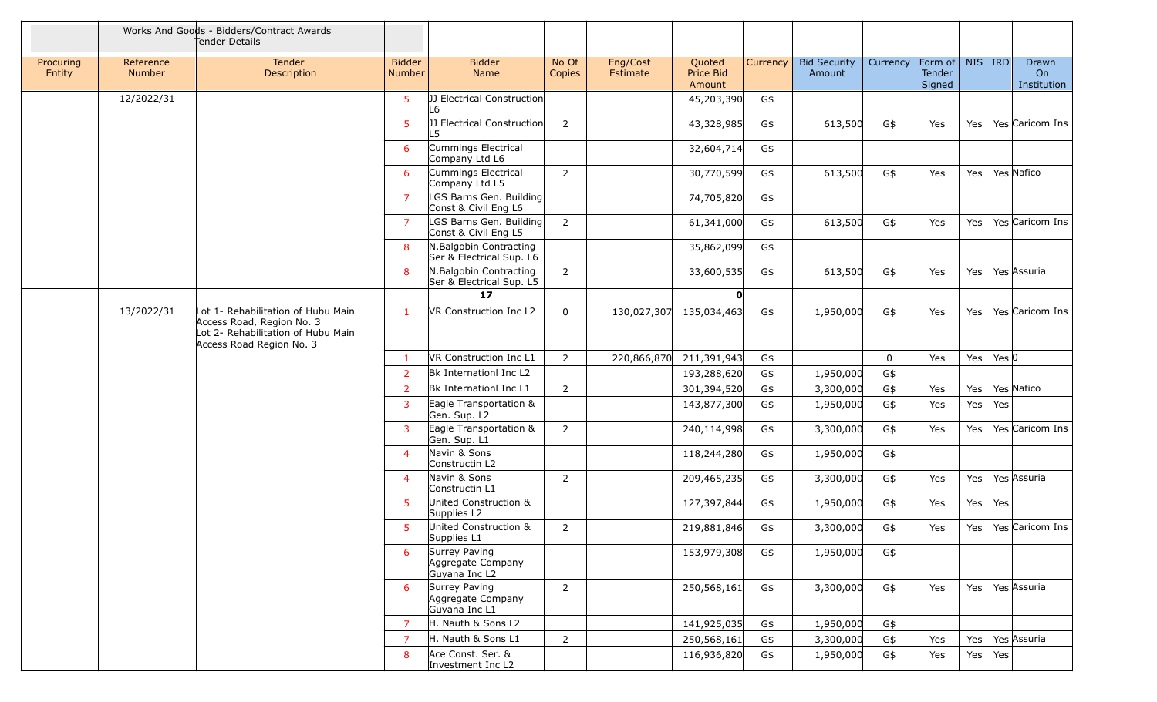|                     |                     | Works And Goods - Bidders/Contract Awards<br>Tender Details                                                                       |                                |                                                     |                 |                      |                               |          |                               |          |                             |            |            |                            |
|---------------------|---------------------|-----------------------------------------------------------------------------------------------------------------------------------|--------------------------------|-----------------------------------------------------|-----------------|----------------------|-------------------------------|----------|-------------------------------|----------|-----------------------------|------------|------------|----------------------------|
| Procuring<br>Entity | Reference<br>Number | Tender<br>Description                                                                                                             | <b>Bidder</b><br><b>Number</b> | <b>Bidder</b><br>Name                               | No Of<br>Copies | Eng/Cost<br>Estimate | Quoted<br>Price Bid<br>Amount | Currency | <b>Bid Security</b><br>Amount | Currency | Form of<br>Tender<br>Signed | <b>NIS</b> | <b>IRD</b> | Drawn<br>On<br>Institution |
|                     | 12/2022/31          |                                                                                                                                   | $5^{\circ}$                    | [JJ Electrical Construction<br>-6                   |                 |                      | 45,203,390                    | G\$      |                               |          |                             |            |            |                            |
|                     |                     |                                                                                                                                   | $5^{\circ}$                    | JJ Electrical Construction<br>$\overline{5}$        | $\overline{2}$  |                      | 43,328,985                    | G\$      | 613,500                       | G\$      | Yes                         | Yes        |            | Yes Caricom Ins            |
|                     |                     |                                                                                                                                   | 6                              | Cummings Electrical<br>Company Ltd L6               |                 |                      | 32,604,714                    | G\$      |                               |          |                             |            |            |                            |
|                     |                     |                                                                                                                                   | 6                              | Cummings Electrical<br>Company Ltd L5               | $\overline{2}$  |                      | 30,770,599                    | G\$      | 613,500                       | G\$      | Yes                         | Yes        |            | Yes Nafico                 |
|                     |                     |                                                                                                                                   | $\overline{7}$                 | LGS Barns Gen. Building<br>Const & Civil Eng L6     |                 |                      | 74,705,820                    | G\$      |                               |          |                             |            |            |                            |
|                     |                     |                                                                                                                                   | $\overline{7}$                 | LGS Barns Gen. Building<br>Const & Civil Eng L5     | $\overline{2}$  |                      | 61,341,000                    | G\$      | 613,500                       | G\$      | Yes                         | Yes        |            | Yes Caricom Ins            |
|                     |                     |                                                                                                                                   | 8                              | N.Balgobin Contracting<br>Ser & Electrical Sup. L6  |                 |                      | 35,862,099                    | G\$      |                               |          |                             |            |            |                            |
|                     |                     |                                                                                                                                   | 8                              | N.Balgobin Contracting<br>Ser & Electrical Sup. L5  | 2               |                      | 33,600,535                    | G\$      | 613,500                       | G\$      | Yes                         | Yes        |            | Yes Assuria                |
|                     |                     |                                                                                                                                   |                                | 17                                                  |                 |                      | 0                             |          |                               |          |                             |            |            |                            |
|                     | 13/2022/31          | Lot 1- Rehabilitation of Hubu Main<br>Access Road, Region No. 3<br>Lot 2- Rehabilitation of Hubu Main<br>Access Road Region No. 3 | -1                             | VR Construction Inc L2                              | $\mathbf 0$     | 130,027,307          | 135,034,463                   | G\$      | 1,950,000                     | G\$      | Yes                         | Yes        |            | Yes Caricom Ins            |
|                     |                     |                                                                                                                                   | -1                             | VR Construction Inc L1                              | $\overline{2}$  | 220,866,870          | 211,391,943                   | G\$      |                               | 0        | Yes                         | Yes        | Yes $ 0 $  |                            |
|                     |                     |                                                                                                                                   | 2                              | Bk Internationl Inc L2                              |                 |                      | 193,288,620                   | G\$      | 1,950,000                     | G\$      |                             |            |            |                            |
|                     |                     |                                                                                                                                   | $\overline{2}$                 | Bk Internationl Inc L1                              | $\overline{2}$  |                      | 301,394,520                   | G\$      | 3,300,000                     | G\$      | Yes                         | Yes        |            | Yes Nafico                 |
|                     |                     |                                                                                                                                   | 3                              | Eagle Transportation &<br>Gen. Sup. L2              |                 |                      | 143,877,300                   | G\$      | 1,950,000                     | G\$      | Yes                         | Yes        | Yes        |                            |
|                     |                     |                                                                                                                                   | 3                              | Eagle Transportation &<br>Gen. Sup. L1              | 2               |                      | 240,114,998                   | G\$      | 3,300,000                     | G\$      | Yes                         | Yes        |            | Yes Caricom Ins            |
|                     |                     |                                                                                                                                   | $\overline{4}$                 | Navin & Sons<br>Constructin L2                      |                 |                      | 118,244,280                   | G\$      | 1,950,000                     | G\$      |                             |            |            |                            |
|                     |                     |                                                                                                                                   | $\overline{4}$                 | Navin & Sons<br>Constructin L1                      | 2               |                      | 209,465,235                   | G\$      | 3,300,000                     | G\$      | Yes                         | Yes        |            | Yes Assuria                |
|                     |                     |                                                                                                                                   | 5                              | United Construction &<br>Supplies L2                |                 |                      | 127,397,844                   | G\$      | 1,950,000                     | G\$      | Yes                         | Yes        | Yes        |                            |
|                     |                     |                                                                                                                                   | $5^{\circ}$                    | United Construction &<br>Supplies L1                | $\overline{2}$  |                      | 219,881,846                   | G\$      | 3,300,000                     | G\$      | Yes                         | Yes        |            | Yes Caricom Ins            |
|                     |                     |                                                                                                                                   | 6                              | Surrey Paving<br>Aggregate Company<br>Guyana Inc L2 |                 |                      | 153,979,308                   | G\$      | 1,950,000                     | G\$      |                             |            |            |                            |
|                     |                     |                                                                                                                                   | 6                              | Surrey Paving<br>Aggregate Company<br>Guyana Inc L1 | $\overline{2}$  |                      | 250,568,161                   | G\$      | 3,300,000                     | G\$      | Yes                         | Yes        |            | Yes Assuria                |
|                     |                     |                                                                                                                                   | $\overline{7}$                 | H. Nauth & Sons L2                                  |                 |                      | 141,925,035                   | G\$      | 1,950,000                     | G\$      |                             |            |            |                            |
|                     |                     |                                                                                                                                   | <sup>7</sup>                   | H. Nauth & Sons L1                                  | $2^{\circ}$     |                      | 250,568,161                   | G\$      | 3,300,000                     | G\$      | Yes                         | Yes        |            | Yes Assuria                |
|                     |                     |                                                                                                                                   | 8                              | Ace Const. Ser. &<br>Investment Inc L2              |                 |                      | 116,936,820                   | G\$      | 1,950,000                     | G\$      | Yes                         | Yes        | Yes        |                            |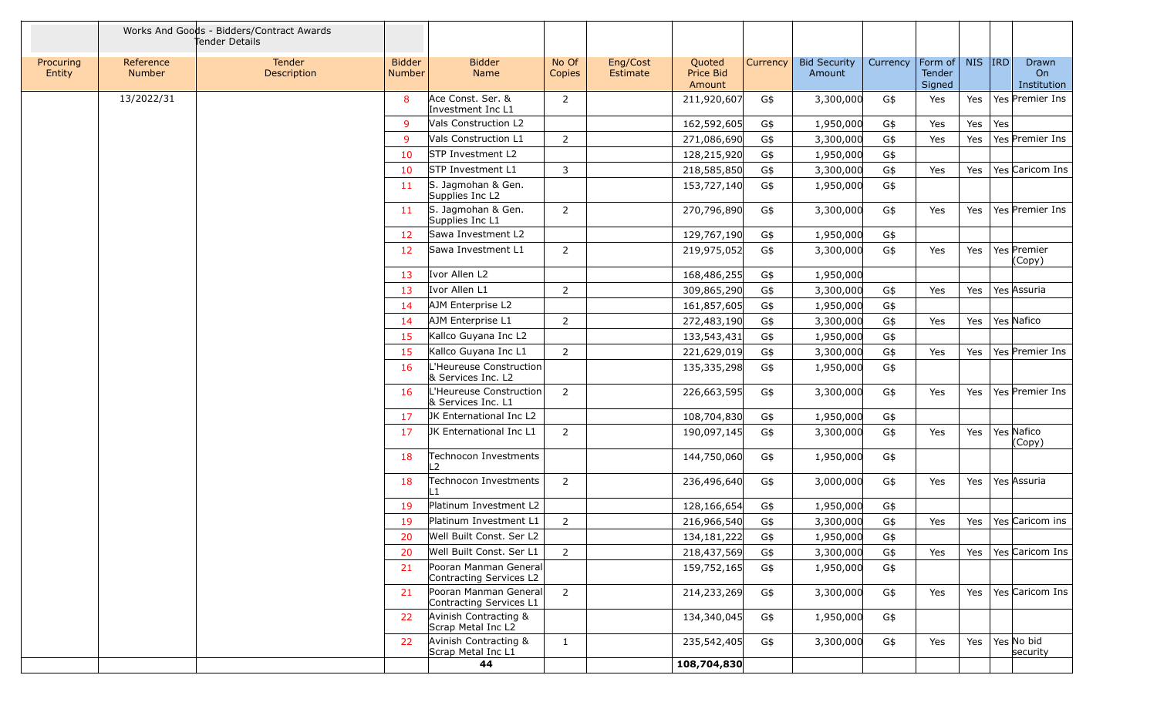|                     |                            | Works And Goods - Bidders/Contract Awards<br>Tender Details |                                |                                                  |                 |                      |                               |                 |                               |          |                             |         |     |                            |
|---------------------|----------------------------|-------------------------------------------------------------|--------------------------------|--------------------------------------------------|-----------------|----------------------|-------------------------------|-----------------|-------------------------------|----------|-----------------------------|---------|-----|----------------------------|
| Procuring<br>Entity | Reference<br><b>Number</b> | Tender<br>Description                                       | <b>Bidder</b><br><b>Number</b> | <b>Bidder</b><br>Name                            | No Of<br>Copies | Eng/Cost<br>Estimate | Quoted<br>Price Bid<br>Amount | <b>Currency</b> | <b>Bid Security</b><br>Amount | Currency | Form of<br>Tender<br>Signed | NIS IRD |     | Drawn<br>On<br>Institution |
|                     | 13/2022/31                 |                                                             | 8                              | Ace Const. Ser. &<br>Investment Inc L1           | $\overline{2}$  |                      | 211,920,607                   | G\$             | 3,300,000                     | G\$      | Yes                         | Yes     |     | Yes Premier Ins            |
|                     |                            |                                                             | 9                              | Vals Construction L2                             |                 |                      | 162,592,605                   | G\$             | 1,950,000                     | G\$      | Yes                         | Yes     | Yes |                            |
|                     |                            |                                                             | 9                              | Vals Construction L1                             | $\overline{2}$  |                      | 271,086,690                   | G\$             | 3,300,000                     | G\$      | Yes                         | Yes     |     | Yes Premier Ins            |
|                     |                            |                                                             | 10                             | STP Investment L2                                |                 |                      | 128,215,920                   | G\$             | 1,950,000                     | G\$      |                             |         |     |                            |
|                     |                            |                                                             | 10                             | <b>STP Investment L1</b>                         | 3               |                      | 218,585,850                   | G\$             | 3,300,000                     | G\$      | Yes                         | Yes     |     | Yes Caricom Ins            |
|                     |                            |                                                             | -11                            | S. Jagmohan & Gen.<br>Supplies Inc L2            |                 |                      | 153,727,140                   | G\$             | 1,950,000                     | G\$      |                             |         |     |                            |
|                     |                            |                                                             | 11                             | S. Jagmohan & Gen.<br>Supplies Inc L1            | $\overline{2}$  |                      | 270,796,890                   | G\$             | 3,300,000                     | G\$      | Yes                         | Yes     |     | Yes Premier Ins            |
|                     |                            |                                                             | 12                             | Sawa Investment L2                               |                 |                      | 129,767,190                   | G\$             | 1,950,000                     | G\$      |                             |         |     |                            |
|                     |                            |                                                             | 12                             | Sawa Investment L1                               | $\overline{2}$  |                      | 219,975,052                   | G\$             | 3,300,000                     | G\$      | Yes                         | Yes     |     | Yes Premier<br>(Copy)      |
|                     |                            |                                                             | 13                             | Ivor Allen L2                                    |                 |                      | 168,486,255                   | G\$             | 1,950,000                     |          |                             |         |     |                            |
|                     |                            |                                                             | 13                             | Ivor Allen L1                                    | 2               |                      | 309,865,290                   | G\$             | 3,300,000                     | G\$      | Yes                         | Yes     |     | Yes Assuria                |
|                     |                            |                                                             | -14                            | AJM Enterprise L2                                |                 |                      | 161,857,605                   | G\$             | 1,950,000                     | G\$      |                             |         |     |                            |
|                     |                            |                                                             | 14                             | AJM Enterprise L1                                | 2               |                      | 272,483,190                   | G\$             | 3,300,000                     | G\$      | Yes                         | Yes     |     | Yes Nafico                 |
|                     |                            |                                                             | 15                             | Kallco Guyana Inc L2                             |                 |                      | 133,543,431                   | G\$             | 1,950,000                     | G\$      |                             |         |     |                            |
|                     |                            |                                                             | 15                             | Kallco Guyana Inc L1                             | $\overline{2}$  |                      | 221,629,019                   | G\$             | 3,300,000                     | G\$      | Yes                         | Yes     |     | Yes Premier Ins            |
|                     |                            |                                                             | 16                             | L'Heureuse Construction<br>& Services Inc. L2    |                 |                      | 135,335,298                   | G\$             | 1,950,000                     | G\$      |                             |         |     |                            |
|                     |                            |                                                             | 16                             | L'Heureuse Construction<br>& Services Inc. L1    | $\overline{2}$  |                      | 226,663,595                   | G\$             | 3,300,000                     | G\$      | Yes                         | Yes     |     | Yes Premier Ins            |
|                     |                            |                                                             | 17                             | JK Enternational Inc L2                          |                 |                      | 108,704,830                   | G\$             | 1,950,000                     | G\$      |                             |         |     |                            |
|                     |                            |                                                             | -17                            | JK Enternational Inc L1                          | $\overline{2}$  |                      | 190,097,145                   | G\$             | 3,300,000                     | G\$      | Yes                         | Yes     |     | Yes Nafico<br>(Copy)       |
|                     |                            |                                                             | 18                             | Technocon Investments<br>$\overline{2}$          |                 |                      | 144,750,060                   | G\$             | 1,950,000                     | G\$      |                             |         |     |                            |
|                     |                            |                                                             | 18                             | Technocon Investments                            | $\overline{2}$  |                      | 236,496,640                   | G\$             | 3,000,000                     | G\$      | Yes                         | Yes     |     | Yes Assuria                |
|                     |                            |                                                             | 19                             | Platinum Investment L2                           |                 |                      | 128,166,654                   | G\$             | 1,950,000                     | G\$      |                             |         |     |                            |
|                     |                            |                                                             | 19                             | Platinum Investment L1                           | $\overline{2}$  |                      | 216,966,540                   | G\$             | 3,300,000                     | G\$      | Yes                         | Yes     |     | Yes Caricom ins            |
|                     |                            |                                                             |                                | Well Built Const. Ser L2                         |                 |                      | 134, 181, 222                 | G\$             | 1,950,000                     | G\$      |                             |         |     |                            |
|                     |                            |                                                             | 20                             | Well Built Const. Ser L1                         | $\overline{2}$  |                      | 218,437,569                   | G\$             | 3,300,000                     | G\$      | Yes                         | Yes     |     | Yes Caricom Ins            |
|                     |                            |                                                             | 21                             | Pooran Manman General<br>Contracting Services L2 |                 |                      | 159,752,165                   | G\$             | 1,950,000                     | G\$      |                             |         |     |                            |
|                     |                            |                                                             | 21                             | Pooran Manman General<br>Contracting Services L1 | $\overline{2}$  |                      | 214,233,269                   | G\$             | 3,300,000                     | G\$      | Yes                         | Yes     |     | Yes Caricom Ins            |
|                     |                            |                                                             | 22                             | Avinish Contracting &<br>Scrap Metal Inc L2      |                 |                      | 134,340,045                   | G\$             | 1,950,000                     | G\$      |                             |         |     |                            |
|                     |                            |                                                             | 22                             | Avinish Contracting &<br>Scrap Metal Inc L1      | $\mathbf{1}$    |                      | 235,542,405                   | G\$             | 3,300,000                     | G\$      | Yes                         | Yes     |     | Yes No bid<br>security     |
|                     |                            |                                                             |                                | 44                                               |                 |                      | 108,704,830                   |                 |                               |          |                             |         |     |                            |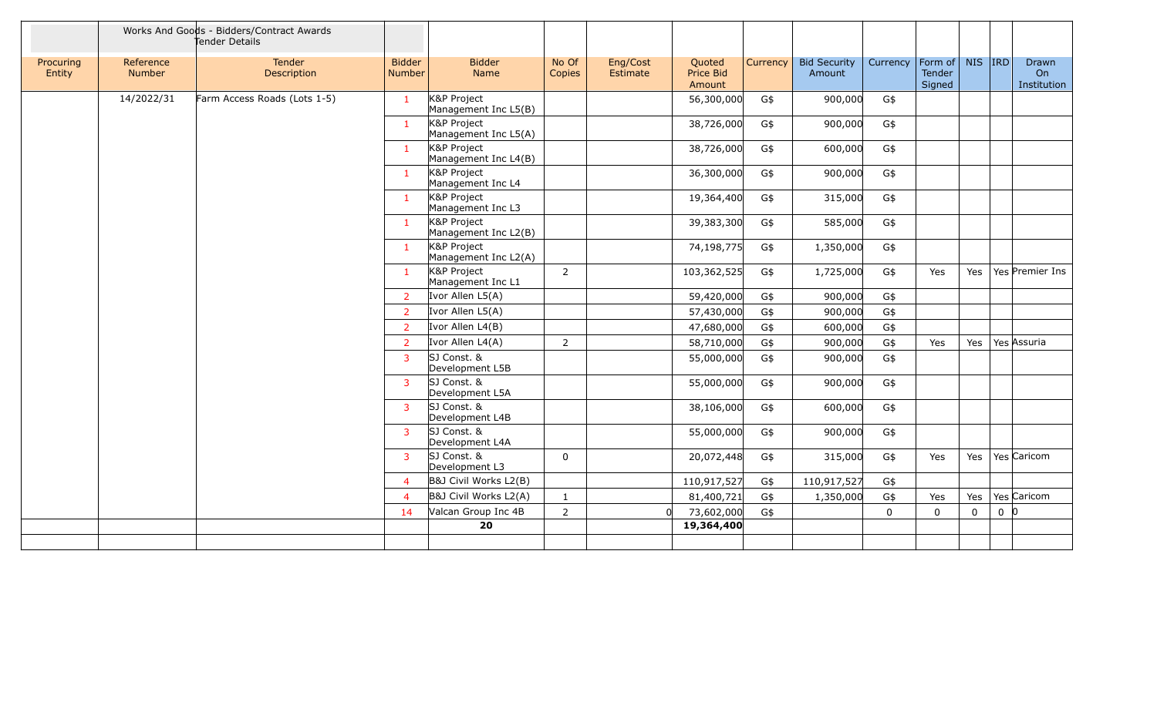|                     |                     | Works And Goods - Bidders/Contract Awards<br>Tender Details |                                |                                     |                 |                      |                               |          |                               |          |                             |             |                |                            |
|---------------------|---------------------|-------------------------------------------------------------|--------------------------------|-------------------------------------|-----------------|----------------------|-------------------------------|----------|-------------------------------|----------|-----------------------------|-------------|----------------|----------------------------|
| Procuring<br>Entity | Reference<br>Number | Tender<br>Description                                       | <b>Bidder</b><br><b>Number</b> | <b>Bidder</b><br>Name               | No Of<br>Copies | Eng/Cost<br>Estimate | Quoted<br>Price Bid<br>Amount | Currency | <b>Bid Security</b><br>Amount | Currency | Form of<br>Tender<br>Signed | NIS RD      |                | Drawn<br>On<br>Institution |
|                     | 14/2022/31          | Farm Access Roads (Lots 1-5)                                | 1                              | K&P Project<br>Management Inc L5(B) |                 |                      | 56,300,000                    | G\$      | 900,000                       | G\$      |                             |             |                |                            |
|                     |                     |                                                             | $\mathbf{1}$                   | K&P Project<br>Management Inc L5(A) |                 |                      | 38,726,000                    | G\$      | 900,000                       | G\$      |                             |             |                |                            |
|                     |                     |                                                             | -1                             | K&P Project<br>Management Inc L4(B) |                 |                      | 38,726,000                    | G\$      | 600,000                       | G\$      |                             |             |                |                            |
|                     |                     |                                                             | $\mathbf{1}$                   | K&P Project<br>Management Inc L4    |                 |                      | 36,300,000                    | G\$      | 900,000                       | G\$      |                             |             |                |                            |
|                     |                     |                                                             | $\mathbf{1}$                   | K&P Project<br>Management Inc L3    |                 |                      | 19,364,400                    | G\$      | 315,000                       | G\$      |                             |             |                |                            |
|                     |                     |                                                             | $\mathbf{1}$                   | K&P Project<br>Management Inc L2(B) |                 |                      | 39,383,300                    | G\$      | 585,000                       | G\$      |                             |             |                |                            |
|                     |                     |                                                             | $\mathbf{1}$                   | K&P Project<br>Management Inc L2(A) |                 |                      | 74,198,775                    | G\$      | 1,350,000                     | G\$      |                             |             |                |                            |
|                     |                     |                                                             | $\mathbf{1}$                   | K&P Project<br>Management Inc L1    | $\overline{2}$  |                      | 103,362,525                   | G\$      | 1,725,000                     | G\$      | Yes                         | Yes         |                | Yes Premier Ins            |
|                     |                     |                                                             | $\overline{2}$                 | Ivor Allen L5(A)                    |                 |                      | 59,420,000                    | G\$      | 900,000                       | G\$      |                             |             |                |                            |
|                     |                     |                                                             | $\overline{2}$                 | Ivor Allen L5(A)                    |                 |                      | 57,430,000                    | G\$      | 900,000                       | G\$      |                             |             |                |                            |
|                     |                     |                                                             | $\overline{2}$                 | Ivor Allen L4(B)                    |                 |                      | 47,680,000                    | G\$      | 600,000                       | G\$      |                             |             |                |                            |
|                     |                     |                                                             | $\overline{2}$                 | Ivor Allen L4(A)                    | $\overline{2}$  |                      | 58,710,000                    | G\$      | 900,000                       | G\$      | Yes                         | Yes         |                | Yes Assuria                |
|                     |                     |                                                             | 3                              | SJ Const. &<br>Development L5B      |                 |                      | 55,000,000                    | G\$      | 900,000                       | G\$      |                             |             |                |                            |
|                     |                     |                                                             | $\overline{3}$                 | SJ Const. &<br>Development L5A      |                 |                      | 55,000,000                    | G\$      | 900,000                       | G\$      |                             |             |                |                            |
|                     |                     |                                                             | $\overline{3}$                 | SJ Const. &<br>Development L4B      |                 |                      | 38,106,000                    | G\$      | 600,000                       | G\$      |                             |             |                |                            |
|                     |                     |                                                             | 3                              | SJ Const. &<br>Development L4A      |                 |                      | 55,000,000                    | G\$      | 900,000                       | G\$      |                             |             |                |                            |
|                     |                     |                                                             | 3                              | SJ Const. &<br>Development L3       | $\Omega$        |                      | 20,072,448                    | G\$      | 315,000                       | G\$      | Yes                         | Yes         |                | Yes Caricom                |
|                     |                     |                                                             | $\overline{4}$                 | B&J Civil Works L2(B)               |                 |                      | 110,917,527                   | G\$      | 110,917,527                   | G\$      |                             |             |                |                            |
|                     |                     |                                                             | $\overline{4}$                 | B&J Civil Works L2(A)               | $\mathbf{1}$    |                      | 81,400,721                    | G\$      | 1,350,000                     | G\$      | Yes                         | Yes         |                | Yes Caricom                |
|                     |                     |                                                             | 14                             | Valcan Group Inc 4B                 | $\overline{2}$  | n                    | 73,602,000                    | G\$      |                               | $\Omega$ | $\mathbf 0$                 | $\mathbf 0$ | 0 <sup>0</sup> |                            |
|                     |                     |                                                             |                                | 20                                  |                 |                      | 19,364,400                    |          |                               |          |                             |             |                |                            |
|                     |                     |                                                             |                                |                                     |                 |                      |                               |          |                               |          |                             |             |                |                            |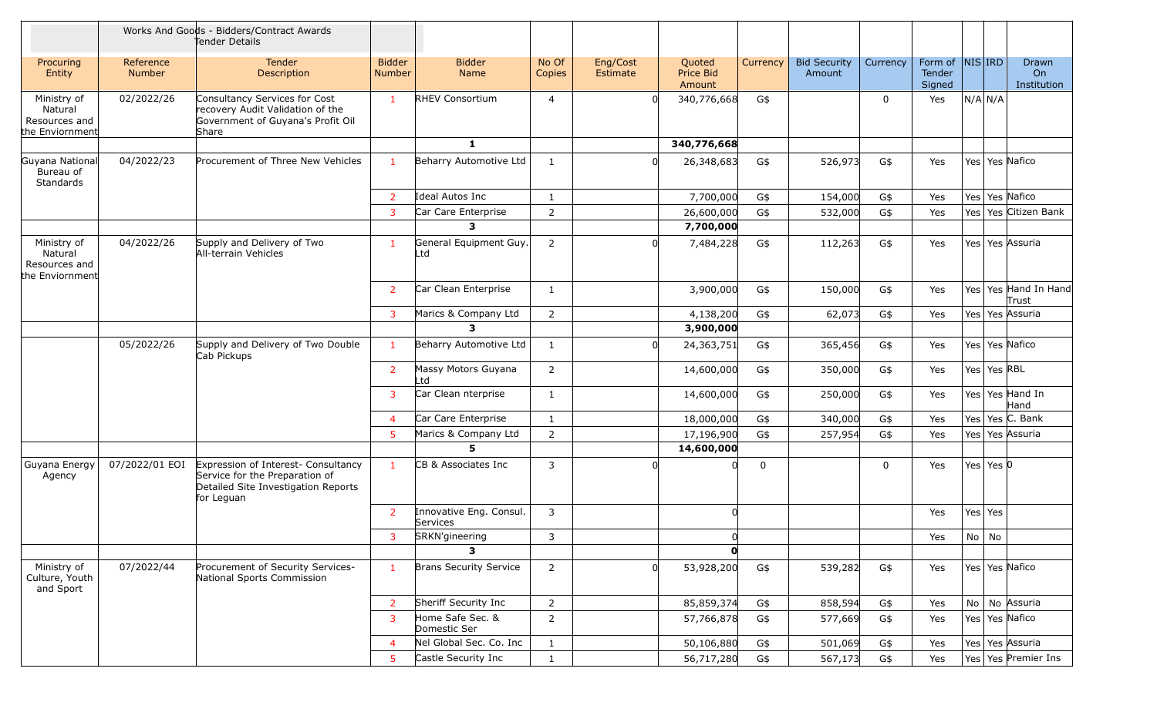|                                                            |                            | Works And Goods - Bidders/Contract Awards<br>Tender Details                                                                |                                |                                     |                 |                             |                               |                |                               |             |                                      |                               |
|------------------------------------------------------------|----------------------------|----------------------------------------------------------------------------------------------------------------------------|--------------------------------|-------------------------------------|-----------------|-----------------------------|-------------------------------|----------------|-------------------------------|-------------|--------------------------------------|-------------------------------|
| Procuring<br>Entity                                        | Reference<br><b>Number</b> | Tender<br>Description                                                                                                      | <b>Bidder</b><br><b>Number</b> | <b>Bidder</b><br>Name               | No Of<br>Copies | Eng/Cost<br><b>Estimate</b> | Quoted<br>Price Bid<br>Amount | Currency       | <b>Bid Security</b><br>Amount | Currency    | Form of  NIS IRD<br>Tender<br>Signed | Drawn<br>On<br>Institution    |
| Ministry of<br>Natural<br>Resources and<br>the Enviornment | 02/2022/26                 | Consultancy Services for Cost<br>recovery Audit Validation of the<br>Government of Guyana's Profit Oil<br>Share            | $\mathbf{1}$                   | <b>RHEV Consortium</b>              | $\overline{4}$  |                             | 340,776,668                   | G\$            |                               | 0           | Yes                                  | N/A N/A                       |
|                                                            |                            |                                                                                                                            |                                | 1                                   |                 |                             | 340,776,668                   |                |                               |             |                                      |                               |
| Guyana National<br>Bureau of<br>Standards                  | 04/2022/23                 | Procurement of Three New Vehicles                                                                                          | $\mathbf{1}$                   | Beharry Automotive Ltd              | $\mathbf{1}$    |                             | 26,348,683                    | G\$            | 526,973                       | G\$         | Yes                                  | Yes   Yes   Nafico            |
|                                                            |                            |                                                                                                                            | $\overline{2}$                 | Ideal Autos Inc                     | 1               |                             | 7,700,000                     | G\$            | 154,000                       | G\$         | Yes                                  | Yes   Yes   Nafico            |
|                                                            |                            |                                                                                                                            | 3                              | Car Care Enterprise                 | $\overline{2}$  |                             | 26,600,000                    | G\$            | 532,000                       | G\$         | Yes                                  | Yes Citizen Bank<br>Yes       |
|                                                            |                            |                                                                                                                            |                                | 3                                   |                 |                             | 7,700,000                     |                |                               |             |                                      |                               |
| Ministry of<br>Natural<br>Resources and<br>the Enviornment | 04/2022/26                 | Supply and Delivery of Two<br>All-terrain Vehicles                                                                         | $\overline{1}$                 | General Equipment Guy.<br>_td       | $\overline{2}$  |                             | 7,484,228                     | G\$            | 112,263                       | G\$         | Yes                                  | Yes   Yes   Assuria           |
|                                                            |                            |                                                                                                                            | $\overline{2}$                 | Car Clean Enterprise                | $\mathbf{1}$    |                             | 3,900,000                     | G\$            | 150,000                       | G\$         | Yes                                  | Yes Yes Hand In Hand<br>Trust |
|                                                            |                            |                                                                                                                            | 3                              | Marics & Company Ltd                | $\overline{2}$  |                             | 4,138,200                     | G\$            | 62,073                        | G\$         | Yes                                  | Yes   Yes Assuria             |
|                                                            |                            |                                                                                                                            |                                | 3                                   |                 |                             | 3,900,000                     |                |                               |             |                                      |                               |
|                                                            | 05/2022/26                 | Supply and Delivery of Two Double<br>Cab Pickups                                                                           | $\mathbf{1}$                   | Beharry Automotive Ltd              | 1               |                             | 24,363,751                    | G\$            | 365,456                       | G\$         | Yes                                  | Yes   Yes   Nafico            |
|                                                            |                            |                                                                                                                            | $\overline{2}$                 | Massy Motors Guyana<br>Ltd          | $\overline{2}$  |                             | 14,600,000                    | G\$            | 350,000                       | G\$         | Yes                                  | Yes   Yes   RBL               |
|                                                            |                            |                                                                                                                            | 3                              | Car Clean nterprise                 | 1               |                             | 14,600,000                    | G\$            | 250,000                       | G\$         | Yes                                  | Yes Yes Hand In<br>Hand       |
|                                                            |                            |                                                                                                                            | $\overline{4}$                 | Car Care Enterprise                 | 1               |                             | 18,000,000                    | G\$            | 340,000                       | G\$         | Yes                                  | Yes Yes C. Bank               |
|                                                            |                            |                                                                                                                            | 5                              | Marics & Company Ltd                | 2               |                             | 17,196,900                    | G\$            | 257,954                       | G\$         | Yes                                  | Yes Yes Assuria               |
|                                                            |                            |                                                                                                                            |                                | 5                                   |                 |                             | 14,600,000                    |                |                               |             |                                      |                               |
| Guyana Energy<br>Agency                                    | 07/2022/01 EOI             | Expression of Interest- Consultancy<br>Service for the Preparation of<br>Detailed Site Investigation Reports<br>for Leguan | $\mathbf{1}$                   | CB & Associates Inc                 | 3               |                             |                               | $\overline{0}$ |                               | $\mathbf 0$ | Yes                                  | Yes Yes $ 0$                  |
|                                                            |                            |                                                                                                                            | <sup>2</sup>                   | Innovative Eng. Consul.<br>Services | $\mathbf{3}$    |                             | $\Omega$                      |                |                               |             | Yes                                  | Yes Yes                       |
|                                                            |                            |                                                                                                                            | 3                              | SRKN'gineering                      | 3               |                             | <sub>0</sub>                  |                |                               |             | Yes                                  | $No$ No                       |
|                                                            |                            |                                                                                                                            |                                | 3                                   |                 |                             | $\mathbf{0}$                  |                |                               |             |                                      |                               |
| Ministry of<br>Culture, Youth<br>and Sport                 | 07/2022/44                 | Procurement of Security Services-<br>National Sports Commission                                                            | $\mathbf{1}$                   | <b>Brans Security Service</b>       | $\overline{2}$  | <sub>0</sub>                | 53,928,200                    | G\$            | 539,282                       | $G\$        | Yes                                  | Yes   Yes   Nafico            |
|                                                            |                            |                                                                                                                            | $\overline{2}$                 | Sheriff Security Inc                | $\overline{2}$  |                             | 85,859,374                    | G\$            | 858,594                       | G\$         | Yes                                  | No No Assuria                 |
|                                                            |                            |                                                                                                                            | 3                              | Home Safe Sec. &<br>Domestic Ser    | $\overline{2}$  |                             | 57,766,878                    | G\$            | 577,669                       | G\$         | Yes                                  | Yes   Yes   Nafico            |
|                                                            |                            |                                                                                                                            | $\overline{4}$                 | Nel Global Sec. Co. Inc             | $\mathbf{1}$    |                             | 50,106,880                    | G\$            | 501,069                       | G\$         | Yes                                  | Yes Yes Assuria               |
|                                                            |                            |                                                                                                                            | 5                              | Castle Security Inc                 | $\mathbf{1}$    |                             | 56,717,280                    | G\$            | 567,173                       | G\$         | Yes                                  | Yes Yes Premier Ins           |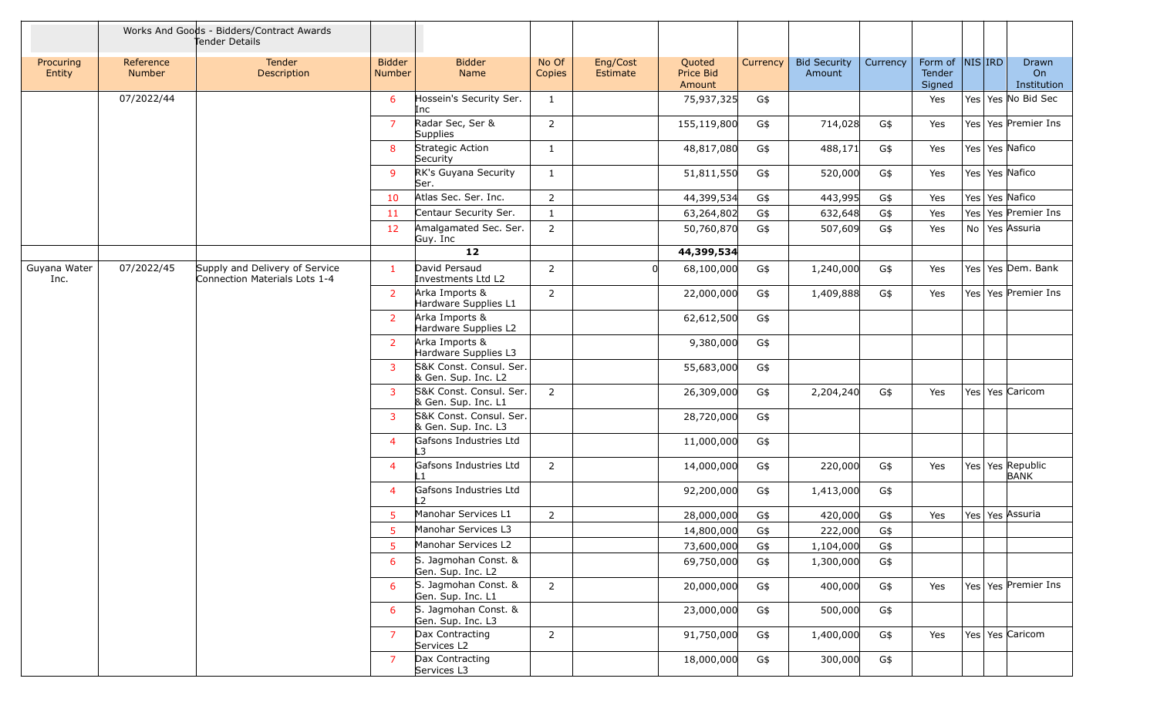|                      |                            | Works And Goods - Bidders/Contract Awards<br>Tender Details     |                                |                                                |                 |                             |                                      |          |                               |          |                             |                  |                            |
|----------------------|----------------------------|-----------------------------------------------------------------|--------------------------------|------------------------------------------------|-----------------|-----------------------------|--------------------------------------|----------|-------------------------------|----------|-----------------------------|------------------|----------------------------|
| Procuring<br>Entity  | Reference<br><b>Number</b> | Tender<br>Description                                           | <b>Bidder</b><br><b>Number</b> | <b>Bidder</b><br><b>Name</b>                   | No Of<br>Copies | Eng/Cost<br><b>Estimate</b> | Quoted<br><b>Price Bid</b><br>Amount | Currency | <b>Bid Security</b><br>Amount | Currency | Form of<br>Tender<br>Signed | $NIS $ IRD       | Drawn<br>On<br>Institution |
|                      | 07/2022/44                 |                                                                 | 6                              | Hossein's Security Ser.<br>Inc                 | 1               |                             | 75,937,325                           | G\$      |                               |          | Yes                         |                  | Yes   Yes   No Bid Sec     |
|                      |                            |                                                                 | $\overline{7}$                 | Radar Sec, Ser &<br>Supplies                   | 2               |                             | 155,119,800                          | G\$      | 714,028                       | G\$      | Yes                         |                  | Yes Yes Premier Ins        |
|                      |                            |                                                                 | 8                              | Strategic Action<br>Security                   | 1               |                             | 48,817,080                           | G\$      | 488,171                       | G\$      | Yes                         | Yes Yes Nafico   |                            |
|                      |                            |                                                                 | 9                              | RK's Guyana Security<br>Ser.                   | 1               |                             | 51,811,550                           | G\$      | 520,000                       | G\$      | Yes                         | Yes Yes Nafico   |                            |
|                      |                            |                                                                 | 10                             | Atlas Sec. Ser. Inc.                           | $\overline{2}$  |                             | 44,399,534                           | G\$      | 443,995                       | G\$      | Yes                         | Yes Yes Nafico   |                            |
|                      |                            |                                                                 | 11                             | Centaur Security Ser.                          | 1               |                             | 63,264,802                           | G\$      | 632,648                       | G\$      | Yes                         | Yes              | Yes Premier Ins            |
|                      |                            |                                                                 | 12                             | Amalgamated Sec. Ser.<br>Guy. Inc              | 2               |                             | 50,760,870                           | G\$      | 507,609                       | G\$      | Yes                         | No Yes Assuria   |                            |
|                      |                            |                                                                 |                                | 12                                             |                 |                             | 44,399,534                           |          |                               |          |                             |                  |                            |
| Guyana Water<br>Inc. | 07/2022/45                 | Supply and Delivery of Service<br>Connection Materials Lots 1-4 | $\mathbf{1}$                   | David Persaud<br>Investments Ltd L2            | 2               |                             | 68,100,000                           | G\$      | 1,240,000                     | G\$      | Yes                         |                  | Yes Yes Dem. Bank          |
|                      |                            |                                                                 | $\overline{2}$                 | Arka Imports &<br>Hardware Supplies L1         | $\overline{2}$  |                             | 22,000,000                           | G\$      | 1,409,888                     | G\$      | Yes                         |                  | Yes Yes Premier Ins        |
|                      |                            |                                                                 | $\overline{2}$                 | Arka Imports &<br>Hardware Supplies L2         |                 |                             | 62,612,500                           | G\$      |                               |          |                             |                  |                            |
|                      |                            |                                                                 | $\overline{2}$                 | Arka Imports &<br>Hardware Supplies L3         |                 |                             | 9,380,000                            | G\$      |                               |          |                             |                  |                            |
|                      |                            |                                                                 | 3                              | S&K Const. Consul. Ser.<br>& Gen. Sup. Inc. L2 |                 |                             | 55,683,000                           | G\$      |                               |          |                             |                  |                            |
|                      |                            |                                                                 | 3                              | S&K Const. Consul. Ser.<br>& Gen. Sup. Inc. L1 | $\overline{2}$  |                             | 26,309,000                           | G\$      | 2,204,240                     | G\$      | Yes                         | Yes Yes Caricom  |                            |
|                      |                            |                                                                 | $\mathbf{3}$                   | S&K Const. Consul. Ser.<br>& Gen. Sup. Inc. L3 |                 |                             | 28,720,000                           | G\$      |                               |          |                             |                  |                            |
|                      |                            |                                                                 | $\overline{4}$                 | Gafsons Industries Ltd<br>3                    |                 |                             | 11,000,000                           | G\$      |                               |          |                             |                  |                            |
|                      |                            |                                                                 | $\overline{4}$                 | Gafsons Industries Ltd<br>l 1                  | $\overline{2}$  |                             | 14,000,000                           | G\$      | 220,000                       | G\$      | Yes                         | Yes Yes Republic | <b>BANK</b>                |
|                      |                            |                                                                 | $\overline{4}$                 | Gafsons Industries Ltd<br>12                   |                 |                             | 92,200,000                           | G\$      | 1,413,000                     | G\$      |                             |                  |                            |
|                      |                            |                                                                 | 5                              | Manohar Services L1                            | $\mathsf{2}\,$  |                             | 28,000,000                           | G\$      | 420,000                       | $G\$     | Yes                         | Yes Yes Assuria  |                            |
|                      |                            |                                                                 | 5                              | Manohar Services L3                            |                 |                             | 14,800,000                           | G\$      | 222,000                       | G\$      |                             |                  |                            |
|                      |                            |                                                                 | 5                              | Manohar Services L2                            |                 |                             | 73,600,000                           | G\$      | 1,104,000                     | G\$      |                             |                  |                            |
|                      |                            |                                                                 | 6                              | S. Jagmohan Const. &<br>Gen. Sup. Inc. L2      |                 |                             | 69,750,000                           | G\$      | 1,300,000                     | G\$      |                             |                  |                            |
|                      |                            |                                                                 | 6                              | S. Jagmohan Const. &<br>Gen. Sup. Inc. L1      | $2^{\circ}$     |                             | 20,000,000                           | G\$      | 400,000                       | G\$      | Yes                         |                  | Yes Yes Premier Ins        |
|                      |                            |                                                                 | 6                              | S. Jagmohan Const. &<br>Gen. Sup. Inc. L3      |                 |                             | 23,000,000                           | G\$      | 500,000                       | G\$      |                             |                  |                            |
|                      |                            |                                                                 | $\overline{7}$                 | Dax Contracting<br>Services L2                 | $\overline{2}$  |                             | 91,750,000                           | G\$      | 1,400,000                     | G\$      | Yes                         | Yes Yes Caricom  |                            |
|                      |                            |                                                                 | $\overline{7}$                 | Dax Contracting<br>Services L3                 |                 |                             | 18,000,000                           | G\$      | 300,000                       | G\$      |                             |                  |                            |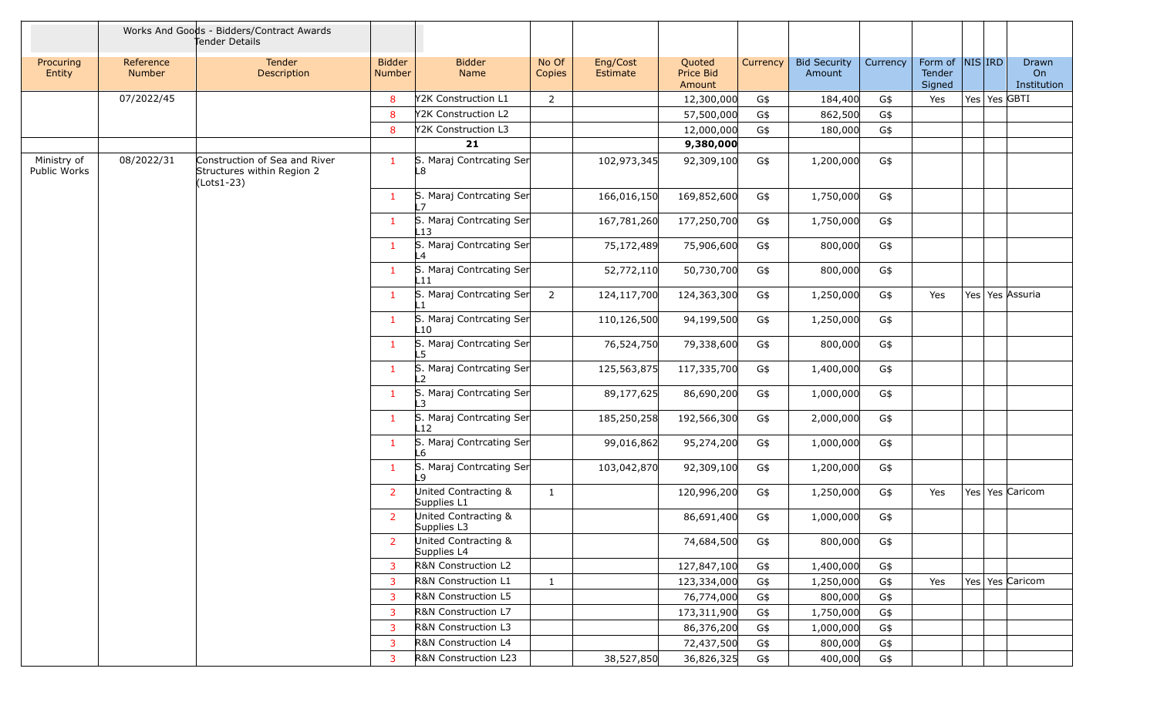|                             |                     | Works And Goods - Bidders/Contract Awards<br>Tender Details               |                         |                                     |                 |                      |                                      |          |                               |          |                             |            |              |                            |
|-----------------------------|---------------------|---------------------------------------------------------------------------|-------------------------|-------------------------------------|-----------------|----------------------|--------------------------------------|----------|-------------------------------|----------|-----------------------------|------------|--------------|----------------------------|
| Procuring<br>Entity         | Reference<br>Number | Tender<br>Description                                                     | <b>Bidder</b><br>Number | <b>Bidder</b><br>Name               | No Of<br>Copies | Eng/Cost<br>Estimate | Quoted<br><b>Price Bid</b><br>Amount | Currency | <b>Bid Security</b><br>Amount | Currency | Form of<br>Tender<br>Signed | $NIS $ IRD |              | Drawn<br>On<br>Institution |
|                             | 07/2022/45          |                                                                           | 8                       | Y2K Construction L1                 | 2               |                      | 12,300,000                           | G\$      | 184,400                       | G\$      | Yes                         |            | Yes Yes GBTI |                            |
|                             |                     |                                                                           | 8                       | Y2K Construction L2                 |                 |                      | 57,500,000                           | G\$      | 862,500                       | G\$      |                             |            |              |                            |
|                             |                     |                                                                           | 8                       | Y2K Construction L3                 |                 |                      | 12,000,000                           | G\$      | 180,000                       | G\$      |                             |            |              |                            |
|                             |                     |                                                                           |                         | 21                                  |                 |                      | 9,380,000                            |          |                               |          |                             |            |              |                            |
| Ministry of<br>Public Works | 08/2022/31          | Construction of Sea and River<br>Structures within Region 2<br>(Lots1-23) | 1                       | S. Maraj Contrcating Ser<br>L8      |                 | 102,973,345          | 92,309,100                           | G\$      | 1,200,000                     | G\$      |                             |            |              |                            |
|                             |                     |                                                                           | $\mathbf{1}$            | S. Maraj Contrcating Ser            |                 | 166,016,150          | 169,852,600                          | G\$      | 1,750,000                     | G\$      |                             |            |              |                            |
|                             |                     |                                                                           | $\mathbf{1}$            | S. Maraj Contrcating Ser<br>L13     |                 | 167,781,260          | 177,250,700                          | G\$      | 1,750,000                     | G\$      |                             |            |              |                            |
|                             |                     |                                                                           | $\mathbf{1}$            | S. Maraj Contrcating Ser<br>ll 4    |                 | 75,172,489           | 75,906,600                           | G\$      | 800,000                       | G\$      |                             |            |              |                            |
|                             |                     |                                                                           | $\mathbf{1}$            | S. Maraj Contrcating Ser<br>L11     |                 | 52,772,110           | 50,730,700                           | G\$      | 800,000                       | G\$      |                             |            |              |                            |
|                             |                     |                                                                           | $\mathbf{1}$            | S. Maraj Contrcating Ser            | 2               | 124,117,700          | 124,363,300                          | G\$      | 1,250,000                     | G\$      | Yes                         |            |              | Yes Yes Assuria            |
|                             |                     |                                                                           | $\mathbf{1}$            | S. Maraj Contrcating Ser<br>L10     |                 | 110,126,500          | 94,199,500                           | G\$      | 1,250,000                     | G\$      |                             |            |              |                            |
|                             |                     |                                                                           | $\mathbf{1}$            | S. Maraj Contrcating Ser            |                 | 76,524,750           | 79,338,600                           | G\$      | 800,000                       | G\$      |                             |            |              |                            |
|                             |                     |                                                                           | $\mathbf{1}$            | S. Maraj Contrcating Ser<br>12      |                 | 125,563,875          | 117,335,700                          | G\$      | 1,400,000                     | G\$      |                             |            |              |                            |
|                             |                     |                                                                           | $\mathbf{1}$            | S. Maraj Contrcating Ser            |                 | 89,177,625           | 86,690,200                           | G\$      | 1,000,000                     | G\$      |                             |            |              |                            |
|                             |                     |                                                                           | $\mathbf{1}$            | S. Maraj Contrcating Ser<br>$_{12}$ |                 | 185,250,258          | 192,566,300                          | G\$      | 2,000,000                     | G\$      |                             |            |              |                            |
|                             |                     |                                                                           | $\mathbf{1}$            | S. Maraj Contrcating Ser<br>-6      |                 | 99,016,862           | 95,274,200                           | G\$      | 1,000,000                     | G\$      |                             |            |              |                            |
|                             |                     |                                                                           | $\mathbf{1}$            | S. Maraj Contrcating Ser            |                 | 103,042,870          | 92,309,100                           | G\$      | 1,200,000                     | G\$      |                             |            |              |                            |
|                             |                     |                                                                           | $\overline{2}$          | United Contracting &<br>Supplies L1 | $\mathbf{1}$    |                      | 120,996,200                          | G\$      | 1,250,000                     | G\$      | Yes                         |            |              | Yes Yes Caricom            |
|                             |                     |                                                                           | $\overline{2}$          | United Contracting &<br>Supplies L3 |                 |                      | 86,691,400                           | G\$      | 1,000,000                     | G\$      |                             |            |              |                            |
|                             |                     |                                                                           | $\overline{2}$          | United Contracting &<br>Supplies L4 |                 |                      | 74,684,500                           | G\$      | 800,000                       | G\$      |                             |            |              |                            |
|                             |                     |                                                                           | 3                       | R&N Construction L2                 |                 |                      | 127,847,100                          | G\$      | 1,400,000                     | G\$      |                             |            |              |                            |
|                             |                     |                                                                           | 3                       | R&N Construction L1                 | $\mathbf{1}$    |                      | 123,334,000                          | G\$      | 1,250,000                     | G\$      | Yes                         |            |              | Yes   Yes   Caricom        |
|                             |                     |                                                                           | 3                       | R&N Construction L5                 |                 |                      | 76,774,000                           | G\$      | 800,000                       | G\$      |                             |            |              |                            |
|                             |                     |                                                                           | 3                       | R&N Construction L7                 |                 |                      | 173,311,900                          | G\$      | 1,750,000                     | G\$      |                             |            |              |                            |
|                             |                     |                                                                           | 3                       | R&N Construction L3                 |                 |                      | 86,376,200                           | G\$      | 1,000,000                     | G\$      |                             |            |              |                            |
|                             |                     |                                                                           | 3                       | R&N Construction L4                 |                 |                      | 72,437,500                           | G\$      | 800,000                       | G\$      |                             |            |              |                            |
|                             |                     |                                                                           | 3                       | R&N Construction L23                |                 | 38,527,850           | 36,826,325                           | G\$      | 400,000                       | G\$      |                             |            |              |                            |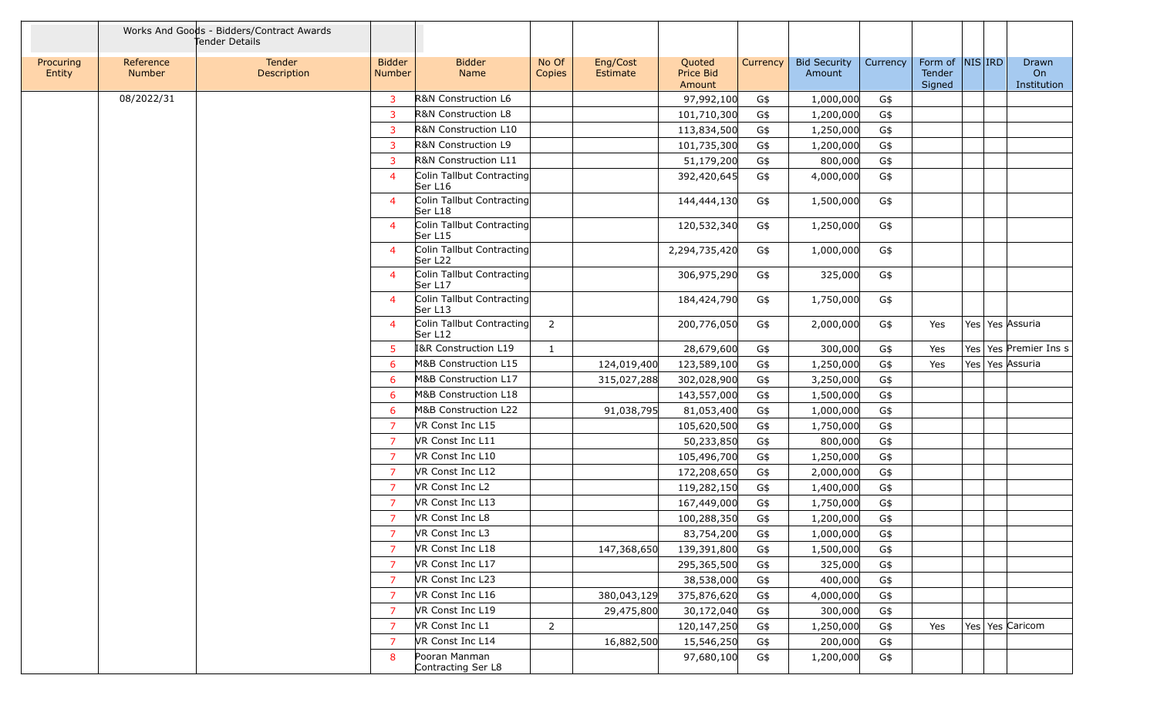|                     |                     | Works And Goods - Bidders/Contract Awards<br>Tender Details |                                |                                      |                 |                      |                               |          |                               |          |                             |            |                            |
|---------------------|---------------------|-------------------------------------------------------------|--------------------------------|--------------------------------------|-----------------|----------------------|-------------------------------|----------|-------------------------------|----------|-----------------------------|------------|----------------------------|
| Procuring<br>Entity | Reference<br>Number | Tender<br>Description                                       | <b>Bidder</b><br><b>Number</b> | <b>Bidder</b><br>Name                | No Of<br>Copies | Eng/Cost<br>Estimate | Quoted<br>Price Bid<br>Amount | Currency | <b>Bid Security</b><br>Amount | Currency | Form of<br>Tender<br>Signed | $NIS $ IRD | Drawn<br>On<br>Institution |
|                     | 08/2022/31          |                                                             | 3                              | R&N Construction L6                  |                 |                      | 97,992,100                    | G\$      | 1,000,000                     | G\$      |                             |            |                            |
|                     |                     |                                                             | 3                              | R&N Construction L8                  |                 |                      | 101,710,300                   | G\$      | 1,200,000                     | G\$      |                             |            |                            |
|                     |                     |                                                             | 3                              | <b>R&amp;N Construction L10</b>      |                 |                      | 113,834,500                   | G\$      | 1,250,000                     | G\$      |                             |            |                            |
|                     |                     |                                                             | 3                              | R&N Construction L9                  |                 |                      | 101,735,300                   | G\$      | 1,200,000                     | G\$      |                             |            |                            |
|                     |                     |                                                             | 3                              | R&N Construction L11                 |                 |                      | 51,179,200                    | G\$      | 800,000                       | G\$      |                             |            |                            |
|                     |                     |                                                             | $\overline{4}$                 | Colin Tallbut Contracting<br>Ser L16 |                 |                      | 392,420,645                   | G\$      | 4,000,000                     | G\$      |                             |            |                            |
|                     |                     |                                                             | $\overline{4}$                 | Colin Tallbut Contracting<br>Ser L18 |                 |                      | 144,444,130                   | G\$      | 1,500,000                     | G\$      |                             |            |                            |
|                     |                     |                                                             | $\overline{a}$                 | Colin Tallbut Contracting<br>Ser L15 |                 |                      | 120,532,340                   | G\$      | 1,250,000                     | G\$      |                             |            |                            |
|                     |                     |                                                             | $\overline{a}$                 | Colin Tallbut Contracting<br>Ser L22 |                 |                      | 2,294,735,420                 | G\$      | 1,000,000                     | G\$      |                             |            |                            |
|                     |                     |                                                             | $\overline{a}$                 | Colin Tallbut Contracting<br>Ser L17 |                 |                      | 306,975,290                   | G\$      | 325,000                       | G\$      |                             |            |                            |
|                     |                     |                                                             | $\overline{4}$                 | Colin Tallbut Contracting<br>Ser L13 |                 |                      | 184,424,790                   | G\$      | 1,750,000                     | G\$      |                             |            |                            |
|                     |                     |                                                             | $\overline{a}$                 | Colin Tallbut Contracting<br>Ser L12 | 2               |                      | 200,776,050                   | G\$      | 2,000,000                     | G\$      | Yes                         |            | Yes   Yes   Assuria        |
|                     |                     |                                                             | 5                              | I&R Construction L19                 | 1               |                      | 28,679,600                    | G\$      | 300,000                       | G\$      | Yes                         |            | Yes Yes Premier Ins s      |
|                     |                     |                                                             | 6                              | M&B Construction L15                 |                 | 124,019,400          | 123,589,100                   | G\$      | 1,250,000                     | G\$      | Yes                         |            | Yes   Yes   Assuria        |
|                     |                     |                                                             | 6                              | M&B Construction L17                 |                 | 315,027,288          | 302,028,900                   | G\$      | 3,250,000                     | G\$      |                             |            |                            |
|                     |                     |                                                             | 6                              | M&B Construction L18                 |                 |                      | 143,557,000                   | G\$      | 1,500,000                     | G\$      |                             |            |                            |
|                     |                     |                                                             | 6                              | M&B Construction L22                 |                 | 91,038,795           | 81,053,400                    | G\$      | 1,000,000                     | G\$      |                             |            |                            |
|                     |                     |                                                             | $\overline{7}$                 | VR Const Inc L15                     |                 |                      | 105,620,500                   | G\$      | 1,750,000                     | G\$      |                             |            |                            |
|                     |                     |                                                             | $\overline{7}$                 | VR Const Inc L11                     |                 |                      | 50,233,850                    | G\$      | 800,000                       | G\$      |                             |            |                            |
|                     |                     |                                                             | $\overline{7}$                 | VR Const Inc L10                     |                 |                      | 105,496,700                   | G\$      | 1,250,000                     | G\$      |                             |            |                            |
|                     |                     |                                                             | $\overline{7}$                 | VR Const Inc L12                     |                 |                      | 172,208,650                   | G\$      | 2,000,000                     | G\$      |                             |            |                            |
|                     |                     |                                                             | 7                              | VR Const Inc L2                      |                 |                      | 119,282,150                   | G\$      | 1,400,000                     | G\$      |                             |            |                            |
|                     |                     |                                                             | $\overline{7}$                 | VR Const Inc L13                     |                 |                      | 167,449,000                   | G\$      | 1,750,000                     | G\$      |                             |            |                            |
|                     |                     |                                                             | $\overline{7}$                 | VR Const Inc L8                      |                 |                      | 100,288,350                   | G\$      | 1,200,000                     | G\$      |                             |            |                            |
|                     |                     |                                                             | $\overline{7}$                 | VR Const Inc L3                      |                 |                      | 83,754,200                    | G\$      | 1,000,000                     | G\$      |                             |            |                            |
|                     |                     |                                                             | 7                              | VR Const Inc L18                     |                 | 147,368,650          | 139,391,800                   | G\$      | 1,500,000                     | G\$      |                             |            |                            |
|                     |                     |                                                             | $\overline{7}$                 | VR Const Inc L17                     |                 |                      | 295,365,500                   | G\$      | 325,000                       | G\$      |                             |            |                            |
|                     |                     |                                                             | $\overline{7}$                 | VR Const Inc L23                     |                 |                      | 38,538,000                    | G\$      | 400,000                       | G\$      |                             |            |                            |
|                     |                     |                                                             | $\overline{7}$                 | VR Const Inc L16                     |                 | 380,043,129          | 375,876,620                   | G\$      | 4,000,000                     | G\$      |                             |            |                            |
|                     |                     |                                                             | 7                              | VR Const Inc L19                     |                 | 29,475,800           | 30,172,040                    | G\$      | 300,000                       | G\$      |                             |            |                            |
|                     |                     |                                                             | $\overline{7}$                 | VR Const Inc L1                      | $\overline{2}$  |                      | 120,147,250                   | G\$      | 1,250,000                     | G\$      | Yes                         |            | Yes Yes Caricom            |
|                     |                     |                                                             | $\overline{7}$                 | VR Const Inc L14                     |                 | 16,882,500           | 15,546,250                    | G\$      | 200,000                       | G\$      |                             |            |                            |
|                     |                     |                                                             | 8                              | Pooran Manman<br>Contracting Ser L8  |                 |                      | 97,680,100                    | G\$      | 1,200,000                     | G\$      |                             |            |                            |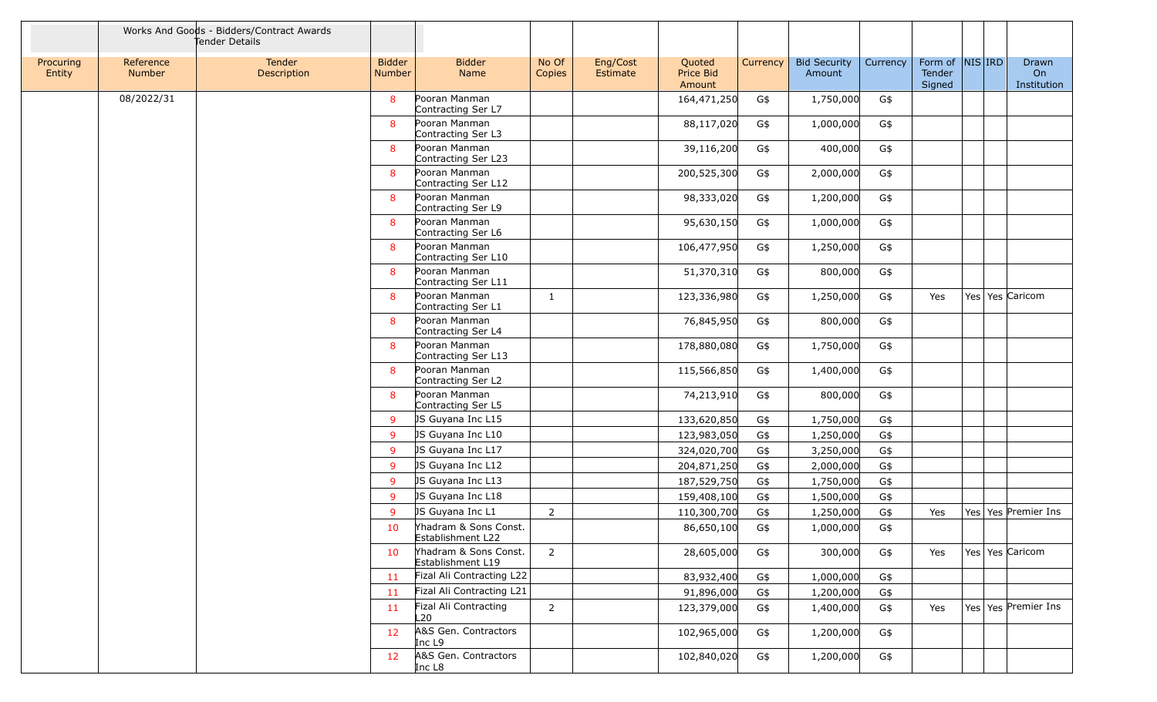|                     |                     | Works And Goods - Bidders/Contract Awards<br>Tender Details |                                |                                            |                 |                                                       |          |                               |          |                             |            |                            |
|---------------------|---------------------|-------------------------------------------------------------|--------------------------------|--------------------------------------------|-----------------|-------------------------------------------------------|----------|-------------------------------|----------|-----------------------------|------------|----------------------------|
| Procuring<br>Entity | Reference<br>Number | Tender<br>Description                                       | <b>Bidder</b><br><b>Number</b> | <b>Bidder</b><br>Name                      | No Of<br>Copies | Eng/Cost<br>Quoted<br>Price Bid<br>Estimate<br>Amount | Currency | <b>Bid Security</b><br>Amount | Currency | Form of<br>Tender<br>Signed | $NIS $ IRD | Drawn<br>On<br>Institution |
|                     | 08/2022/31          |                                                             | 8                              | Pooran Manman<br>Contracting Ser L7        |                 | 164,471,250                                           | G\$      | 1,750,000                     | G\$      |                             |            |                            |
|                     |                     |                                                             | 8                              | Pooran Manman<br>Contracting Ser L3        |                 | 88,117,020                                            | G\$      | 1,000,000                     | G\$      |                             |            |                            |
|                     |                     |                                                             | 8                              | Pooran Manman<br>Contracting Ser L23       |                 | 39,116,200                                            | G\$      | 400,000                       | G\$      |                             |            |                            |
|                     |                     |                                                             | 8                              | Pooran Manman<br>Contracting Ser L12       |                 | 200,525,300                                           | G\$      | 2,000,000                     | G\$      |                             |            |                            |
|                     |                     |                                                             | 8                              | Pooran Manman<br>Contracting Ser L9        |                 | 98,333,020                                            | G\$      | 1,200,000                     | G\$      |                             |            |                            |
|                     |                     |                                                             | 8                              | Pooran Manman<br>Contracting Ser L6        |                 | 95,630,150                                            | G\$      | 1,000,000                     | G\$      |                             |            |                            |
|                     |                     |                                                             | 8                              | Pooran Manman<br>Contracting Ser L10       |                 | 106,477,950                                           | G\$      | 1,250,000                     | G\$      |                             |            |                            |
|                     |                     |                                                             | 8                              | Pooran Manman<br>Contracting Ser L11       |                 | 51,370,310                                            | G\$      | 800,000                       | G\$      |                             |            |                            |
|                     |                     |                                                             | 8                              | Pooran Manman<br>Contracting Ser L1        | 1               | 123,336,980                                           | G\$      | 1,250,000                     | G\$      | Yes                         |            | Yes   Yes   Caricom        |
|                     |                     |                                                             | 8                              | Pooran Manman<br>Contracting Ser L4        |                 | 76,845,950                                            | G\$      | 800,000                       | G\$      |                             |            |                            |
|                     |                     |                                                             | 8                              | Pooran Manman<br>Contracting Ser L13       |                 | 178,880,080                                           | G\$      | 1,750,000                     | G\$      |                             |            |                            |
|                     |                     |                                                             | 8                              | Pooran Manman<br>Contracting Ser L2        |                 | 115,566,850                                           | G\$      | 1,400,000                     | G\$      |                             |            |                            |
|                     |                     |                                                             | 8                              | Pooran Manman                              |                 | 74,213,910                                            | G\$      | 800,000                       | G\$      |                             |            |                            |
|                     |                     |                                                             | 9                              | Contracting Ser L5<br>JS Guyana Inc L15    |                 | 133,620,850                                           | G\$      | 1,750,000                     | G\$      |                             |            |                            |
|                     |                     |                                                             | 9                              | JS Guyana Inc L10                          |                 | 123,983,050                                           | G\$      | 1,250,000                     | G\$      |                             |            |                            |
|                     |                     |                                                             | $\overline{9}$                 | JS Guyana Inc L17                          |                 | 324,020,700                                           | G\$      | 3,250,000                     | G\$      |                             |            |                            |
|                     |                     |                                                             | 9                              | JS Guyana Inc L12                          |                 | 204,871,250                                           | G\$      | 2,000,000                     | G\$      |                             |            |                            |
|                     |                     |                                                             | 9                              | JS Guyana Inc L13                          |                 | 187,529,750                                           | G\$      | 1,750,000                     | G\$      |                             |            |                            |
|                     |                     |                                                             | 9                              | JS Guyana Inc L18                          |                 | 159,408,100                                           | G\$      | 1,500,000                     | G\$      |                             |            |                            |
|                     |                     |                                                             | 9                              | JS Guyana Inc L1                           | $\overline{2}$  | 110,300,700                                           | G\$      | 1,250,000                     | G\$      | Yes                         |            | Yes Yes Premier Ins        |
|                     |                     |                                                             | 10                             | Yhadram & Sons Const.<br>Establishment L22 |                 | 86,650,100                                            | G\$      | 1,000,000                     | G\$      |                             |            |                            |
|                     |                     |                                                             | 10                             | Yhadram & Sons Const.<br>Establishment L19 | 2               | 28,605,000                                            | G\$      | 300,000                       | G\$      | Yes                         |            | Yes   Yes   Caricom        |
|                     |                     |                                                             | 11                             | Fizal Ali Contracting L22                  |                 | 83,932,400                                            | G\$      | 1,000,000                     | G\$      |                             |            |                            |
|                     |                     |                                                             | 11                             | Fizal Ali Contracting L21                  |                 | 91,896,000                                            | G\$      | 1,200,000                     | G\$      |                             |            |                            |
|                     |                     |                                                             | 11                             | Fizal Ali Contracting<br>L20               | $\overline{2}$  | 123,379,000                                           | G\$      | 1,400,000                     | G\$      | Yes                         |            | Yes   Yes   Premier Ins    |
|                     |                     |                                                             | 12                             | A&S Gen. Contractors<br>Inc L9             |                 | 102,965,000                                           | G\$      | 1,200,000                     | G\$      |                             |            |                            |
|                     |                     |                                                             | 12                             | A&S Gen. Contractors<br>Inc L8             |                 | 102,840,020                                           | G\$      | 1,200,000                     | G\$      |                             |            |                            |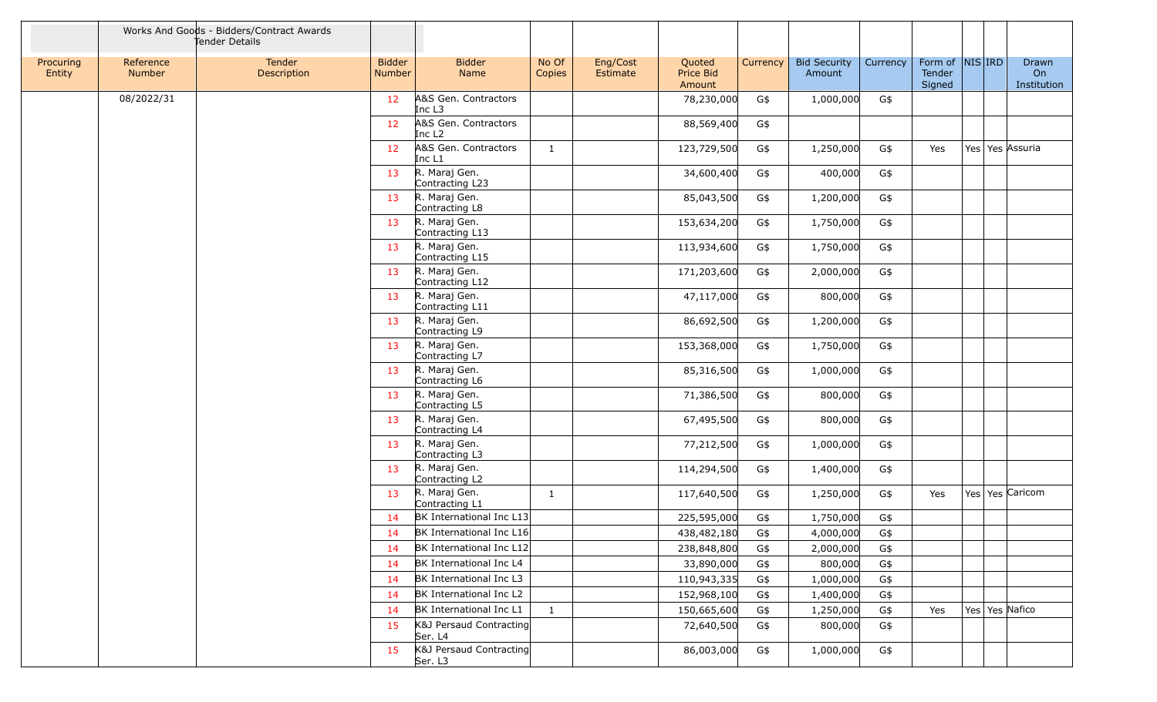|                     |                            | Works And Goods - Bidders/Contract Awards<br>Tender Details |                                |                                            |                 |                      |                               |          |                               |          |                             |            |                            |
|---------------------|----------------------------|-------------------------------------------------------------|--------------------------------|--------------------------------------------|-----------------|----------------------|-------------------------------|----------|-------------------------------|----------|-----------------------------|------------|----------------------------|
| Procuring<br>Entity | Reference<br><b>Number</b> | Tender<br>Description                                       | <b>Bidder</b><br><b>Number</b> | <b>Bidder</b><br>Name                      | No Of<br>Copies | Eng/Cost<br>Estimate | Quoted<br>Price Bid<br>Amount | Currency | <b>Bid Security</b><br>Amount | Currency | Form of<br>Tender<br>Signed | $NIS $ IRD | Drawn<br>On<br>Institution |
|                     | 08/2022/31                 |                                                             | 12                             | A&S Gen. Contractors<br>Inc L3             |                 |                      | 78,230,000                    | G\$      | 1,000,000                     | G\$      |                             |            |                            |
|                     |                            |                                                             | 12                             | A&S Gen. Contractors<br>Inc L <sub>2</sub> |                 |                      | 88,569,400                    | G\$      |                               |          |                             |            |                            |
|                     |                            |                                                             | 12                             | A&S Gen. Contractors<br>Inc L1             | $\mathbf{1}$    |                      | 123,729,500                   | G\$      | 1,250,000                     | G\$      | Yes                         |            | Yes Yes Assuria            |
|                     |                            |                                                             | 13                             | R. Maraj Gen.<br>Contracting L23           |                 |                      | 34,600,400                    | G\$      | 400,000                       | G\$      |                             |            |                            |
|                     |                            |                                                             | 13                             | R. Maraj Gen.<br>Contracting L8            |                 |                      | 85,043,500                    | G\$      | 1,200,000                     | G\$      |                             |            |                            |
|                     |                            |                                                             | 13                             | R. Maraj Gen.<br>Contracting L13           |                 |                      | 153,634,200                   | G\$      | 1,750,000                     | G\$      |                             |            |                            |
|                     |                            |                                                             | 13                             | R. Maraj Gen.<br>Contracting L15           |                 |                      | 113,934,600                   | G\$      | 1,750,000                     | G\$      |                             |            |                            |
|                     |                            |                                                             | 13                             | R. Maraj Gen.<br>Contracting L12           |                 |                      | 171,203,600                   | G\$      | 2,000,000                     | G\$      |                             |            |                            |
|                     |                            |                                                             | 13                             | R. Maraj Gen.<br>Contracting L11           |                 |                      | 47,117,000                    | G\$      | 800,000                       | G\$      |                             |            |                            |
|                     |                            |                                                             | 13                             | R. Maraj Gen.<br>Contracting L9            |                 |                      | 86,692,500                    | G\$      | 1,200,000                     | G\$      |                             |            |                            |
|                     |                            |                                                             | 13                             | R. Maraj Gen.<br>Contracting L7            |                 |                      | 153,368,000                   | G\$      | 1,750,000                     | G\$      |                             |            |                            |
|                     |                            |                                                             | 13                             | R. Maraj Gen.<br>Contracting L6            |                 |                      | 85,316,500                    | G\$      | 1,000,000                     | G\$      |                             |            |                            |
|                     |                            |                                                             | 13                             | R. Maraj Gen.<br>Contracting L5            |                 |                      | 71,386,500                    | G\$      | 800,000                       | G\$      |                             |            |                            |
|                     |                            |                                                             | 13                             | R. Maraj Gen.<br>Contracting L4            |                 |                      | 67,495,500                    | G\$      | 800,000                       | G\$      |                             |            |                            |
|                     |                            |                                                             | 13                             | R. Maraj Gen.<br>Contracting L3            |                 |                      | 77,212,500                    | G\$      | 1,000,000                     | G\$      |                             |            |                            |
|                     |                            |                                                             | 13                             | R. Maraj Gen.<br>Contracting L2            |                 |                      | 114,294,500                   | G\$      | 1,400,000                     | G\$      |                             |            |                            |
|                     |                            |                                                             | 13                             | R. Maraj Gen.<br>Contracting L1            | 1               |                      | 117,640,500                   | G\$      | 1,250,000                     | G\$      | Yes                         |            | Yes Yes Caricom            |
|                     |                            |                                                             | 14                             | BK International Inc L13                   |                 |                      | 225,595,000                   | G\$      | 1,750,000                     | G\$      |                             |            |                            |
|                     |                            |                                                             | 14                             | BK International Inc L16                   |                 |                      | 438,482,180                   | G\$      | 4,000,000                     | G\$      |                             |            |                            |
|                     |                            |                                                             | 14                             | BK International Inc L12                   |                 |                      | 238,848,800                   | G\$      | 2,000,000                     | G\$      |                             |            |                            |
|                     |                            |                                                             | 14                             | BK International Inc L4                    |                 |                      | 33,890,000                    | G\$      | 800,000                       | G\$      |                             |            |                            |
|                     |                            |                                                             | 14                             | BK International Inc L3                    |                 |                      | 110,943,335                   | G\$      | 1,000,000                     | G\$      |                             |            |                            |
|                     |                            |                                                             | 14                             | BK International Inc L2                    |                 |                      | 152,968,100                   | G\$      | 1,400,000                     | G\$      |                             |            |                            |
|                     |                            |                                                             | 14                             | BK International Inc L1                    | $\mathbf{1}$    |                      | 150,665,600                   | G\$      | 1,250,000                     | G\$      | Yes                         |            | Yes Yes Nafico             |
|                     |                            |                                                             | 15                             | K&J Persaud Contracting<br>Ser. L4         |                 |                      | 72,640,500                    | G\$      | 800,000                       | G\$      |                             |            |                            |
|                     |                            |                                                             | 15                             | K&J Persaud Contracting<br>Ser. L3         |                 |                      | 86,003,000                    | G\$      | 1,000,000                     | G\$      |                             |            |                            |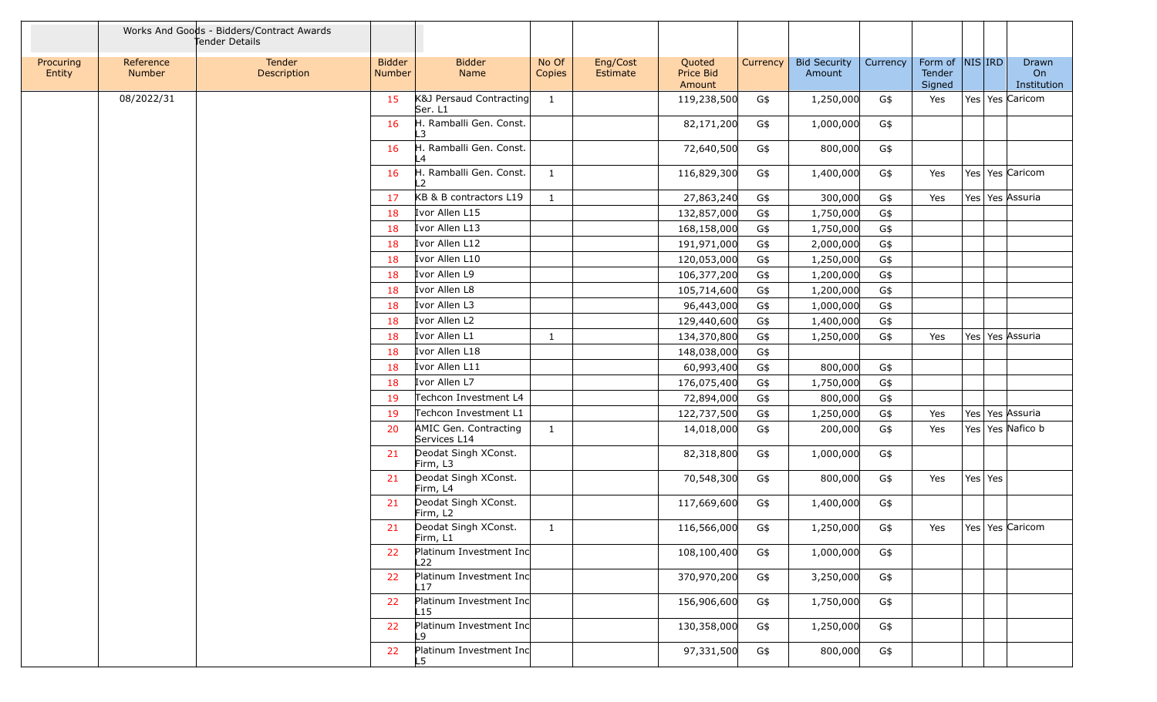|                     |                            | Works And Goods - Bidders/Contract Awards<br>Tender Details |                                |                                           |                 |                      |                               |          |                               |          |                             |                     |                            |
|---------------------|----------------------------|-------------------------------------------------------------|--------------------------------|-------------------------------------------|-----------------|----------------------|-------------------------------|----------|-------------------------------|----------|-----------------------------|---------------------|----------------------------|
| Procuring<br>Entity | Reference<br><b>Number</b> | Tender<br>Description                                       | <b>Bidder</b><br><b>Number</b> | <b>Bidder</b><br>Name                     | No Of<br>Copies | Eng/Cost<br>Estimate | Quoted<br>Price Bid<br>Amount | Currency | <b>Bid Security</b><br>Amount | Currency | Form of<br>Tender<br>Signed | $NIS $ IRD          | Drawn<br>On<br>Institution |
|                     | 08/2022/31                 |                                                             | 15                             | K&J Persaud Contracting<br>Ser. L1        | 1               |                      | 119,238,500                   | G\$      | 1,250,000                     | G\$      | Yes                         | Yes Yes Caricom     |                            |
|                     |                            |                                                             | 16                             | H. Ramballi Gen. Const.<br>L3             |                 |                      | 82,171,200                    | G\$      | 1,000,000                     | G\$      |                             |                     |                            |
|                     |                            |                                                             | 16                             | H. Ramballi Gen. Const.<br>$\overline{A}$ |                 |                      | 72,640,500                    | G\$      | 800,000                       | G\$      |                             |                     |                            |
|                     |                            |                                                             | 16                             | H. Ramballi Gen. Const.<br>L2             | $\mathbf{1}$    |                      | 116,829,300                   | G\$      | 1,400,000                     | G\$      | Yes                         | Yes   Yes   Caricom |                            |
|                     |                            |                                                             | 17                             | KB & B contractors L19                    | $\mathbf{1}$    |                      | 27,863,240                    | G\$      | 300,000                       | G\$      | Yes                         | Yes   Yes   Assuria |                            |
|                     |                            |                                                             | 18                             | Ivor Allen L15                            |                 |                      | 132,857,000                   | G\$      | 1,750,000                     | G\$      |                             |                     |                            |
|                     |                            |                                                             | 18                             | Ivor Allen L13                            |                 |                      | 168,158,000                   | G\$      | 1,750,000                     | G\$      |                             |                     |                            |
|                     |                            |                                                             | 18                             | Ivor Allen L12                            |                 |                      | 191,971,000                   | G\$      | 2,000,000                     | G\$      |                             |                     |                            |
|                     |                            |                                                             | 18                             | Ivor Allen L10                            |                 |                      | 120,053,000                   | G\$      | 1,250,000                     | G\$      |                             |                     |                            |
|                     |                            |                                                             | 18                             | Ivor Allen L9                             |                 |                      | 106,377,200                   | G\$      | 1,200,000                     | G\$      |                             |                     |                            |
|                     |                            |                                                             | 18                             | Ivor Allen L8                             |                 |                      | 105,714,600                   | G\$      | 1,200,000                     | G\$      |                             |                     |                            |
|                     |                            |                                                             | 18                             | Ivor Allen L3                             |                 |                      | 96,443,000                    | G\$      | 1,000,000                     | G\$      |                             |                     |                            |
|                     |                            |                                                             | 18                             | Ivor Allen L2                             |                 |                      | 129,440,600                   | G\$      | 1,400,000                     | G\$      |                             |                     |                            |
|                     |                            |                                                             | 18                             | Ivor Allen L1                             | -1              |                      | 134,370,800                   | G\$      | 1,250,000                     | G\$      | Yes                         | Yes   Yes   Assuria |                            |
|                     |                            |                                                             | 18                             | Ivor Allen L18                            |                 |                      | 148,038,000                   | G\$      |                               |          |                             |                     |                            |
|                     |                            |                                                             | 18                             | Ivor Allen L11                            |                 |                      | 60,993,400                    | G\$      | 800,000                       | G\$      |                             |                     |                            |
|                     |                            |                                                             | 18                             | Ivor Allen L7                             |                 |                      | 176,075,400                   | G\$      | 1,750,000                     | G\$      |                             |                     |                            |
|                     |                            |                                                             | 19                             | Techcon Investment L4                     |                 |                      | 72,894,000                    | G\$      | 800,000                       | G\$      |                             |                     |                            |
|                     |                            |                                                             | 19                             | Techcon Investment L1                     |                 |                      | 122,737,500                   | G\$      | 1,250,000                     | G\$      | Yes                         | Yes   Yes   Assuria |                            |
|                     |                            |                                                             | 20                             | AMIC Gen. Contracting<br>Services L14     | 1               |                      | 14,018,000                    | G\$      | 200,000                       | G\$      | Yes                         | Yes Yes Nafico b    |                            |
|                     |                            |                                                             | 21                             | Deodat Singh XConst.<br>Firm, L3          |                 |                      | 82,318,800                    | G\$      | 1,000,000                     | G\$      |                             |                     |                            |
|                     |                            |                                                             | 21                             | Deodat Singh XConst.<br>Firm, L4          |                 |                      | 70,548,300                    | G\$      | 800,000                       | G\$      | Yes                         | Yes Yes             |                            |
|                     |                            |                                                             | 21                             | Deodat Singh XConst.<br>Firm, L2          |                 |                      | 117,669,600                   | G\$      | 1,400,000                     | G\$      |                             |                     |                            |
|                     |                            |                                                             | 21                             | Deodat Singh XConst.<br>Firm, L1          | $\mathbf{1}$    |                      | 116,566,000                   | G\$      | 1,250,000                     | G\$      | Yes                         | Yes   Yes   Caricom |                            |
|                     |                            |                                                             | 22                             | Platinum Investment Inc<br>L22            |                 |                      | 108,100,400                   | G\$      | 1,000,000                     | G\$      |                             |                     |                            |
|                     |                            |                                                             | 22                             | Platinum Investment Inc<br>L17            |                 |                      | 370,970,200                   | G\$      | 3,250,000                     | G\$      |                             |                     |                            |
|                     |                            |                                                             | 22                             | Platinum Investment Inc<br>L15            |                 |                      | 156,906,600                   | G\$      | 1,750,000                     | G\$      |                             |                     |                            |
|                     |                            |                                                             | 22                             | Platinum Investment Inc<br>L9             |                 |                      | 130,358,000                   | G\$      | 1,250,000                     | G\$      |                             |                     |                            |
|                     |                            |                                                             | 22                             | Platinum Investment Inc<br>L5.            |                 |                      | 97,331,500                    | G\$      | 800,000                       | G\$      |                             |                     |                            |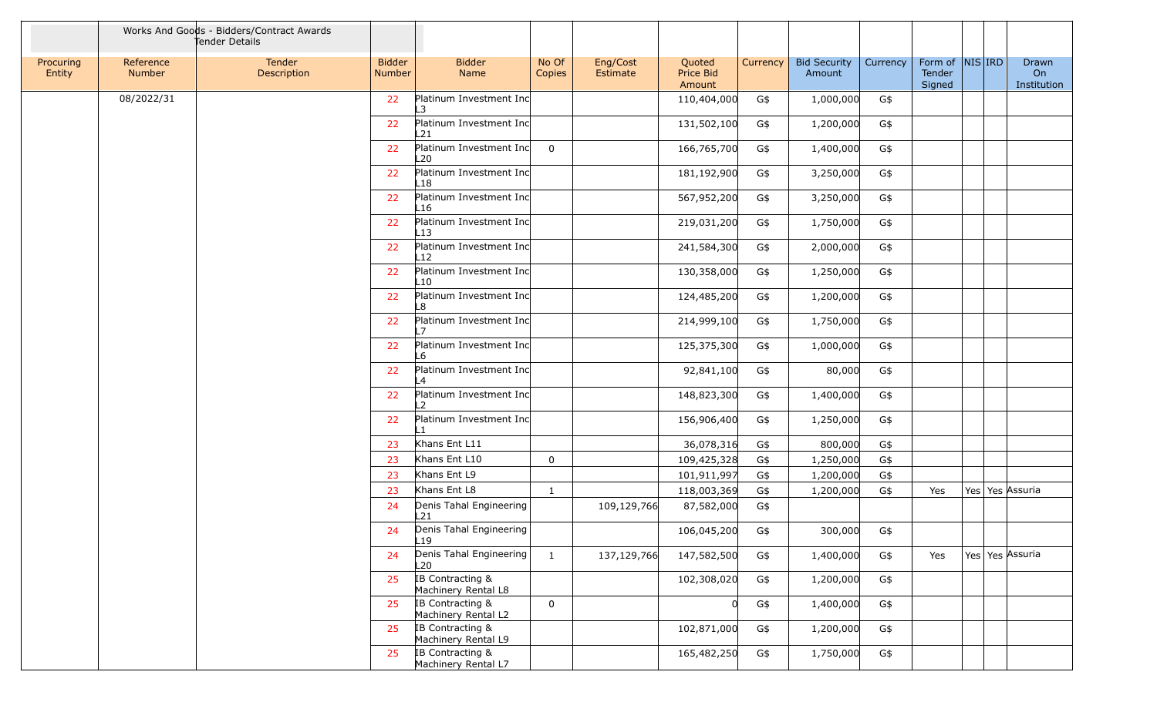|                     |                            | Works And Goods - Bidders/Contract Awards<br>Tender Details |                                |                                                    |                 |                      |                               |          |                               |          |                             |            |                            |
|---------------------|----------------------------|-------------------------------------------------------------|--------------------------------|----------------------------------------------------|-----------------|----------------------|-------------------------------|----------|-------------------------------|----------|-----------------------------|------------|----------------------------|
| Procuring<br>Entity | Reference<br><b>Number</b> | Tender<br>Description                                       | <b>Bidder</b><br><b>Number</b> | <b>Bidder</b><br>Name                              | No Of<br>Copies | Eng/Cost<br>Estimate | Quoted<br>Price Bid<br>Amount | Currency | <b>Bid Security</b><br>Amount | Currency | Form of<br>Tender<br>Signed | $NIS $ IRD | Drawn<br>On<br>Institution |
|                     | 08/2022/31                 |                                                             | 22                             | Platinum Investment Inc<br>$\overline{\mathbf{3}}$ |                 |                      | 110,404,000                   | G\$      | 1,000,000                     | G\$      |                             |            |                            |
|                     |                            |                                                             | 22                             | Platinum Investment Inc<br>L21                     |                 |                      | 131,502,100                   | G\$      | 1,200,000                     | G\$      |                             |            |                            |
|                     |                            |                                                             | 22                             | Platinum Investment Inc<br>L20                     | $\overline{0}$  |                      | 166,765,700                   | G\$      | 1,400,000                     | G\$      |                             |            |                            |
|                     |                            |                                                             | 22                             | Platinum Investment Inc<br>-18                     |                 |                      | 181,192,900                   | G\$      | 3,250,000                     | G\$      |                             |            |                            |
|                     |                            |                                                             | 22                             | Platinum Investment Inc<br>-16                     |                 |                      | 567,952,200                   | G\$      | 3,250,000                     | G\$      |                             |            |                            |
|                     |                            |                                                             | 22                             | Platinum Investment Inc<br>-13                     |                 |                      | 219,031,200                   | G\$      | 1,750,000                     | G\$      |                             |            |                            |
|                     |                            |                                                             | 22                             | Platinum Investment Inc<br>$_{12}$                 |                 |                      | 241,584,300                   | G\$      | 2,000,000                     | G\$      |                             |            |                            |
|                     |                            |                                                             | 22                             | Platinum Investment Inc<br>-10                     |                 |                      | 130,358,000                   | G\$      | 1,250,000                     | G\$      |                             |            |                            |
|                     |                            |                                                             | 22                             | Platinum Investment Inc<br>-8                      |                 |                      | 124,485,200                   | G\$      | 1,200,000                     | G\$      |                             |            |                            |
|                     |                            |                                                             | 22                             | Platinum Investment Inc<br>$\overline{ }$          |                 |                      | 214,999,100                   | G\$      | 1,750,000                     | G\$      |                             |            |                            |
|                     |                            |                                                             | 22                             | Platinum Investment Inc<br>-6                      |                 |                      | 125,375,300                   | G\$      | 1,000,000                     | G\$      |                             |            |                            |
|                     |                            |                                                             | 22                             | Platinum Investment Inc<br>$\boldsymbol{\Delta}$   |                 |                      | 92,841,100                    | G\$      | 80,000                        | G\$      |                             |            |                            |
|                     |                            |                                                             | 22                             | Platinum Investment Inc<br>$\overline{2}$          |                 |                      | 148,823,300                   | G\$      | 1,400,000                     | G\$      |                             |            |                            |
|                     |                            |                                                             | 22                             | Platinum Investment Inc                            |                 |                      | 156,906,400                   | G\$      | 1,250,000                     | G\$      |                             |            |                            |
|                     |                            |                                                             | 23                             | Khans Ent L11                                      |                 |                      | 36,078,316                    | G\$      | 800,000                       | G\$      |                             |            |                            |
|                     |                            |                                                             | 23                             | Khans Ent L10                                      | $\mathsf 0$     |                      | 109,425,328                   | G\$      | 1,250,000                     | G\$      |                             |            |                            |
|                     |                            |                                                             | 23                             | Khans Ent L9                                       |                 |                      | 101,911,997                   | G\$      | 1,200,000                     | G\$      |                             |            |                            |
|                     |                            |                                                             | 23                             | Khans Ent L8                                       | $\mathbf{1}$    |                      | 118,003,369                   | G\$      | 1,200,000                     | G\$      | Yes                         |            | Yes Yes Assuria            |
|                     |                            |                                                             | 24                             | Denis Tahal Engineering<br>L21                     |                 | 109,129,766          | 87,582,000                    | G\$      |                               |          |                             |            |                            |
|                     |                            |                                                             | 24                             | Denis Tahal Engineering<br>L <sub>19</sub>         |                 |                      | 106,045,200                   | G\$      | 300,000                       | G\$      |                             |            |                            |
|                     |                            |                                                             | 24                             | Denis Tahal Engineering<br>L20                     | $\mathbf{1}$    | 137,129,766          | 147,582,500                   | G\$      | 1,400,000                     | G\$      | Yes                         |            | Yes Yes Assuria            |
|                     |                            |                                                             | 25                             | IB Contracting &<br>Machinery Rental L8            |                 |                      | 102,308,020                   | G\$      | 1,200,000                     | G\$      |                             |            |                            |
|                     |                            |                                                             | 25                             | IB Contracting &<br>Machinery Rental L2            | $\overline{0}$  |                      |                               | G\$      | 1,400,000                     | G\$      |                             |            |                            |
|                     |                            |                                                             | 25                             | IB Contracting &<br>Machinery Rental L9            |                 |                      | 102,871,000                   | G\$      | 1,200,000                     | G\$      |                             |            |                            |
|                     |                            |                                                             | 25                             | IB Contracting &<br>Machinery Rental L7            |                 |                      | 165,482,250                   | G\$      | 1,750,000                     | G\$      |                             |            |                            |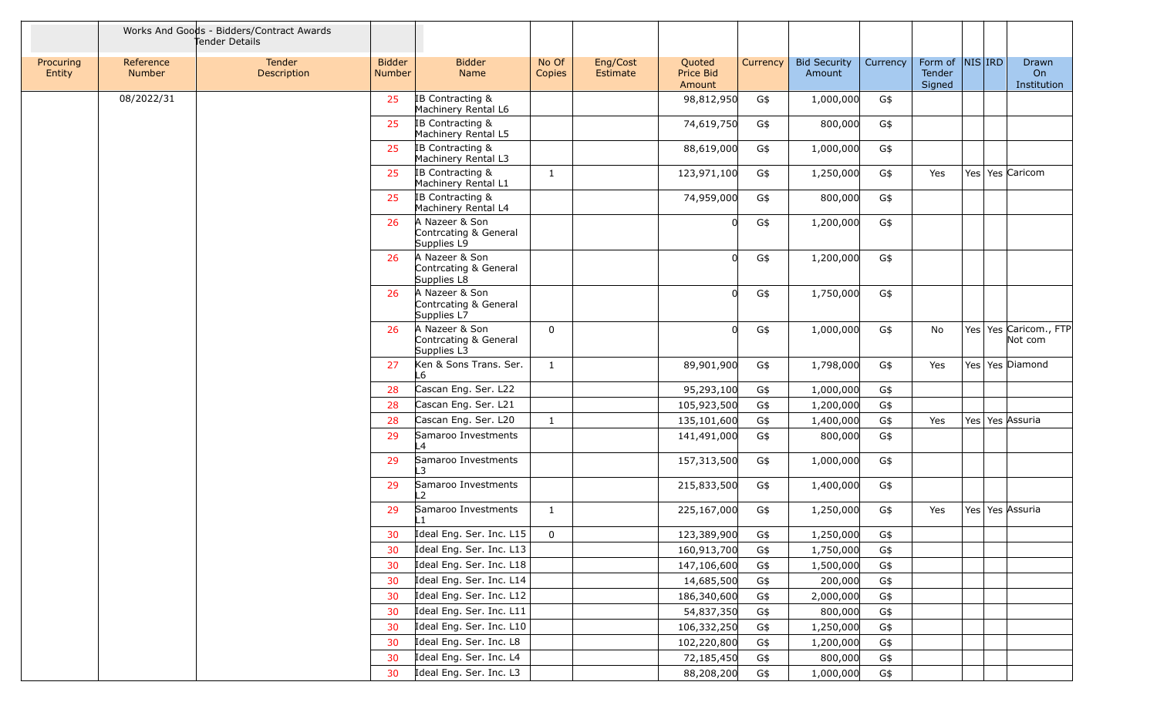|                     |                     | Works And Goods - Bidders/Contract Awards<br>Tender Details |                                |                                                        |                 |                      |                                      |          |                               |          |                             |            |                                  |
|---------------------|---------------------|-------------------------------------------------------------|--------------------------------|--------------------------------------------------------|-----------------|----------------------|--------------------------------------|----------|-------------------------------|----------|-----------------------------|------------|----------------------------------|
| Procuring<br>Entity | Reference<br>Number | Tender<br>Description                                       | <b>Bidder</b><br><b>Number</b> | <b>Bidder</b><br>Name                                  | No Of<br>Copies | Eng/Cost<br>Estimate | Quoted<br><b>Price Bid</b><br>Amount | Currency | <b>Bid Security</b><br>Amount | Currency | Form of<br>Tender<br>Signed | $NIS $ IRD | Drawn<br>On<br>Institution       |
|                     | 08/2022/31          |                                                             | 25                             | IB Contracting &<br>Machinery Rental L6                |                 |                      | 98,812,950                           | G\$      | 1,000,000                     | G\$      |                             |            |                                  |
|                     |                     |                                                             | 25                             | IB Contracting &<br>Machinery Rental L5                |                 |                      | 74,619,750                           | G\$      | 800,000                       | G\$      |                             |            |                                  |
|                     |                     |                                                             | 25                             | IB Contracting &<br>Machinery Rental L3                |                 |                      | 88,619,000                           | G\$      | 1,000,000                     | G\$      |                             |            |                                  |
|                     |                     |                                                             | 25                             | IB Contracting &<br>Machinery Rental L1                | 1               |                      | 123,971,100                          | G\$      | 1,250,000                     | G\$      | Yes                         |            | Yes Yes Caricom                  |
|                     |                     |                                                             | 25                             | IB Contracting &<br>Machinery Rental L4                |                 |                      | 74,959,000                           | G\$      | 800,000                       | G\$      |                             |            |                                  |
|                     |                     |                                                             | 26                             | A Nazeer & Son<br>Contrcating & General<br>Supplies L9 |                 |                      | 0                                    | G\$      | 1,200,000                     | G\$      |                             |            |                                  |
|                     |                     |                                                             | 26                             | A Nazeer & Son<br>Contrcating & General<br>Supplies L8 |                 |                      | 0                                    | G\$      | 1,200,000                     | G\$      |                             |            |                                  |
|                     |                     |                                                             | 26                             | A Nazeer & Son<br>Contrcating & General<br>Supplies L7 |                 |                      | $\Omega$                             | G\$      | 1,750,000                     | G\$      |                             |            |                                  |
|                     |                     |                                                             | 26                             | A Nazeer & Son<br>Contrcating & General<br>Supplies L3 | $\mathbf 0$     |                      | 0                                    | G\$      | 1,000,000                     | G\$      | No                          |            | Yes Yes Caricom., FTP<br>Not com |
|                     |                     |                                                             | 27                             | Ken & Sons Trans. Ser.<br>-6                           | $\mathbf{1}$    |                      | 89,901,900                           | G\$      | 1,798,000                     | G\$      | Yes                         |            | Yes Yes Diamond                  |
|                     |                     |                                                             | 28                             | Cascan Eng. Ser. L22                                   |                 |                      | 95,293,100                           | G\$      | 1,000,000                     | G\$      |                             |            |                                  |
|                     |                     |                                                             | 28                             | Cascan Eng. Ser. L21                                   |                 |                      | 105,923,500                          | G\$      | 1,200,000                     | G\$      |                             |            |                                  |
|                     |                     |                                                             | 28                             | Cascan Eng. Ser. L20                                   | 1               |                      | 135,101,600                          | G\$      | 1,400,000                     | G\$      | Yes                         |            | Yes Yes Assuria                  |
|                     |                     |                                                             | 29                             | Samaroo Investments<br>L4                              |                 |                      | 141,491,000                          | G\$      | 800,000                       | G\$      |                             |            |                                  |
|                     |                     |                                                             | 29                             | Samaroo Investments<br>.3                              |                 |                      | 157,313,500                          | G\$      | 1,000,000                     | G\$      |                             |            |                                  |
|                     |                     |                                                             | 29                             | Samaroo Investments<br>$\mathcal{L}$                   |                 |                      | 215,833,500                          | G\$      | 1,400,000                     | G\$      |                             |            |                                  |
|                     |                     |                                                             | 29                             | Samaroo Investments<br>L1                              | $\mathbf{1}$    |                      | 225,167,000                          | G\$      | 1,250,000                     | G\$      | Yes                         |            | Yes   Yes   Assuria              |
|                     |                     |                                                             |                                | 30 $\vert$ Ideal Eng. Ser. Inc. L15 $\vert$            | $\overline{0}$  |                      | 123,389,900                          | G\$      | 1,250,000                     | G\$      |                             |            |                                  |
|                     |                     |                                                             | 30                             | Ideal Eng. Ser. Inc. L13                               |                 |                      | 160,913,700                          | G\$      | 1,750,000                     | G\$      |                             |            |                                  |
|                     |                     |                                                             | 30                             | Ideal Eng. Ser. Inc. L18                               |                 |                      | 147,106,600                          | G\$      | 1,500,000                     | G\$      |                             |            |                                  |
|                     |                     |                                                             | 30                             | Ideal Eng. Ser. Inc. L14                               |                 |                      | 14,685,500                           | G\$      | 200,000                       | G\$      |                             |            |                                  |
|                     |                     |                                                             | 30                             | Ideal Eng. Ser. Inc. L12                               |                 |                      | 186,340,600                          | G\$      | 2,000,000                     | G\$      |                             |            |                                  |
|                     |                     |                                                             | 30                             | Ideal Eng. Ser. Inc. L11                               |                 |                      | 54,837,350                           | G\$      | 800,000                       | G\$      |                             |            |                                  |
|                     |                     |                                                             | 30                             | Ideal Eng. Ser. Inc. L10                               |                 |                      | 106,332,250                          | G\$      | 1,250,000                     | G\$      |                             |            |                                  |
|                     |                     |                                                             | 30                             | Ideal Eng. Ser. Inc. L8                                |                 |                      | 102,220,800                          | G\$      | 1,200,000                     | G\$      |                             |            |                                  |
|                     |                     |                                                             | 30                             | Ideal Eng. Ser. Inc. L4                                |                 |                      | 72,185,450                           | G\$      | 800,000                       | G\$      |                             |            |                                  |
|                     |                     |                                                             | 30                             | Ideal Eng. Ser. Inc. L3                                |                 |                      | 88,208,200                           | G\$      | 1,000,000                     | G\$      |                             |            |                                  |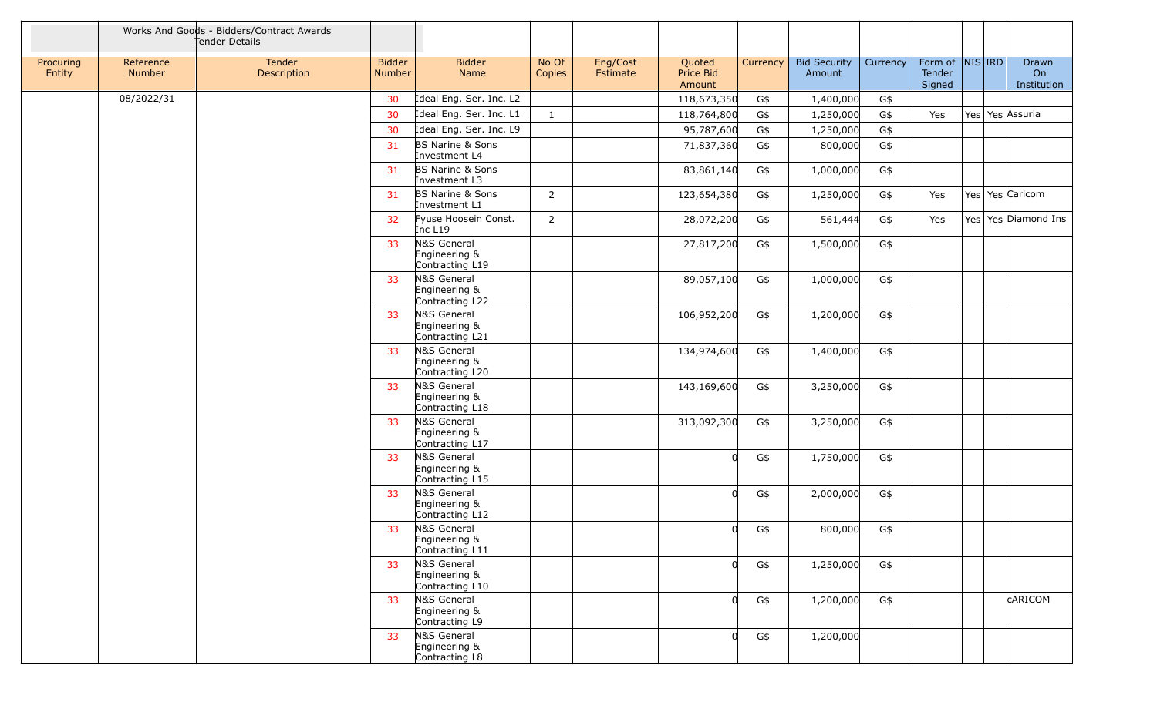|                     |                            | Works And Goods - Bidders/Contract Awards<br>Fender Details |                         |                                                 |                 |                      |                                      |          |                               |          |                             |                 |                            |
|---------------------|----------------------------|-------------------------------------------------------------|-------------------------|-------------------------------------------------|-----------------|----------------------|--------------------------------------|----------|-------------------------------|----------|-----------------------------|-----------------|----------------------------|
| Procuring<br>Entity | Reference<br><b>Number</b> | Tender<br>Description                                       | <b>Bidder</b><br>Number | <b>Bidder</b><br>Name                           | No Of<br>Copies | Eng/Cost<br>Estimate | Quoted<br><b>Price Bid</b><br>Amount | Currency | <b>Bid Security</b><br>Amount | Currency | Form of<br>Tender<br>Signed | $NIS $ IRD      | Drawn<br>On<br>Institution |
|                     | 08/2022/31                 |                                                             | 30                      | Ideal Eng. Ser. Inc. L2                         |                 |                      | 118,673,350                          | G\$      | 1,400,000                     | G\$      |                             |                 |                            |
|                     |                            |                                                             | 30                      | Ideal Eng. Ser. Inc. L1                         | $\mathbf{1}$    |                      | 118,764,800                          | G\$      | 1,250,000                     | G\$      | Yes                         | Yes Yes Assuria |                            |
|                     |                            |                                                             | 30                      | Ideal Eng. Ser. Inc. L9                         |                 |                      | 95,787,600                           | G\$      | 1,250,000                     | G\$      |                             |                 |                            |
|                     |                            |                                                             | 31                      | <b>BS Narine &amp; Sons</b><br>Investment L4    |                 |                      | 71,837,360                           | G\$      | 800,000                       | G\$      |                             |                 |                            |
|                     |                            |                                                             | 31                      | BS Narine & Sons<br>Investment L3               |                 |                      | 83,861,140                           | G\$      | 1,000,000                     | G\$      |                             |                 |                            |
|                     |                            |                                                             | 31                      | BS Narine & Sons<br>Investment L1               | $\overline{2}$  |                      | 123,654,380                          | G\$      | 1,250,000                     | G\$      | Yes                         | Yes Yes Caricom |                            |
|                     |                            |                                                             | 32                      | Fyuse Hoosein Const.<br>Inc L <sub>19</sub>     | $\overline{2}$  |                      | 28,072,200                           | G\$      | 561,444                       | G\$      | Yes                         |                 | Yes Yes Diamond Ins        |
|                     |                            |                                                             | 33                      | N&S General<br>Engineering &<br>Contracting L19 |                 |                      | 27,817,200                           | G\$      | 1,500,000                     | G\$      |                             |                 |                            |
|                     |                            |                                                             | 33                      | N&S General<br>Engineering &<br>Contracting L22 |                 |                      | 89,057,100                           | G\$      | 1,000,000                     | G\$      |                             |                 |                            |
|                     |                            |                                                             | 33                      | N&S General<br>Engineering &<br>Contracting L21 |                 |                      | 106,952,200                          | G\$      | 1,200,000                     | G\$      |                             |                 |                            |
|                     |                            |                                                             | 33                      | N&S General<br>Engineering &<br>Contracting L20 |                 |                      | 134,974,600                          | G\$      | 1,400,000                     | G\$      |                             |                 |                            |
|                     |                            |                                                             | 33                      | N&S General<br>Engineering &<br>Contracting L18 |                 |                      | 143,169,600                          | G\$      | 3,250,000                     | G\$      |                             |                 |                            |
|                     |                            |                                                             | 33                      | N&S General<br>Engineering &<br>Contracting L17 |                 |                      | 313,092,300                          | G\$      | 3,250,000                     | G\$      |                             |                 |                            |
|                     |                            |                                                             | 33                      | N&S General<br>Engineering &<br>Contracting L15 |                 |                      | <sup>n</sup>                         | G\$      | 1,750,000                     | G\$      |                             |                 |                            |
|                     |                            |                                                             | 33                      | N&S General<br>Engineering &<br>Contracting L12 |                 |                      | 0                                    | G\$      | 2,000,000                     | G\$      |                             |                 |                            |
|                     |                            |                                                             | 33                      | N&S General<br>Engineering &<br>Contracting L11 |                 |                      | $\Omega$                             | G\$      | 800,000                       | G\$      |                             |                 |                            |
|                     |                            |                                                             | 33                      | N&S General<br>Engineering &<br>Contracting L10 |                 |                      | 0                                    | G\$      | 1,250,000                     | G\$      |                             |                 |                            |
|                     |                            |                                                             | 33                      | N&S General<br>Engineering &<br>Contracting L9  |                 |                      | 0                                    | G\$      | 1,200,000                     | G\$      |                             |                 | <b>CARICOM</b>             |
|                     |                            |                                                             | 33                      | N&S General<br>Engineering &<br>Contracting L8  |                 |                      | $\Omega$                             | G\$      | 1,200,000                     |          |                             |                 |                            |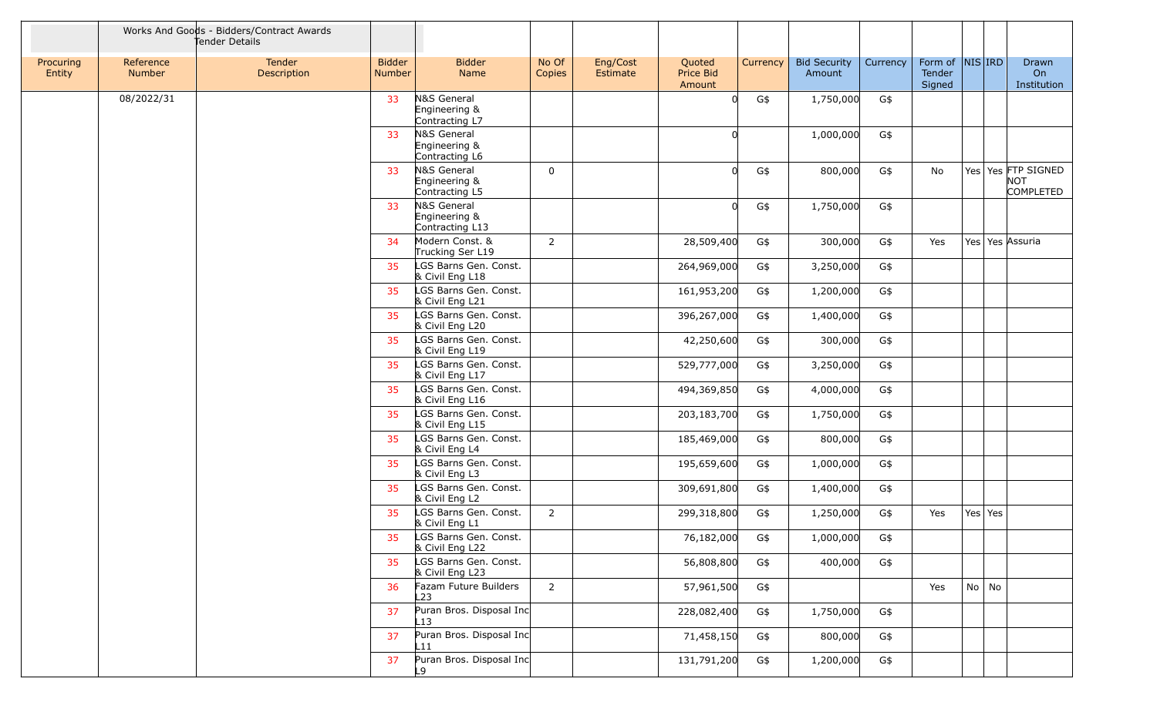|                     |                     | Works And Goods - Bidders/Contract Awards<br>Tender Details |                                |                                                                   |                 |                      |                               |          |                               |          |                             |            |         |                                                      |
|---------------------|---------------------|-------------------------------------------------------------|--------------------------------|-------------------------------------------------------------------|-----------------|----------------------|-------------------------------|----------|-------------------------------|----------|-----------------------------|------------|---------|------------------------------------------------------|
| Procuring<br>Entity | Reference<br>Number | Tender<br>Description                                       | <b>Bidder</b><br><b>Number</b> | <b>Bidder</b><br>Name                                             | No Of<br>Copies | Eng/Cost<br>Estimate | Quoted<br>Price Bid<br>Amount | Currency | <b>Bid Security</b><br>Amount | Currency | Form of<br>Tender<br>Signed | $NIS $ IRD |         | Drawn<br>On<br>Institution                           |
|                     | 08/2022/31          |                                                             | 33                             | N&S General<br>Engineering &<br>Contracting L7                    |                 |                      |                               | G\$      | 1,750,000                     | G\$      |                             |            |         |                                                      |
|                     |                     |                                                             | 33                             | N&S General<br>Engineering &<br>Contracting L6                    |                 |                      | ∩                             |          | 1,000,000                     | G\$      |                             |            |         |                                                      |
|                     |                     |                                                             | 33                             | N&S General<br>Engineering &<br>Contracting L5                    | $\mathbf 0$     |                      | $\Omega$                      | G\$      | 800,000                       | G\$      | No                          |            |         | Yes Yes FTP SIGNED<br><b>NOT</b><br><b>COMPLETED</b> |
|                     |                     |                                                             | 33                             | N&S General<br>Engineering &<br>Contracting L13                   |                 |                      |                               | G\$      | 1,750,000                     | G\$      |                             |            |         |                                                      |
|                     |                     |                                                             | 34                             | Modern Const. &<br>Trucking Ser L19                               | $\overline{2}$  |                      | 28,509,400                    | G\$      | 300,000                       | G\$      | Yes                         |            |         | Yes Yes Assuria                                      |
|                     |                     |                                                             | 35                             | LGS Barns Gen. Const.<br>& Civil Eng L18                          |                 |                      | 264,969,000                   | G\$      | 3,250,000                     | G\$      |                             |            |         |                                                      |
|                     |                     |                                                             | 35                             | LGS Barns Gen. Const.<br>& Civil Eng L21                          |                 |                      | 161,953,200                   | G\$      | 1,200,000                     | G\$      |                             |            |         |                                                      |
|                     |                     |                                                             | 35                             | LGS Barns Gen. Const.<br>& Civil Eng L20<br>LGS Barns Gen. Const. |                 |                      | 396,267,000                   | G\$      | 1,400,000                     | G\$      |                             |            |         |                                                      |
|                     |                     |                                                             | 35                             | & Civil Eng L19                                                   |                 |                      | 42,250,600                    | G\$      | 300,000                       | G\$      |                             |            |         |                                                      |
|                     |                     |                                                             | 35                             | LGS Barns Gen. Const.<br>& Civil Eng L17                          |                 |                      | 529,777,000                   | G\$      | 3,250,000                     | G\$      |                             |            |         |                                                      |
|                     |                     |                                                             | 35                             | LGS Barns Gen. Const.<br>& Civil Eng L16                          |                 |                      | 494,369,850                   | G\$      | 4,000,000                     | G\$      |                             |            |         |                                                      |
|                     |                     |                                                             | 35                             | LGS Barns Gen. Const.<br>& Civil Eng L15                          |                 |                      | 203,183,700                   | G\$      | 1,750,000                     | G\$      |                             |            |         |                                                      |
|                     |                     |                                                             | 35                             | LGS Barns Gen. Const.<br>& Civil Eng L4                           |                 |                      | 185,469,000                   | G\$      | 800,000                       | G\$      |                             |            |         |                                                      |
|                     |                     |                                                             | 35                             | LGS Barns Gen. Const.<br>& Civil Eng L3                           |                 |                      | 195,659,600                   | G\$      | 1,000,000                     | G\$      |                             |            |         |                                                      |
|                     |                     |                                                             | 35                             | LGS Barns Gen. Const.<br>& Civil Eng L2                           |                 |                      | 309,691,800                   | G\$      | 1,400,000                     | G\$      |                             |            |         |                                                      |
|                     |                     |                                                             | 35                             | LGS Barns Gen. Const.<br>& Civil Eng L1                           | $\overline{2}$  |                      | 299,318,800                   | G\$      | 1,250,000                     | G\$      | Yes                         |            | Yes Yes |                                                      |
|                     |                     |                                                             |                                | LGS Barns Gen. Const.<br>& Civil Eng L22                          |                 |                      | 76,182,000                    | G\$      | 1,000,000                     | G\$      |                             |            |         |                                                      |
|                     |                     |                                                             | 35                             | LGS Barns Gen. Const.<br>& Civil Eng L23                          |                 |                      | 56,808,800                    | G\$      | 400,000                       | G\$      |                             |            |         |                                                      |
|                     |                     |                                                             | 36                             | Fazam Future Builders<br>L23                                      | $\overline{2}$  |                      | 57,961,500                    | G\$      |                               |          | Yes                         |            | No No   |                                                      |
|                     |                     |                                                             | 37                             | Puran Bros. Disposal Inc<br>L13 I                                 |                 |                      | 228,082,400                   | G\$      | 1,750,000                     | G\$      |                             |            |         |                                                      |
|                     |                     |                                                             | 37                             | Puran Bros. Disposal Inc<br>L11                                   |                 |                      | 71,458,150                    | G\$      | 800,000                       | G\$      |                             |            |         |                                                      |
|                     |                     |                                                             | 37                             | Puran Bros. Disposal Inc<br>L9.                                   |                 |                      | 131,791,200                   | G\$      | 1,200,000                     | G\$      |                             |            |         |                                                      |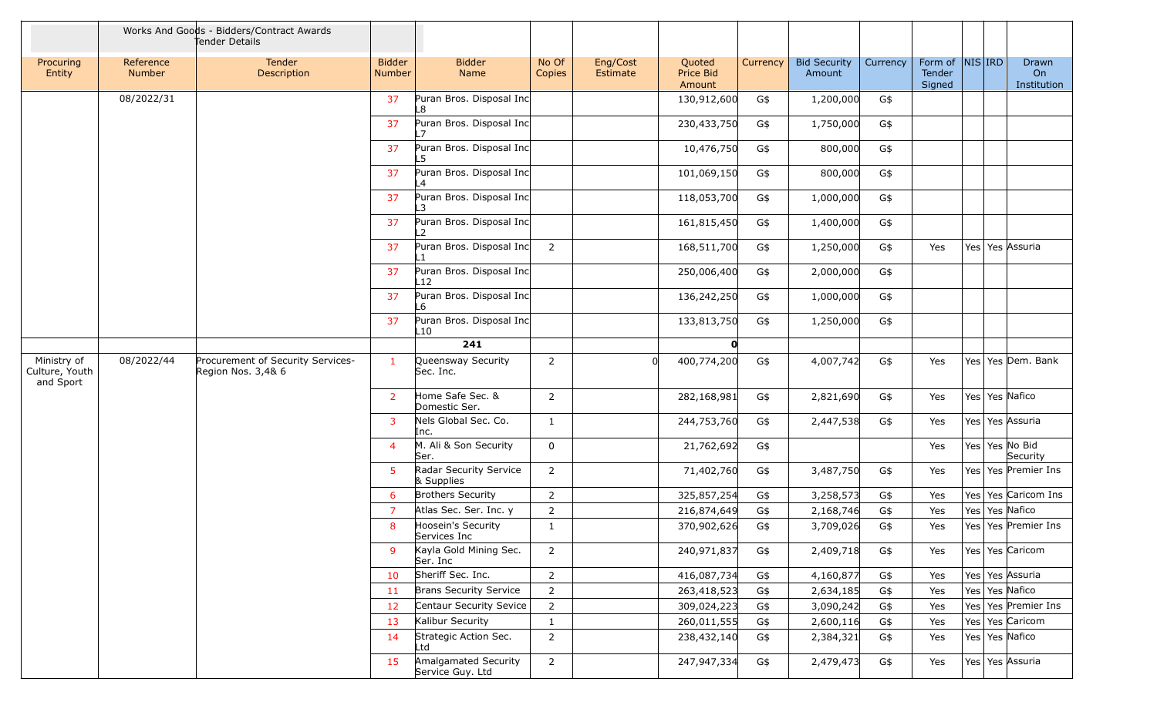|                                            |                            | Works And Goods - Bidders/Contract Awards<br>Tender Details |                                |                                          |                 |                      |                               |          |                               |          |                                      |                 |                            |
|--------------------------------------------|----------------------------|-------------------------------------------------------------|--------------------------------|------------------------------------------|-----------------|----------------------|-------------------------------|----------|-------------------------------|----------|--------------------------------------|-----------------|----------------------------|
| Procuring<br>Entity                        | Reference<br><b>Number</b> | <b>Tender</b><br>Description                                | <b>Bidder</b><br><b>Number</b> | <b>Bidder</b><br>Name                    | No Of<br>Copies | Eng/Cost<br>Estimate | Quoted<br>Price Bid<br>Amount | Currency | <b>Bid Security</b><br>Amount | Currency | Form of  NIS IRD<br>Tender<br>Signed |                 | Drawn<br>On<br>Institution |
|                                            | 08/2022/31                 |                                                             | 37                             | Puran Bros. Disposal Inc<br>L8           |                 |                      | 130,912,600                   | G\$      | 1,200,000                     | G\$      |                                      |                 |                            |
|                                            |                            |                                                             | 37                             | Puran Bros. Disposal Inc                 |                 |                      | 230,433,750                   | G\$      | 1,750,000                     | G\$      |                                      |                 |                            |
|                                            |                            |                                                             | 37                             | Puran Bros. Disposal Inc<br>.5           |                 |                      | 10,476,750                    | G\$      | 800,000                       | G\$      |                                      |                 |                            |
|                                            |                            |                                                             | 37                             | Puran Bros. Disposal Inc<br>L4           |                 |                      | 101,069,150                   | G\$      | 800,000                       | G\$      |                                      |                 |                            |
|                                            |                            |                                                             | 37                             | Puran Bros. Disposal Inc                 |                 |                      | 118,053,700                   | G\$      | 1,000,000                     | G\$      |                                      |                 |                            |
|                                            |                            |                                                             | 37                             | Puran Bros. Disposal Inc                 |                 |                      | 161,815,450                   | G\$      | 1,400,000                     | G\$      |                                      |                 |                            |
|                                            |                            |                                                             | 37                             | Puran Bros. Disposal Inc                 | $\overline{2}$  |                      | 168,511,700                   | G\$      | 1,250,000                     | G\$      | Yes                                  | Yes Yes Assuria |                            |
|                                            |                            |                                                             | 37                             | Puran Bros. Disposal Inc<br>L12          |                 |                      | 250,006,400                   | G\$      | 2,000,000                     | G\$      |                                      |                 |                            |
|                                            |                            |                                                             | 37                             | Puran Bros. Disposal Inc<br>-6           |                 |                      | 136,242,250                   | G\$      | 1,000,000                     | G\$      |                                      |                 |                            |
|                                            |                            |                                                             | 37                             | Puran Bros. Disposal Inc<br>L10          |                 |                      | 133,813,750                   | G\$      | 1,250,000                     | G\$      |                                      |                 |                            |
|                                            |                            |                                                             |                                | 241                                      |                 |                      | 0                             |          |                               |          |                                      |                 |                            |
| Ministry of<br>Culture, Youth<br>and Sport | 08/2022/44                 | Procurement of Security Services-<br>Region Nos. 3,4& 6     | $\mathbf{1}$                   | Queensway Security<br>Sec. Inc.          | 2               |                      | 400,774,200                   | G\$      | 4,007,742                     | G\$      | Yes                                  |                 | Yes Yes Dem. Bank          |
|                                            |                            |                                                             | $\overline{2}$                 | Home Safe Sec. &<br>Domestic Ser.        | $\overline{2}$  |                      | 282,168,981                   | G\$      | 2,821,690                     | G\$      | Yes                                  | Yes Yes Nafico  |                            |
|                                            |                            |                                                             | $\overline{3}$                 | Nels Global Sec. Co.<br>Inc.             | $\mathbf{1}$    |                      | 244,753,760                   | G\$      | 2,447,538                     | G\$      | Yes                                  | Yes Yes Assuria |                            |
|                                            |                            |                                                             | 4                              | M. Ali & Son Security<br>Ser.            | 0               |                      | 21,762,692                    | G\$      |                               |          | Yes                                  | Yes Yes No Bid  | Security                   |
|                                            |                            |                                                             | -5                             | Radar Security Service<br>& Supplies     | $\overline{2}$  |                      | 71,402,760                    | G\$      | 3,487,750                     | G\$      | Yes                                  |                 | Yes   Yes   Premier Ins    |
|                                            |                            |                                                             | 6                              | <b>Brothers Security</b>                 | $\overline{2}$  |                      | 325,857,254                   | G\$      | 3,258,573                     | G\$      | Yes                                  |                 | Yes Yes Caricom Ins        |
|                                            |                            |                                                             | $\overline{7}$                 | Atlas Sec. Ser. Inc. y                   | $\overline{2}$  |                      | 216,874,649                   | G\$      | 2,168,746                     | G\$      | Yes                                  | Yes Yes Nafico  |                            |
|                                            |                            |                                                             | 8                              | Hoosein's Security<br>Services Inc       | $\mathbf{1}$    |                      | 370,902,626                   | G\$      | 3,709,026                     | G\$      | Yes                                  |                 | Yes   Yes   Premier Ins    |
|                                            |                            |                                                             | 9                              | Kayla Gold Mining Sec.<br>Ser. Inc       | $\overline{2}$  |                      | 240,971,837                   | G\$      | 2,409,718                     | G\$      | Yes                                  | Yes Yes Caricom |                            |
|                                            |                            |                                                             | 10                             | Sheriff Sec. Inc.                        | $\overline{2}$  |                      | 416,087,734                   | G\$      | 4,160,877                     | G\$      | Yes                                  | Yes Yes Assuria |                            |
|                                            |                            |                                                             | -11                            | <b>Brans Security Service</b>            | $\overline{2}$  |                      | 263,418,523                   | G\$      | 2,634,185                     | G\$      | Yes                                  | Yes Yes Nafico  |                            |
|                                            |                            |                                                             | 12                             | Centaur Security Sevice                  | $\overline{2}$  |                      | 309,024,223                   | G\$      | 3,090,242                     | G\$      | Yes                                  |                 | Yes Yes Premier Ins        |
|                                            |                            |                                                             | 13                             | Kalibur Security                         | $\mathbf{1}$    |                      | 260,011,555                   | G\$      | 2,600,116                     | G\$      | Yes                                  | Yes Yes Caricom |                            |
|                                            |                            |                                                             | 14                             | Strategic Action Sec.<br>Ltd             | $\overline{2}$  |                      | 238,432,140                   | G\$      | 2,384,321                     | G\$      | Yes                                  | Yes Yes Nafico  |                            |
|                                            |                            |                                                             | 15                             | Amalgamated Security<br>Service Guy. Ltd | $\overline{2}$  |                      | 247,947,334                   | G\$      | 2,479,473                     | G\$      | Yes                                  | Yes Yes Assuria |                            |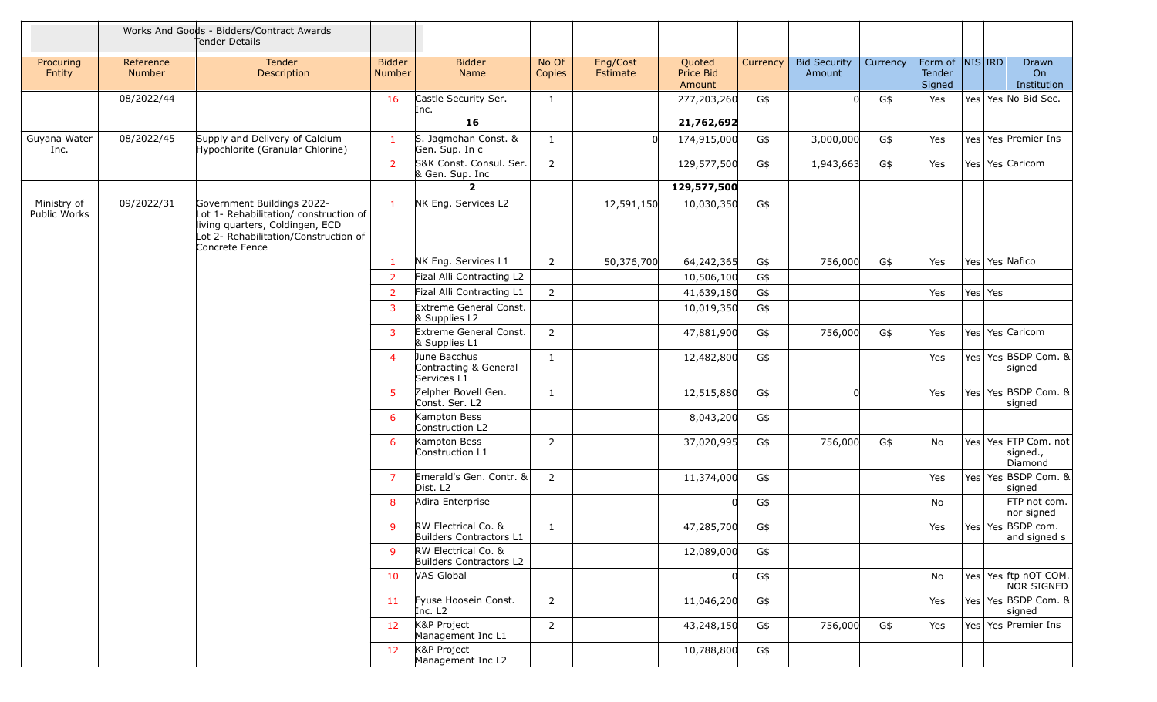|                             |                            | Works And Goods - Bidders/Contract Awards<br>Tender Details                                                                                                        |                         |                                                      |                 |                      |                               |          |                               |          |                             |                     |                                                 |
|-----------------------------|----------------------------|--------------------------------------------------------------------------------------------------------------------------------------------------------------------|-------------------------|------------------------------------------------------|-----------------|----------------------|-------------------------------|----------|-------------------------------|----------|-----------------------------|---------------------|-------------------------------------------------|
| Procuring<br>Entity         | Reference<br><b>Number</b> | Tender<br>Description                                                                                                                                              | <b>Bidder</b><br>Number | <b>Bidder</b><br>Name                                | No Of<br>Copies | Eng/Cost<br>Estimate | Quoted<br>Price Bid<br>Amount | Currency | <b>Bid Security</b><br>Amount | Currency | Form of<br>Tender<br>Signed | $NIS $ IRD          | Drawn<br>On<br>Institution                      |
|                             | 08/2022/44                 |                                                                                                                                                                    | 16                      | Castle Security Ser.<br>Inc.                         | 1               |                      | 277,203,260                   | G\$      | <sub>0</sub>                  | G\$      | Yes                         |                     | Yes Yes No Bid Sec.                             |
|                             |                            |                                                                                                                                                                    |                         | 16                                                   |                 |                      | 21,762,692                    |          |                               |          |                             |                     |                                                 |
| Guyana Water<br>Inc.        | 08/2022/45                 | Supply and Delivery of Calcium<br>Hypochlorite (Granular Chlorine)                                                                                                 | $\mathbf{1}$            | S. Jagmohan Const. &<br>Gen. Sup. In c               | 1               |                      | 174,915,000                   | G\$      | 3,000,000                     | G\$      | Yes                         |                     | Yes Yes Premier Ins                             |
|                             |                            |                                                                                                                                                                    | $\overline{2}$          | S&K Const. Consul. Ser.<br>& Gen. Sup. Inc           | $\overline{2}$  |                      | 129,577,500                   | G\$      | 1,943,663                     | G\$      | Yes                         | Yes   Yes   Caricom |                                                 |
|                             |                            |                                                                                                                                                                    |                         | $\overline{2}$                                       |                 |                      | 129,577,500                   |          |                               |          |                             |                     |                                                 |
| Ministry of<br>Public Works | 09/2022/31                 | Government Buildings 2022-<br>Lot 1- Rehabilitation/ construction of<br>living quarters, Coldingen, ECD<br>Lot 2- Rehabilitation/Construction of<br>Concrete Fence | $\mathbf{1}$            | NK Eng. Services L2                                  |                 | 12,591,150           | 10,030,350                    | G\$      |                               |          |                             |                     |                                                 |
|                             |                            |                                                                                                                                                                    | $\mathbf{1}$            | NK Eng. Services L1                                  | $\overline{2}$  | 50,376,700           | 64,242,365                    | G\$      | 756,000                       | G\$      | Yes                         | Yes Yes Nafico      |                                                 |
|                             |                            |                                                                                                                                                                    | $\overline{2}$          | Fizal Alli Contracting L2                            |                 |                      | 10,506,100                    | G\$      |                               |          |                             |                     |                                                 |
|                             |                            |                                                                                                                                                                    | $\overline{2}$          | Fizal Alli Contracting L1                            | $\overline{2}$  |                      | 41,639,180                    | G\$      |                               |          | Yes                         | Yes Yes             |                                                 |
|                             |                            |                                                                                                                                                                    | $\overline{3}$          | Extreme General Const.<br>& Supplies L2              |                 |                      | 10,019,350                    | G\$      |                               |          |                             |                     |                                                 |
|                             |                            |                                                                                                                                                                    | $\overline{3}$          | Extreme General Const.<br>& Supplies L1              | $\overline{2}$  |                      | 47,881,900                    | G\$      | 756,000                       | G\$      | Yes                         | Yes   Yes   Caricom |                                                 |
|                             |                            |                                                                                                                                                                    | $\overline{4}$          | June Bacchus<br>Contracting & General<br>Services L1 | 1               |                      | 12,482,800                    | G\$      |                               |          | Yes                         |                     | Yes Yes BSDP Com. &<br>signed                   |
|                             |                            |                                                                                                                                                                    | 5                       | Zelpher Bovell Gen.<br>Const. Ser. L2                | 1               |                      | 12,515,880                    | G\$      | U                             |          | Yes                         |                     | Yes Yes BSDP Com. &<br>signed                   |
|                             |                            |                                                                                                                                                                    | 6                       | Kampton Bess<br>Construction L2                      |                 |                      | 8,043,200                     | G\$      |                               |          |                             |                     |                                                 |
|                             |                            |                                                                                                                                                                    | 6                       | Kampton Bess<br>Construction L1                      | 2               |                      | 37,020,995                    | G\$      | 756,000                       | G\$      | No                          |                     | Yes   Yes   FTP Com. not<br>signed.,<br>Diamond |
|                             |                            |                                                                                                                                                                    | $\overline{7}$          | Emerald's Gen. Contr. &<br>Dist. L <sub>2</sub>      | $\overline{2}$  |                      | 11,374,000                    | G\$      |                               |          | Yes                         |                     | Yes Yes BSDP Com. &<br>signed                   |
|                             |                            |                                                                                                                                                                    | 8                       | Adira Enterprise                                     |                 |                      | <sup>n</sup>                  | G\$      |                               |          | No                          |                     | FTP not com.<br>nor signed                      |
|                             |                            |                                                                                                                                                                    | 9                       | RW Electrical Co. &<br>Builders Contractors L1       | $\mathbf{1}$    |                      | 47,285,700                    | G\$      |                               |          | Yes                         |                     | Yes Yes BSDP com.<br>and signed s               |
|                             |                            |                                                                                                                                                                    | 9                       | RW Electrical Co. &<br>Builders Contractors L2       |                 |                      | 12,089,000                    | G\$      |                               |          |                             |                     |                                                 |
|                             |                            |                                                                                                                                                                    | 10                      | VAS Global                                           |                 |                      | 0                             | G\$      |                               |          | No                          |                     | Yes Yes ftp nOT COM.<br>NOR SIGNED              |
|                             |                            |                                                                                                                                                                    | 11 <sup>1</sup>         | Fyuse Hoosein Const.<br>Inc. L <sub>2</sub>          | $\overline{2}$  |                      | 11,046,200                    | G\$      |                               |          | Yes                         |                     | Yes Yes BSDP Com. &<br>signed                   |
|                             |                            |                                                                                                                                                                    | 12 <sup>2</sup>         | K&P Project<br>Management Inc L1                     | $\overline{2}$  |                      | 43,248,150                    | G\$      | 756,000                       | G\$      | Yes                         |                     | Yes Yes Premier Ins                             |
|                             |                            |                                                                                                                                                                    | 12 <sub>2</sub>         | K&P Project<br>Management Inc L2                     |                 |                      | 10,788,800                    | G\$      |                               |          |                             |                     |                                                 |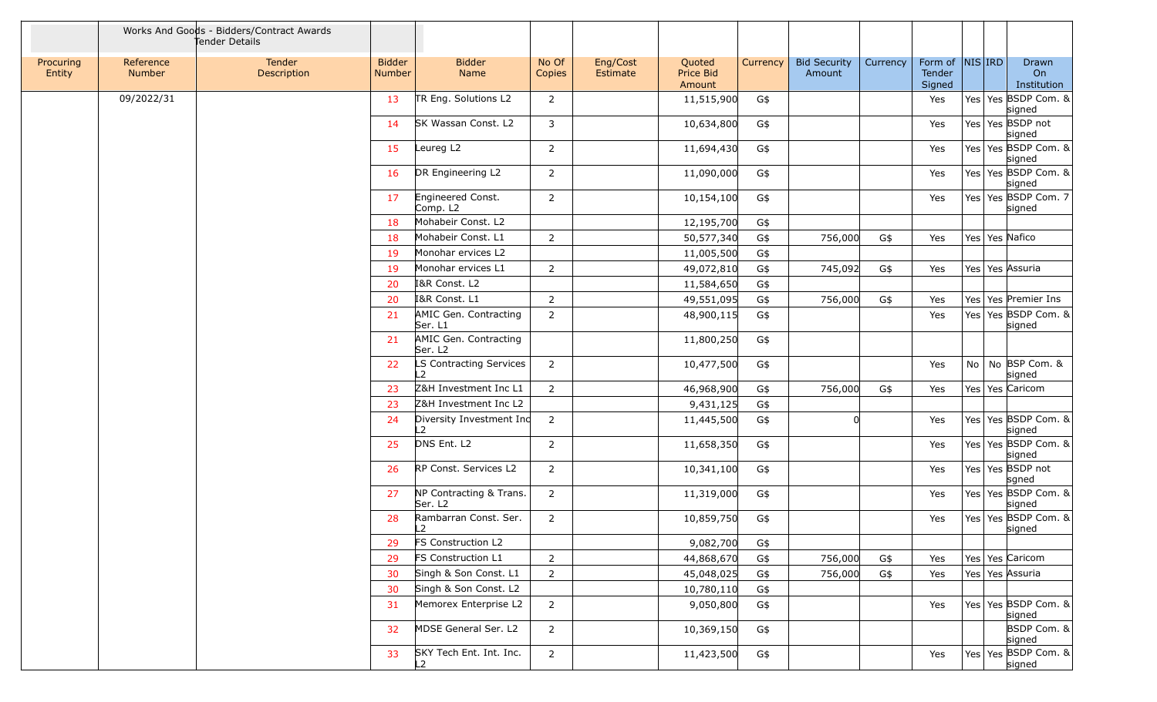|                     |                     | Works And Goods - Bidders/Contract Awards<br>Tender Details |                         |                                              |                 |                      |                               |          |                               |          |                             |    |            |                               |
|---------------------|---------------------|-------------------------------------------------------------|-------------------------|----------------------------------------------|-----------------|----------------------|-------------------------------|----------|-------------------------------|----------|-----------------------------|----|------------|-------------------------------|
| Procuring<br>Entity | Reference<br>Number | Tender<br>Description                                       | <b>Bidder</b><br>Number | <b>Bidder</b><br>Name                        | No Of<br>Copies | Eng/Cost<br>Estimate | Quoted<br>Price Bid<br>Amount | Currency | <b>Bid Security</b><br>Amount | Currency | Form of<br>Tender<br>Signed |    | $NIS $ IRD | Drawn<br>On<br>Institution    |
|                     | 09/2022/31          |                                                             | 13                      | TR Eng. Solutions L2                         | $\overline{2}$  |                      | 11,515,900                    | G\$      |                               |          | Yes                         |    |            | Yes Yes BSDP Com. &<br>signed |
|                     |                     |                                                             | 14                      | SK Wassan Const. L2                          | 3               |                      | 10,634,800                    | G\$      |                               |          | Yes                         |    |            | Yes Yes BSDP not<br>signed    |
|                     |                     |                                                             | 15                      | Leureg L2                                    | $\overline{2}$  |                      | 11,694,430                    | G\$      |                               |          | Yes                         |    |            | Yes Yes BSDP Com. &<br>signed |
|                     |                     |                                                             | 16                      | DR Engineering L2                            | $\overline{2}$  |                      | 11,090,000                    | G\$      |                               |          | Yes                         |    |            | Yes Yes BSDP Com. &<br>signed |
|                     |                     |                                                             | 17                      | Engineered Const.<br>Comp. L2                | $\overline{2}$  |                      | 10,154,100                    | G\$      |                               |          | Yes                         |    |            | Yes Yes BSDP Com. 7<br>signed |
|                     |                     |                                                             | 18                      | Mohabeir Const. L2                           |                 |                      | 12,195,700                    | G\$      |                               |          |                             |    |            |                               |
|                     |                     |                                                             | 18                      | Mohabeir Const. L1                           | $\overline{2}$  |                      | 50,577,340                    | G\$      | 756,000                       | G\$      | Yes                         |    |            | Yes Yes Nafico                |
|                     |                     |                                                             | 19                      | Monohar ervices L2                           |                 |                      | 11,005,500                    | G\$      |                               |          |                             |    |            |                               |
|                     |                     |                                                             | 19                      | Monohar ervices L1                           | $\overline{2}$  |                      | 49,072,810                    | G\$      | 745,092                       | G\$      | Yes                         |    |            | Yes   Yes   Assuria           |
|                     |                     |                                                             | 20                      | I&R Const. L2                                |                 |                      | 11,584,650                    | G\$      |                               |          |                             |    |            |                               |
|                     |                     |                                                             | 20                      | I&R Const. L1                                | $\overline{2}$  |                      | 49,551,095                    | G\$      | 756,000                       | G\$      | Yes                         |    |            | Yes   Yes   Premier Ins       |
|                     |                     |                                                             | 21                      | AMIC Gen. Contracting<br>Ser. L1             | $\overline{2}$  |                      | 48,900,115                    | G\$      |                               |          | Yes                         |    |            | Yes Yes BSDP Com. &<br>signed |
|                     |                     |                                                             | 21                      | AMIC Gen. Contracting<br>Ser. L <sub>2</sub> |                 |                      | 11,800,250                    | G\$      |                               |          |                             |    |            |                               |
|                     |                     |                                                             | 22                      | LS Contracting Services<br>L2                | $\overline{2}$  |                      | 10,477,500                    | G\$      |                               |          | Yes                         | No |            | No BSP Com. &<br>signed       |
|                     |                     |                                                             | 23                      | Z&H Investment Inc L1                        | $\overline{2}$  |                      | 46,968,900                    | G\$      | 756,000                       | G\$      | Yes                         |    |            | Yes Yes Caricom               |
|                     |                     |                                                             | 23                      | Z&H Investment Inc L2                        |                 |                      | 9,431,125                     | G\$      |                               |          |                             |    |            |                               |
|                     |                     |                                                             | 24                      | Diversity Investment Inc<br>L2               | $\overline{2}$  |                      | 11,445,500                    | G\$      |                               |          | Yes                         |    |            | Yes Yes BSDP Com. &<br>signed |
|                     |                     |                                                             | 25                      | DNS Ent. L2                                  | 2               |                      | 11,658,350                    | G\$      |                               |          | Yes                         |    |            | Yes Yes BSDP Com. &<br>signed |
|                     |                     |                                                             | 26                      | RP Const. Services L2                        | $\overline{2}$  |                      | 10,341,100                    | G\$      |                               |          | Yes                         |    |            | Yes Yes BSDP not<br>sgned     |
|                     |                     |                                                             | 27                      | NP Contracting & Trans.<br>Ser. L2           | $\overline{2}$  |                      | 11,319,000                    | G\$      |                               |          | Yes                         |    |            | Yes Yes BSDP Com. &<br>signed |
|                     |                     |                                                             | 28                      | Rambarran Const. Ser.<br>L2                  | $\overline{2}$  |                      | 10,859,750                    | G\$      |                               |          | Yes                         |    |            | Yes Yes BSDP Com. &<br>signed |
|                     |                     |                                                             | 29                      | FS Construction L2                           |                 |                      | 9,082,700                     | G\$      |                               |          |                             |    |            |                               |
|                     |                     |                                                             | 29                      | FS Construction L1                           | $\overline{2}$  |                      | 44,868,670                    | G\$      | 756,000                       | G\$      | Yes                         |    |            | Yes   Yes   Caricom           |
|                     |                     |                                                             | 30                      | Singh & Son Const. L1                        | $\overline{2}$  |                      | 45,048,025                    | G\$      | 756,000                       | G\$      | Yes                         |    |            | Yes Yes Assuria               |
|                     |                     |                                                             | 30                      | Singh & Son Const. L2                        |                 |                      | 10,780,110                    | G\$      |                               |          |                             |    |            |                               |
|                     |                     |                                                             | 31                      | Memorex Enterprise L2                        | $\overline{2}$  |                      | 9,050,800                     | G\$      |                               |          | Yes                         |    |            | Yes Yes BSDP Com. &<br>signed |
|                     |                     |                                                             | 32                      | MDSE General Ser. L2                         | $\overline{2}$  |                      | 10,369,150                    | $G$ \$   |                               |          |                             |    |            | BSDP Com. &<br>signed         |
|                     |                     |                                                             | 33                      | SKY Tech Ent. Int. Inc.<br>L2                | $\overline{2}$  |                      | 11,423,500                    | G\$      |                               |          | Yes                         |    |            | Yes Yes BSDP Com. &<br>signed |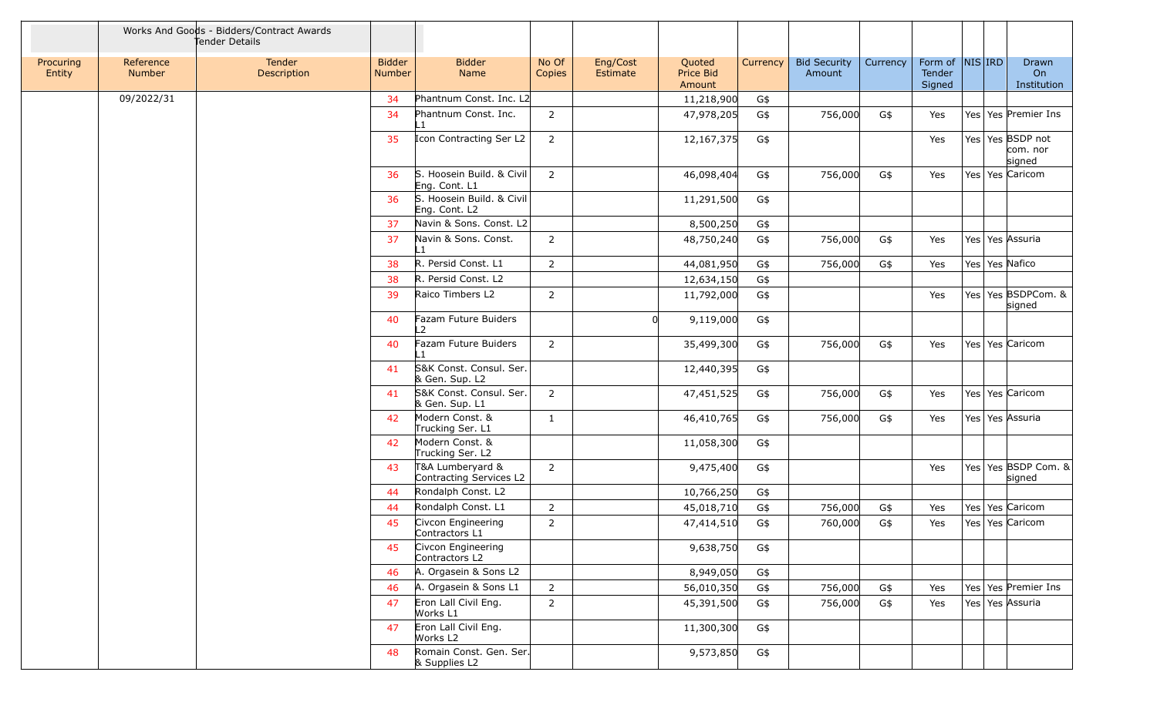|                     |                            | Works And Goods - Bidders/Contract Awards<br>Tender Details |                         |                                             |                 |                      |                               |          |                               |          |                             |     |            |                                        |
|---------------------|----------------------------|-------------------------------------------------------------|-------------------------|---------------------------------------------|-----------------|----------------------|-------------------------------|----------|-------------------------------|----------|-----------------------------|-----|------------|----------------------------------------|
| Procuring<br>Entity | Reference<br><b>Number</b> | Tender<br>Description                                       | <b>Bidder</b><br>Number | <b>Bidder</b><br>Name                       | No Of<br>Copies | Eng/Cost<br>Estimate | Quoted<br>Price Bid<br>Amount | Currency | <b>Bid Security</b><br>Amount | Currency | Form of<br>Tender<br>Signed |     | $NIS $ IRD | Drawn<br>On<br>Institution             |
|                     | 09/2022/31                 |                                                             | 34                      | Phantnum Const. Inc. L2                     |                 |                      | 11,218,900                    | G\$      |                               |          |                             |     |            |                                        |
|                     |                            |                                                             | 34                      | Phantnum Const. Inc.                        | $\overline{2}$  |                      | 47,978,205                    | G\$      | 756,000                       | G\$      | Yes                         |     |            | Yes Yes Premier Ins                    |
|                     |                            |                                                             | 35                      | Icon Contracting Ser L2                     | $\overline{2}$  |                      | 12, 167, 375                  | G\$      |                               |          | Yes                         |     |            | Yes Yes BSDP not<br>com. nor<br>signed |
|                     |                            |                                                             | 36                      | S. Hoosein Build. & Civil<br>Eng. Cont. L1  | 2               |                      | 46,098,404                    | G\$      | 756,000                       | G\$      | Yes                         |     |            | Yes   Yes   Caricom                    |
|                     |                            |                                                             | 36                      | S. Hoosein Build. & Civil<br>Eng. Cont. L2  |                 |                      | 11,291,500                    | G\$      |                               |          |                             |     |            |                                        |
|                     |                            |                                                             | 37                      | Navin & Sons. Const. L2                     |                 |                      | 8,500,250                     | G\$      |                               |          |                             |     |            |                                        |
|                     |                            |                                                             | 37                      | Navin & Sons. Const.                        | $\overline{2}$  |                      | 48,750,240                    | G\$      | 756,000                       | G\$      | Yes                         |     |            | Yes Yes Assuria                        |
|                     |                            |                                                             | 38                      | R. Persid Const. L1                         | $\overline{2}$  |                      | 44,081,950                    | G\$      | 756,000                       | G\$      | Yes                         |     |            | Yes Yes Nafico                         |
|                     |                            |                                                             | 38                      | R. Persid Const. L2                         |                 |                      | 12,634,150                    | G\$      |                               |          |                             |     |            |                                        |
|                     |                            |                                                             | 39                      | Raico Timbers L2                            | $\overline{2}$  |                      | 11,792,000                    | G\$      |                               |          | Yes                         |     |            | Yes Yes BSDPCom. &<br>signed           |
|                     |                            |                                                             | 40                      | Fazam Future Buiders<br>$\overline{2}$      |                 |                      | 9,119,000                     | G\$      |                               |          |                             |     |            |                                        |
|                     |                            |                                                             | 40                      | Fazam Future Buiders                        | $\overline{2}$  |                      | 35,499,300                    | G\$      | 756,000                       | G\$      | Yes                         |     |            | Yes Yes Caricom                        |
|                     |                            |                                                             | 41                      | S&K Const. Consul. Ser.<br>& Gen. Sup. L2   |                 |                      | 12,440,395                    | G\$      |                               |          |                             |     |            |                                        |
|                     |                            |                                                             | 41                      | S&K Const. Consul. Ser.<br>& Gen. Sup. L1   | $\overline{2}$  |                      | 47,451,525                    | G\$      | 756,000                       | G\$      | Yes                         |     |            | Yes Yes Caricom                        |
|                     |                            |                                                             | 42                      | Modern Const. &<br>Trucking Ser. L1         | $\mathbf{1}$    |                      | 46,410,765                    | G\$      | 756,000                       | G\$      | Yes                         |     |            | Yes Yes Assuria                        |
|                     |                            |                                                             | 42                      | Modern Const. &<br>Trucking Ser. L2         |                 |                      | 11,058,300                    | G\$      |                               |          |                             |     |            |                                        |
|                     |                            |                                                             | 43                      | T&A Lumberyard &<br>Contracting Services L2 | 2               |                      | 9,475,400                     | G\$      |                               |          | Yes                         |     |            | Yes Yes BSDP Com. &<br>signed          |
|                     |                            |                                                             | 44                      | Rondalph Const. L2                          |                 |                      | 10,766,250                    | G\$      |                               |          |                             |     |            |                                        |
|                     |                            |                                                             | 44                      | Rondalph Const. L1                          | $\overline{2}$  |                      | 45,018,710                    | G\$      | 756,000                       | G\$      | Yes                         | Yes |            | Yes Caricom                            |
|                     |                            |                                                             | 45                      | Civcon Engineering<br>Contractors L1        | $\overline{2}$  |                      | 47,414,510                    | G\$      | 760,000                       | G\$      | Yes                         |     |            | Yes Yes Caricom                        |
|                     |                            |                                                             | 45                      | Civcon Engineering<br>Contractors L2        |                 |                      | 9,638,750                     | G\$      |                               |          |                             |     |            |                                        |
|                     |                            |                                                             | 46                      | A. Orgasein & Sons L2                       |                 |                      | 8,949,050                     | G\$      |                               |          |                             |     |            |                                        |
|                     |                            |                                                             | 46                      | A. Orgasein & Sons L1                       | $\overline{2}$  |                      | 56,010,350                    | G\$      | 756,000                       | G\$      | Yes                         |     |            | Yes Yes Premier Ins                    |
|                     |                            |                                                             | 47                      | Eron Lall Civil Eng.<br>Works L1            | $\overline{2}$  |                      | 45,391,500                    | G\$      | 756,000                       | G\$      | Yes                         |     |            | Yes Yes Assuria                        |
|                     |                            |                                                             | 47                      | Eron Lall Civil Eng.<br>Works L2            |                 |                      | 11,300,300                    | G\$      |                               |          |                             |     |            |                                        |
|                     |                            |                                                             | 48                      | Romain Const. Gen. Ser.<br>& Supplies L2    |                 |                      | 9,573,850                     | G\$      |                               |          |                             |     |            |                                        |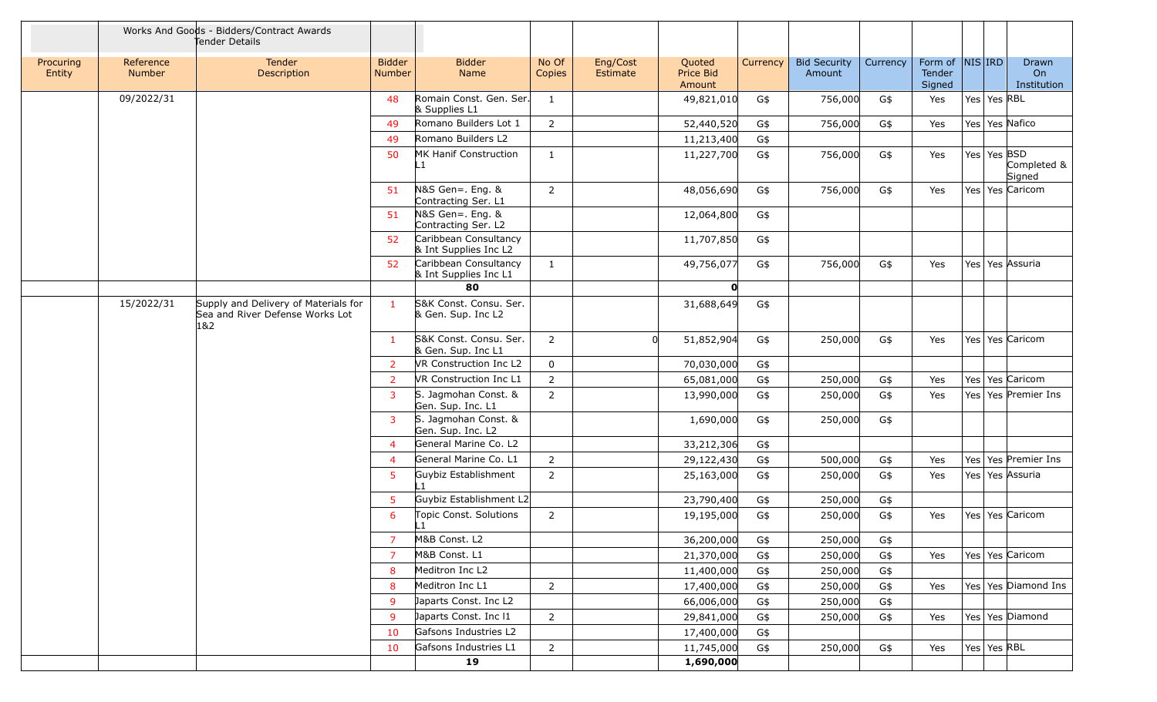|                     |                            | Works And Goods - Bidders/Contract Awards<br>Tender Details                    |                                |                                                |                 |                      |                               |          |                               |          |                                      |                 |                            |
|---------------------|----------------------------|--------------------------------------------------------------------------------|--------------------------------|------------------------------------------------|-----------------|----------------------|-------------------------------|----------|-------------------------------|----------|--------------------------------------|-----------------|----------------------------|
| Procuring<br>Entity | Reference<br><b>Number</b> | Tender<br>Description                                                          | <b>Bidder</b><br><b>Number</b> | <b>Bidder</b><br>Name                          | No Of<br>Copies | Eng/Cost<br>Estimate | Quoted<br>Price Bid<br>Amount | Currency | <b>Bid Security</b><br>Amount | Currency | Form of  NIS IRD<br>Tender<br>Signed |                 | Drawn<br>On<br>Institution |
|                     | 09/2022/31                 |                                                                                | 48                             | Romain Const. Gen. Ser.<br>& Supplies L1       | 1               |                      | 49,821,010                    | G\$      | 756,000                       | G\$      | Yes                                  | Yes   Yes   RBL |                            |
|                     |                            |                                                                                | 49                             | Romano Builders Lot 1                          | $\overline{2}$  |                      | 52,440,520                    | G\$      | 756,000                       | G\$      | Yes                                  |                 | Yes Yes Nafico             |
|                     |                            |                                                                                | 49                             | Romano Builders L2                             |                 |                      | 11,213,400                    | G\$      |                               |          |                                      |                 |                            |
|                     |                            |                                                                                | 50                             | MK Hanif Construction<br>L1                    | $\mathbf{1}$    |                      | 11,227,700                    | G\$      | 756,000                       | G\$      | Yes                                  | Yes   Yes   BSD | Completed &<br>Signed      |
|                     |                            |                                                                                | 51                             | $N&S$ Gen = . Eng. &<br>Contracting Ser. L1    | $\overline{2}$  |                      | 48,056,690                    | G\$      | 756,000                       | G\$      | Yes                                  |                 | Yes Yes Caricom            |
|                     |                            |                                                                                | 51                             | N&S Gen=. Eng. &<br>Contracting Ser. L2        |                 |                      | 12,064,800                    | G\$      |                               |          |                                      |                 |                            |
|                     |                            |                                                                                | 52                             | Caribbean Consultancy<br>& Int Supplies Inc L2 |                 |                      | 11,707,850                    | G\$      |                               |          |                                      |                 |                            |
|                     |                            |                                                                                | 52                             | Caribbean Consultancy<br>& Int Supplies Inc L1 | 1               |                      | 49,756,077                    | G\$      | 756,000                       | G\$      | Yes                                  |                 | Yes Yes Assuria            |
|                     |                            |                                                                                |                                | 80                                             |                 |                      | $\mathbf{0}$                  |          |                               |          |                                      |                 |                            |
|                     | 15/2022/31                 | Supply and Delivery of Materials for<br>Sea and River Defense Works Lot<br>1&2 | $\mathbf{1}$                   | S&K Const. Consu. Ser.<br>& Gen. Sup. Inc L2   |                 |                      | 31,688,649                    | G\$      |                               |          |                                      |                 |                            |
|                     |                            |                                                                                | 1                              | S&K Const. Consu. Ser.<br>& Gen. Sup. Inc L1   | $\overline{2}$  | <sup>0</sup>         | 51,852,904                    | G\$      | 250,000                       | G\$      | Yes                                  |                 | Yes Yes Caricom            |
|                     |                            |                                                                                | $\overline{2}$                 | VR Construction Inc L2                         | $\mathbf 0$     |                      | 70,030,000                    | G\$      |                               |          |                                      |                 |                            |
|                     |                            |                                                                                | $\overline{2}$                 | VR Construction Inc L1                         | $\overline{2}$  |                      | 65,081,000                    | G\$      | 250,000                       | G\$      | Yes                                  |                 | Yes Yes Caricom            |
|                     |                            |                                                                                | $\overline{\mathbf{3}}$        | S. Jagmohan Const. &<br>Gen. Sup. Inc. L1      | $\overline{2}$  |                      | 13,990,000                    | G\$      | 250,000                       | G\$      | Yes                                  |                 | Yes Yes Premier Ins        |
|                     |                            |                                                                                | 3                              | S. Jagmohan Const. &<br>Gen. Sup. Inc. L2      |                 |                      | 1,690,000                     | G\$      | 250,000                       | G\$      |                                      |                 |                            |
|                     |                            |                                                                                | $\overline{4}$                 | General Marine Co. L2                          |                 |                      | 33,212,306                    | G\$      |                               |          |                                      |                 |                            |
|                     |                            |                                                                                | $\overline{4}$                 | General Marine Co. L1                          | $\overline{2}$  |                      | 29,122,430                    | G\$      | 500,000                       | G\$      | Yes                                  |                 | Yes   Yes   Premier Ins    |
|                     |                            |                                                                                | 5                              | Guybiz Establishment<br>$\mathbf{1}$           | $\overline{2}$  |                      | 25,163,000                    | G\$      | 250,000                       | G\$      | Yes                                  |                 | Yes   Yes Assuria          |
|                     |                            |                                                                                | 5                              | Guybiz Establishment L2                        |                 |                      | 23,790,400                    | G\$      | 250,000                       | G\$      |                                      |                 |                            |
|                     |                            |                                                                                | 6                              | Topic Const. Solutions<br>$_{\text{-}}1$       | $\overline{2}$  |                      | 19,195,000                    | G\$      | 250,000                       | G\$      | Yes                                  |                 | Yes Yes Caricom            |
|                     |                            |                                                                                | -7                             | M&B Const. L2                                  |                 |                      | 36,200,000                    | G\$      | 250,000                       | G\$      |                                      |                 |                            |
|                     |                            |                                                                                | $\overline{7}$                 | M&B Const. L1                                  |                 |                      | 21,370,000                    | G\$      | 250,000                       | G\$      | Yes                                  |                 | Yes Yes Caricom            |
|                     |                            |                                                                                | 8                              | Meditron Inc L2                                |                 |                      | 11,400,000                    | G\$      | 250,000                       | G\$      |                                      |                 |                            |
|                     |                            |                                                                                | 8                              | Meditron Inc L1                                | $\overline{2}$  |                      | 17,400,000                    | G\$      | 250,000                       | G\$      | Yes                                  |                 | Yes   Yes   Diamond Ins    |
|                     |                            |                                                                                | -9                             | Japarts Const. Inc L2                          |                 |                      | 66,006,000                    | G\$      | 250,000                       | G\$      |                                      |                 |                            |
|                     |                            |                                                                                | 9                              | Japarts Const. Inc I1                          | $\overline{2}$  |                      | 29,841,000                    | G\$      | 250,000                       | G\$      | Yes                                  |                 | Yes Yes Diamond            |
|                     |                            |                                                                                | 10                             | Gafsons Industries L2                          |                 |                      | 17,400,000                    | G\$      |                               |          |                                      |                 |                            |
|                     |                            |                                                                                | 10                             | Gafsons Industries L1                          | $\overline{2}$  |                      | 11,745,000                    | G\$      | 250,000                       | G\$      | Yes                                  | Yes Yes RBL     |                            |
|                     |                            |                                                                                |                                | 19                                             |                 |                      | 1,690,000                     |          |                               |          |                                      |                 |                            |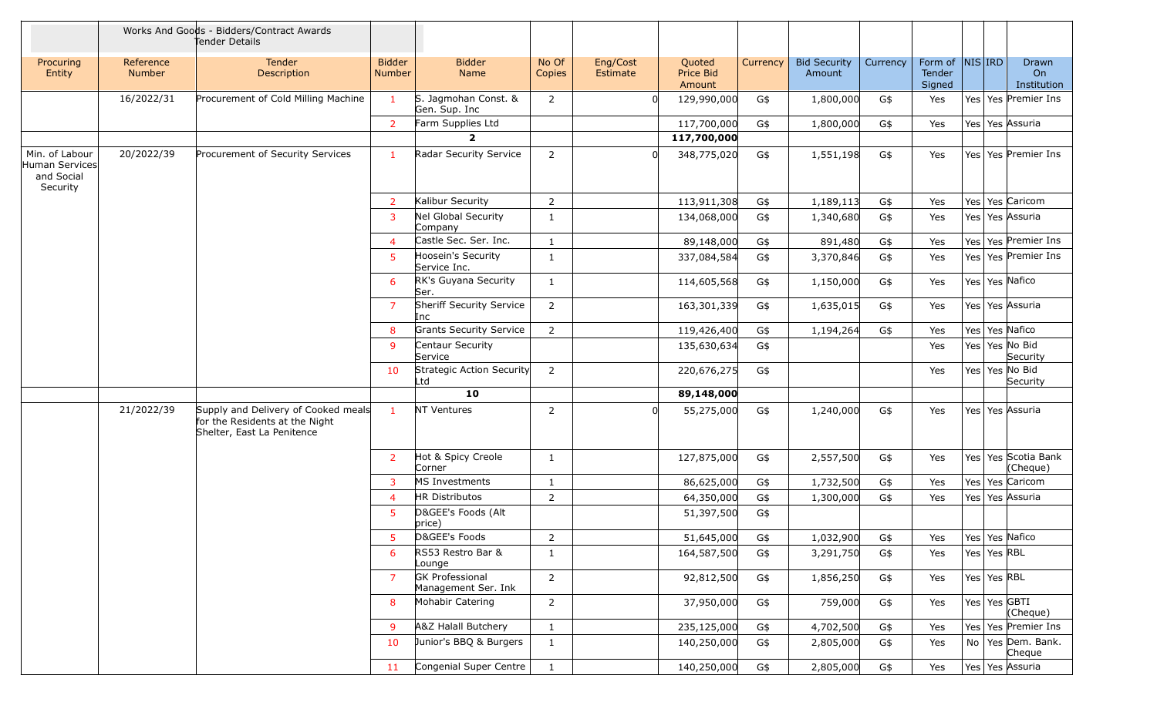|                                                            |                            | Works And Goods - Bidders/Contract Awards<br>Tender Details                                         |                         |                                               |                 |                             |                               |          |                               |          |                             |                 |                                   |
|------------------------------------------------------------|----------------------------|-----------------------------------------------------------------------------------------------------|-------------------------|-----------------------------------------------|-----------------|-----------------------------|-------------------------------|----------|-------------------------------|----------|-----------------------------|-----------------|-----------------------------------|
| Procuring<br>Entity                                        | Reference<br><b>Number</b> | <b>Tender</b><br>Description                                                                        | <b>Bidder</b><br>Number | <b>Bidder</b><br>Name                         | No Of<br>Copies | Eng/Cost<br><b>Estimate</b> | Quoted<br>Price Bid<br>Amount | Currency | <b>Bid Security</b><br>Amount | Currency | Form of<br>Tender<br>Signed | $NIS $ IRD      | <b>Drawn</b><br>On<br>Institution |
|                                                            | 16/2022/31                 | Procurement of Cold Milling Machine                                                                 | $\mathbf{1}$            | S. Jagmohan Const. &<br>Gen. Sup. Inc         | $\overline{2}$  |                             | 129,990,000                   | G\$      | 1,800,000                     | G\$      | Yes                         |                 | Yes Yes Premier Ins               |
|                                                            |                            |                                                                                                     | $\overline{2}$          | Farm Supplies Ltd                             |                 |                             | 117,700,000                   | G\$      | 1,800,000                     | G\$      | Yes                         | Yes Yes Assuria |                                   |
|                                                            |                            |                                                                                                     |                         | $\overline{2}$                                |                 |                             | 117,700,000                   |          |                               |          |                             |                 |                                   |
| Min. of Labour<br>Human Services<br>and Social<br>Security | 20/2022/39                 | Procurement of Security Services                                                                    | $\mathbf{1}$            | Radar Security Service                        | $\overline{2}$  |                             | 348,775,020                   | G\$      | 1,551,198                     | G\$      | Yes                         |                 | Yes Yes Premier Ins               |
|                                                            |                            |                                                                                                     | $\overline{2}$          | Kalibur Security                              | $\overline{2}$  |                             | 113,911,308                   | G\$      | 1,189,113                     | G\$      | Yes                         | Yes Yes Caricom |                                   |
|                                                            |                            |                                                                                                     | $\overline{3}$          | Nel Global Security<br>Company                | 1               |                             | 134,068,000                   | G\$      | 1,340,680                     | G\$      | Yes                         | Yes Yes Assuria |                                   |
|                                                            |                            |                                                                                                     | $\overline{4}$          | Castle Sec. Ser. Inc.                         | 1               |                             | 89,148,000                    | G\$      | 891,480                       | G\$      | Yes                         |                 | Yes Yes Premier Ins               |
|                                                            |                            |                                                                                                     | 5                       | Hoosein's Security<br>Service Inc.            | 1               |                             | 337,084,584                   | G\$      | 3,370,846                     | G\$      | Yes                         |                 | Yes Yes Premier Ins               |
|                                                            |                            |                                                                                                     | 6                       | RK's Guyana Security<br>Ser.                  | 1               |                             | 114,605,568                   | G\$      | 1,150,000                     | G\$      | Yes                         | Yes Yes Nafico  |                                   |
|                                                            |                            |                                                                                                     | $\overline{7}$          | Sheriff Security Service<br>Inc               | $\overline{2}$  |                             | 163,301,339                   | G\$      | 1,635,015                     | G\$      | Yes                         | Yes Yes Assuria |                                   |
|                                                            |                            |                                                                                                     | 8                       | <b>Grants Security Service</b>                | $\overline{2}$  |                             | 119,426,400                   | G\$      | 1,194,264                     | G\$      | Yes                         | Yes Yes Nafico  |                                   |
|                                                            |                            |                                                                                                     | 9                       | Centaur Security<br>Service                   |                 |                             | 135,630,634                   | G\$      |                               |          | Yes                         | Yes Yes No Bid  | Security                          |
|                                                            |                            |                                                                                                     | 10                      | Strategic Action Security<br>Ltd              | $\overline{2}$  |                             | 220,676,275                   | G\$      |                               |          | Yes                         | Yes Yes No Bid  | Security                          |
|                                                            |                            |                                                                                                     |                         | 10                                            |                 |                             | 89,148,000                    |          |                               |          |                             |                 |                                   |
|                                                            | 21/2022/39                 | Supply and Delivery of Cooked meals<br>for the Residents at the Night<br>Shelter, East La Penitence | $\mathbf{1}$            | NT Ventures                                   | $\overline{2}$  |                             | 55,275,000                    | G\$      | 1,240,000                     | G\$      | Yes                         | Yes Yes Assuria |                                   |
|                                                            |                            |                                                                                                     | $\overline{2}$          | Hot & Spicy Creole<br>Corner                  | 1               |                             | 127,875,000                   | G\$      | 2,557,500                     | G\$      | Yes                         |                 | Yes Yes Scotia Bank<br>(Cheque)   |
|                                                            |                            |                                                                                                     | 3                       | MS Investments                                | 1               |                             | 86,625,000                    | G\$      | 1,732,500                     | G\$      | Yes                         | Yes Yes Caricom |                                   |
|                                                            |                            |                                                                                                     | $\overline{4}$          | HR Distributos                                | $\overline{2}$  |                             | 64,350,000                    | G\$      | 1,300,000                     | G\$      | Yes                         | Yes Yes Assuria |                                   |
|                                                            |                            |                                                                                                     | 5                       | D&GEE's Foods (Alt<br>price)                  |                 |                             | 51,397,500                    | G\$      |                               |          |                             |                 |                                   |
|                                                            |                            |                                                                                                     |                         | D&GEE's Foods                                 | $\overline{2}$  |                             | 51,645,000                    | G\$      | 1,032,900                     | G\$      | Yes                         | Yes Yes Nafico  |                                   |
|                                                            |                            |                                                                                                     | 6                       | RS53 Restro Bar &<br>Lounge                   | 1               |                             | 164,587,500                   | G\$      | 3,291,750                     | G\$      | Yes                         | Yes   Yes   RBL |                                   |
|                                                            |                            |                                                                                                     | $\overline{7}$          | <b>GK Professional</b><br>Management Ser. Ink | $\overline{2}$  |                             | 92,812,500                    | G\$      | 1,856,250                     | G\$      | Yes                         | Yes Yes RBL     |                                   |
|                                                            |                            |                                                                                                     | 8                       | Mohabir Catering                              | $\overline{2}$  |                             | 37,950,000                    | G\$      | 759,000                       | G\$      | Yes                         | Yes Yes GBTI    | (Cheque)                          |
|                                                            |                            |                                                                                                     | 9                       | A&Z Halall Butchery                           | 1               |                             | 235,125,000                   | G\$      | 4,702,500                     | G\$      | Yes                         |                 | Yes Yes Premier Ins               |
|                                                            |                            |                                                                                                     | 10                      | Junior's BBQ & Burgers                        | 1               |                             | 140,250,000                   | G\$      | 2,805,000                     | G\$      | Yes                         | No              | Yes Dem. Bank.<br>Cheque          |
|                                                            |                            |                                                                                                     | 11                      | Congenial Super Centre                        | $\mathbf{1}$    |                             | 140,250,000                   | G\$      | 2,805,000                     | G\$      | Yes                         | Yes Yes Assuria |                                   |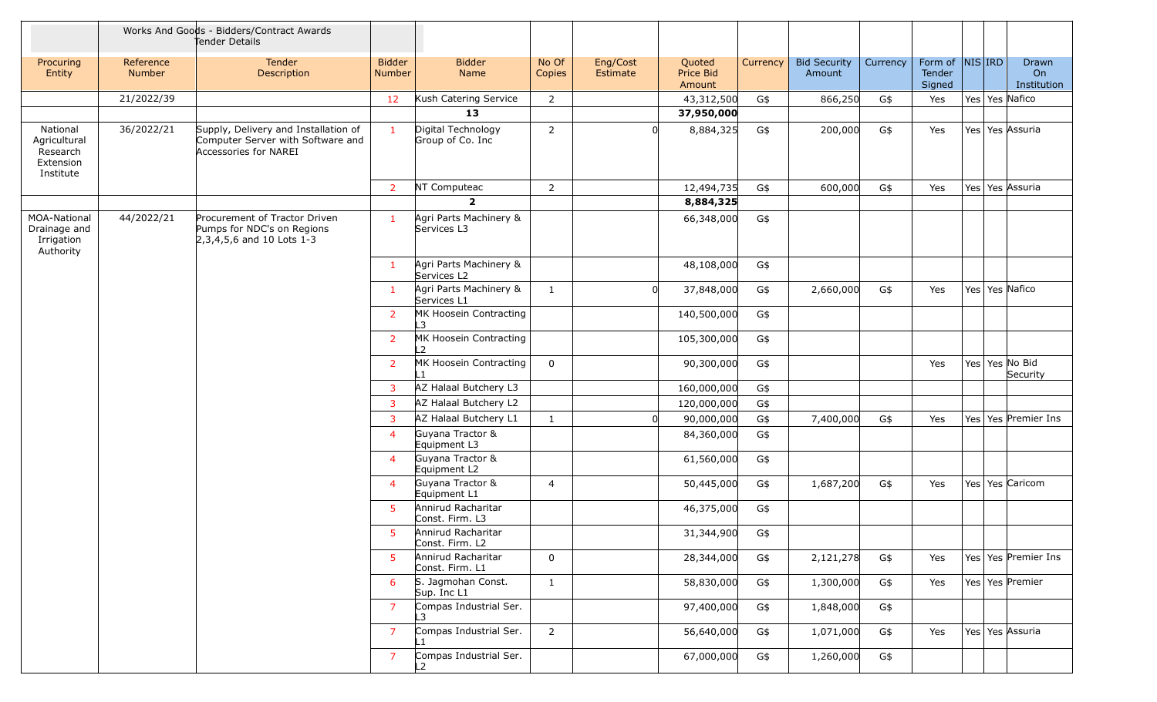|                                                                |                            | Works And Goods - Bidders/Contract Awards<br>Tender Details                                        |                                |                                        |                 |                      |                               |          |                               |          |                             |            |                            |
|----------------------------------------------------------------|----------------------------|----------------------------------------------------------------------------------------------------|--------------------------------|----------------------------------------|-----------------|----------------------|-------------------------------|----------|-------------------------------|----------|-----------------------------|------------|----------------------------|
| Procuring<br>Entity                                            | Reference<br><b>Number</b> | Tender<br>Description                                                                              | <b>Bidder</b><br><b>Number</b> | <b>Bidder</b><br>Name                  | No Of<br>Copies | Eng/Cost<br>Estimate | Quoted<br>Price Bid<br>Amount | Currency | <b>Bid Security</b><br>Amount | Currency | Form of<br>Tender<br>Signed | $NIS $ IRD | Drawn<br>On<br>Institution |
|                                                                | 21/2022/39                 |                                                                                                    | 12                             | Kush Catering Service                  | 2               |                      | 43,312,500                    | G\$      | 866,250                       | G\$      | Yes                         |            | Yes Yes Nafico             |
|                                                                |                            |                                                                                                    |                                | 13                                     |                 |                      | 37,950,000                    |          |                               |          |                             |            |                            |
| National<br>Agricultural<br>Research<br>Extension<br>Institute | 36/2022/21                 | Supply, Delivery and Installation of<br>Computer Server with Software and<br>Accessories for NAREI | $\mathbf{1}$                   | Digital Technology<br>Group of Co. Inc | 2               |                      | 8,884,325                     | G\$      | 200,000                       | G\$      | Yes                         |            | Yes Yes Assuria            |
|                                                                |                            |                                                                                                    | $\overline{2}$                 | NT Computeac                           | 2               |                      | 12,494,735                    | G\$      | 600,000                       | G\$      | Yes                         |            | Yes   Yes   Assuria        |
|                                                                |                            |                                                                                                    |                                | $\overline{2}$                         |                 |                      | 8,884,325                     |          |                               |          |                             |            |                            |
| <b>MOA-National</b><br>Drainage and<br>Irrigation<br>Authority | 44/2022/21                 | Procurement of Tractor Driven<br>Pumps for NDC's on Regions<br>$2,3,4,5,6$ and 10 Lots 1-3         | $\mathbf{1}$                   | Agri Parts Machinery &<br>Services L3  |                 |                      | 66,348,000                    | G\$      |                               |          |                             |            |                            |
|                                                                |                            |                                                                                                    | $\mathbf{1}$                   | Agri Parts Machinery &<br>Services L2  |                 |                      | 48,108,000                    | G\$      |                               |          |                             |            |                            |
|                                                                |                            |                                                                                                    | $\mathbf{1}$                   | Agri Parts Machinery &<br>Services L1  | 1               |                      | 37,848,000                    | G\$      | 2,660,000                     | G\$      | Yes                         |            | Yes Yes Nafico             |
|                                                                |                            |                                                                                                    | $\overline{2}$                 | MK Hoosein Contracting<br>L3           |                 |                      | 140,500,000                   | G\$      |                               |          |                             |            |                            |
|                                                                |                            |                                                                                                    | 2                              | MK Hoosein Contracting<br>12           |                 |                      | 105,300,000                   | G\$      |                               |          |                             |            |                            |
|                                                                |                            |                                                                                                    | $\overline{2}$                 | MK Hoosein Contracting                 | $\mathbf 0$     |                      | 90,300,000                    | G\$      |                               |          | Yes                         |            | Yes Yes No Bid<br>Security |
|                                                                |                            |                                                                                                    | $\overline{3}$                 | AZ Halaal Butchery L3                  |                 |                      | 160,000,000                   | G\$      |                               |          |                             |            |                            |
|                                                                |                            |                                                                                                    | 3                              | AZ Halaal Butchery L2                  |                 |                      | 120,000,000                   | G\$      |                               |          |                             |            |                            |
|                                                                |                            |                                                                                                    | 3                              | AZ Halaal Butchery L1                  | $\mathbf{1}$    |                      | 90,000,000                    | G\$      | 7,400,000                     | G\$      | Yes                         |            | Yes Yes Premier Ins        |
|                                                                |                            |                                                                                                    | $\overline{4}$                 | Guyana Tractor &<br>Equipment L3       |                 |                      | 84,360,000                    | G\$      |                               |          |                             |            |                            |
|                                                                |                            |                                                                                                    | $\overline{4}$                 | Guyana Tractor &<br>Equipment L2       |                 |                      | 61,560,000                    | G\$      |                               |          |                             |            |                            |
|                                                                |                            |                                                                                                    | $\overline{4}$                 | Guyana Tractor &<br>Equipment L1       | $\overline{4}$  |                      | 50,445,000                    | G\$      | 1,687,200                     | G\$      | Yes                         |            | Yes Yes Caricom            |
|                                                                |                            |                                                                                                    | 5                              | Annirud Racharitar<br>Const. Firm. L3  |                 |                      | 46,375,000                    | G\$      |                               |          |                             |            |                            |
|                                                                |                            |                                                                                                    | 5 <sup>1</sup>                 | Annirud Racharitar<br>Const. Firm. L2  |                 |                      | 31,344,900                    | G\$      |                               |          |                             |            |                            |
|                                                                |                            |                                                                                                    | 5                              | Annirud Racharitar<br>Const. Firm. L1  | $\mathbf 0$     |                      | 28,344,000                    | G\$      | 2,121,278                     | G\$      | Yes                         |            | Yes Yes Premier Ins        |
|                                                                |                            |                                                                                                    | 6                              | S. Jagmohan Const.<br>Sup. Inc L1      | $\mathbf{1}$    |                      | 58,830,000                    | G\$      | 1,300,000                     | G\$      | Yes                         |            | Yes Yes Premier            |
|                                                                |                            |                                                                                                    | $\overline{7}$                 | Compas Industrial Ser.<br>L3           |                 |                      | 97,400,000                    | G\$      | 1,848,000                     | G\$      |                             |            |                            |
|                                                                |                            |                                                                                                    | $\overline{7}$                 | Compas Industrial Ser.                 | $\overline{2}$  |                      | 56,640,000                    | G\$      | 1,071,000                     | G\$      | Yes                         |            | Yes Yes Assuria            |
|                                                                |                            |                                                                                                    | $\overline{7}$                 | Compas Industrial Ser.                 |                 |                      | 67,000,000                    | G\$      | 1,260,000                     | G\$      |                             |            |                            |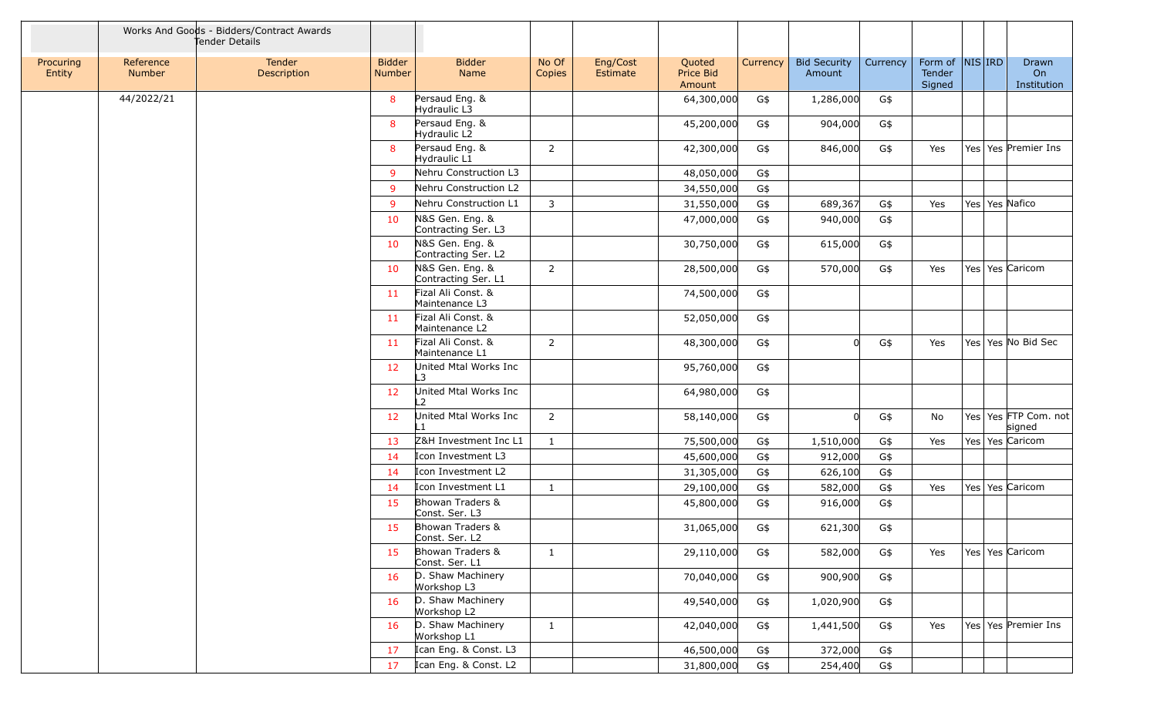|                     |                     | Works And Goods - Bidders/Contract Awards<br>Tender Details |                         |                                        |                 |                      |                               |          |                               |          |                                         |  |                                    |
|---------------------|---------------------|-------------------------------------------------------------|-------------------------|----------------------------------------|-----------------|----------------------|-------------------------------|----------|-------------------------------|----------|-----------------------------------------|--|------------------------------------|
| Procuring<br>Entity | Reference<br>Number | Tender<br>Description                                       | <b>Bidder</b><br>Number | <b>Bidder</b><br>Name                  | No Of<br>Copies | Eng/Cost<br>Estimate | Quoted<br>Price Bid<br>Amount | Currency | <b>Bid Security</b><br>Amount | Currency | Form of $ NIS $ IRD<br>Tender<br>Signed |  | Drawn<br>On<br>Institution         |
|                     | 44/2022/21          |                                                             | 8                       | Persaud Eng. &<br>Hydraulic L3         |                 |                      | 64,300,000                    | G\$      | 1,286,000                     | G\$      |                                         |  |                                    |
|                     |                     |                                                             | 8                       | Persaud Eng. &<br>Hydraulic L2         |                 |                      | 45,200,000                    | G\$      | 904,000                       | G\$      |                                         |  |                                    |
|                     |                     |                                                             | 8                       | Persaud Eng. &<br>Hydraulic L1         | $\overline{2}$  |                      | 42,300,000                    | G\$      | 846,000                       | G\$      | Yes                                     |  | Yes   Yes   Premier Ins            |
|                     |                     |                                                             | 9                       | Nehru Construction L3                  |                 |                      | 48,050,000                    | G\$      |                               |          |                                         |  |                                    |
|                     |                     |                                                             | 9                       | Nehru Construction L2                  |                 |                      | 34,550,000                    | G\$      |                               |          |                                         |  |                                    |
|                     |                     |                                                             | 9                       | Nehru Construction L1                  | 3               |                      | 31,550,000                    | G\$      | 689,367                       | G\$      | Yes                                     |  | Yes   Yes   Nafico                 |
|                     |                     |                                                             | 10                      | N&S Gen. Eng. &<br>Contracting Ser. L3 |                 |                      | 47,000,000                    | G\$      | 940,000                       | G\$      |                                         |  |                                    |
|                     |                     |                                                             | 10                      | N&S Gen. Eng. &<br>Contracting Ser. L2 |                 |                      | 30,750,000                    | G\$      | 615,000                       | G\$      |                                         |  |                                    |
|                     |                     |                                                             | 10                      | N&S Gen. Eng. &<br>Contracting Ser. L1 | 2               |                      | 28,500,000                    | G\$      | 570,000                       | G\$      | Yes                                     |  | Yes   Yes   Caricom                |
|                     |                     |                                                             | 11                      | Fizal Ali Const. &<br>Maintenance L3   |                 |                      | 74,500,000                    | G\$      |                               |          |                                         |  |                                    |
|                     |                     |                                                             | 11                      | Fizal Ali Const. &<br>Maintenance L2   |                 |                      | 52,050,000                    | G\$      |                               |          |                                         |  |                                    |
|                     |                     |                                                             | 11                      | Fizal Ali Const. &<br>Maintenance L1   | $\overline{2}$  |                      | 48,300,000                    | G\$      |                               | G\$      | Yes                                     |  | Yes Yes No Bid Sec                 |
|                     |                     |                                                             | 12                      | United Mtal Works Inc<br>$\mathbf{B}$  |                 |                      | 95,760,000                    | G\$      |                               |          |                                         |  |                                    |
|                     |                     |                                                             | 12                      | United Mtal Works Inc                  |                 |                      | 64,980,000                    | G\$      |                               |          |                                         |  |                                    |
|                     |                     |                                                             | 12                      | United Mtal Works Inc                  | $\overline{2}$  |                      | 58,140,000                    | G\$      | 0l                            | G\$      | No                                      |  | Yes   Yes   FTP Com. not<br>signed |
|                     |                     |                                                             | 13                      | Z&H Investment Inc L1                  | $\mathbf{1}$    |                      | 75,500,000                    | G\$      | 1,510,000                     | G\$      | Yes                                     |  | Yes Yes Caricom                    |
|                     |                     |                                                             | 14                      | Icon Investment L3                     |                 |                      | 45,600,000                    | G\$      | 912,000                       | G\$      |                                         |  |                                    |
|                     |                     |                                                             | 14                      | Icon Investment L2                     |                 |                      | 31,305,000                    | G\$      | 626,100                       | G\$      |                                         |  |                                    |
|                     |                     |                                                             | 14                      | Icon Investment L1                     | -1              |                      | 29,100,000                    | G\$      | 582,000                       | G\$      | Yes                                     |  | Yes Yes Caricom                    |
|                     |                     |                                                             | 15                      | Bhowan Traders &<br>Const. Ser. L3     |                 |                      | 45,800,000                    | G\$      | 916,000                       | G\$      |                                         |  |                                    |
|                     |                     |                                                             | 15                      | Bhowan Traders &<br>Const. Ser. L2     |                 |                      | 31,065,000                    | G\$      | 621,300                       | G\$      |                                         |  |                                    |
|                     |                     |                                                             | 15                      | Bhowan Traders &<br>Const. Ser. L1     | 1               |                      | 29,110,000                    | G\$      | 582,000                       | G\$      | Yes                                     |  | Yes Yes Caricom                    |
|                     |                     |                                                             | 16                      | D. Shaw Machinery<br>Workshop L3       |                 |                      | 70,040,000                    | G\$      | 900,900                       | G\$      |                                         |  |                                    |
|                     |                     |                                                             | 16                      | D. Shaw Machinery<br>Workshop L2       |                 |                      | 49,540,000                    | G\$      | 1,020,900                     | G\$      |                                         |  |                                    |
|                     |                     |                                                             | 16                      | D. Shaw Machinery<br>Workshop L1       | 1               |                      | 42,040,000                    | G\$      | 1,441,500                     | G\$      | Yes                                     |  | Yes Yes Premier Ins                |
|                     |                     |                                                             | 17                      | Ican Eng. & Const. L3                  |                 |                      | 46,500,000                    | G\$      | 372,000                       | G\$      |                                         |  |                                    |
|                     |                     |                                                             | 17                      | Ican Eng. & Const. L2                  |                 |                      | 31,800,000                    | G\$      | 254,400                       | G\$      |                                         |  |                                    |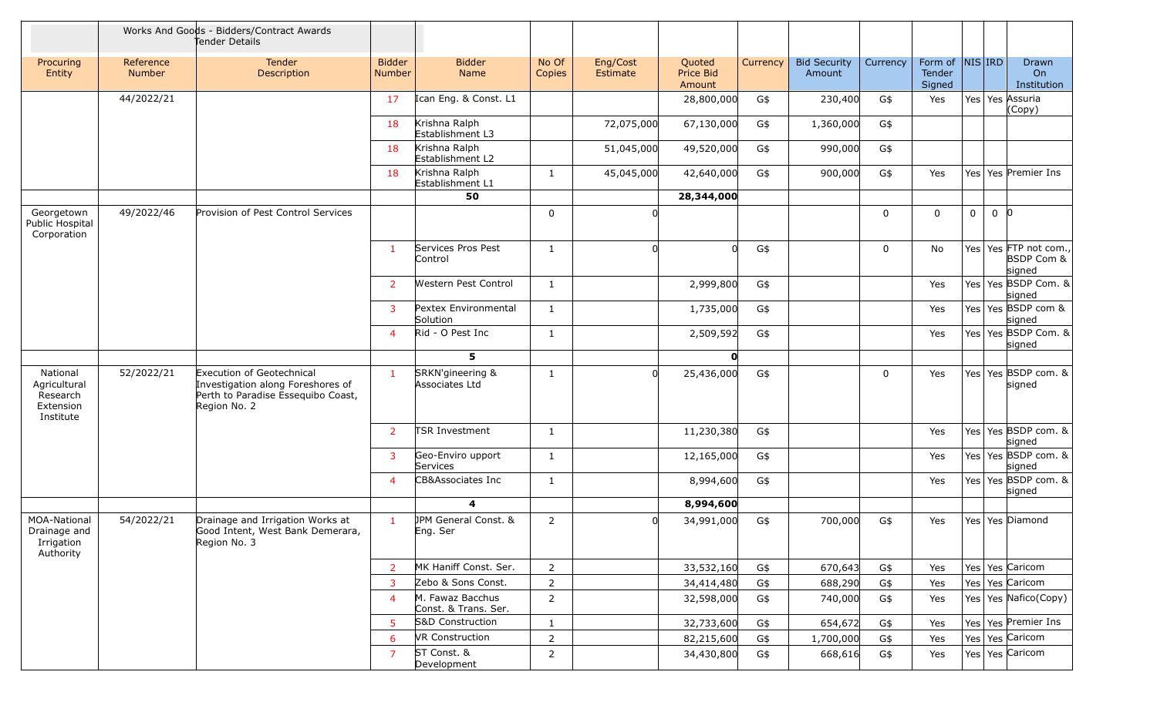|                                                                |                            | Works And Goods - Bidders/Contract Awards<br>Tender Details                                                                 |                                |                                          |                 |                      |                               |          |                               |             |                                      |   |       |                                                          |
|----------------------------------------------------------------|----------------------------|-----------------------------------------------------------------------------------------------------------------------------|--------------------------------|------------------------------------------|-----------------|----------------------|-------------------------------|----------|-------------------------------|-------------|--------------------------------------|---|-------|----------------------------------------------------------|
| Procuring<br>Entity                                            | Reference<br><b>Number</b> | Tender<br>Description                                                                                                       | <b>Bidder</b><br><b>Number</b> | <b>Bidder</b><br>Name                    | No Of<br>Copies | Eng/Cost<br>Estimate | Quoted<br>Price Bid<br>Amount | Currency | <b>Bid Security</b><br>Amount | Currency    | Form of  NIS IRD<br>Tender<br>Signed |   |       | Drawn<br>On<br>Institution                               |
|                                                                | 44/2022/21                 |                                                                                                                             | 17                             | Ican Eng. & Const. L1                    |                 |                      | 28,800,000                    | G\$      | 230,400                       | G\$         | Yes                                  |   |       | Yes Yes Assuria<br>(Copy)                                |
|                                                                |                            |                                                                                                                             | 18                             | Krishna Ralph<br>Establishment L3        |                 | 72,075,000           | 67,130,000                    | G\$      | 1,360,000                     | G\$         |                                      |   |       |                                                          |
|                                                                |                            |                                                                                                                             | 18                             | Krishna Ralph<br>Establishment L2        |                 | 51,045,000           | 49,520,000                    | G\$      | 990,000                       | G\$         |                                      |   |       |                                                          |
|                                                                |                            |                                                                                                                             | 18                             | Krishna Ralph<br>Establishment L1        | $\mathbf{1}$    | 45,045,000           | 42,640,000                    | G\$      | 900,000                       | G\$         | Yes                                  |   |       | Yes Yes Premier Ins                                      |
|                                                                |                            |                                                                                                                             |                                | 50                                       |                 |                      | 28,344,000                    |          |                               |             |                                      |   |       |                                                          |
| Georgetown<br>Public Hospital<br>Corporation                   | 49/2022/46                 | Provision of Pest Control Services                                                                                          |                                |                                          | 0               |                      |                               |          |                               | $\mathbf 0$ | $\mathbf 0$                          | 0 | $0$ 0 |                                                          |
|                                                                |                            |                                                                                                                             | $\mathbf{1}$                   | Services Pros Pest<br>Control            | $\mathbf{1}$    | U                    | $\Omega$                      | G\$      |                               | $\mathbf 0$ | No                                   |   |       | Yes Yes FTP not com.,<br><b>BSDP Com &amp;</b><br>signed |
|                                                                |                            |                                                                                                                             | $\overline{2}$                 | Western Pest Control                     | 1               |                      | 2,999,800                     | G\$      |                               |             | Yes                                  |   |       | Yes Yes BSDP Com. &<br>signed                            |
|                                                                |                            |                                                                                                                             | 3                              | Pextex Environmental<br>Solution         | 1               |                      | 1,735,000                     | G\$      |                               |             | Yes                                  |   |       | Yes Yes BSDP com &<br>signed                             |
|                                                                |                            |                                                                                                                             | $\overline{4}$                 | Rid - O Pest Inc                         | $\mathbf{1}$    |                      | 2,509,592                     | G\$      |                               |             | Yes                                  |   |       | Yes Yes BSDP Com. &<br>signed                            |
|                                                                |                            |                                                                                                                             |                                | 5                                        |                 |                      | $\mathbf{0}$                  |          |                               |             |                                      |   |       |                                                          |
| National<br>Agricultural<br>Research<br>Extension<br>Institute | 52/2022/21                 | <b>Execution of Geotechnical</b><br>Investigation along Foreshores of<br>Perth to Paradise Essequibo Coast,<br>Region No. 2 | $\mathbf{1}$                   | SRKN'gineering &<br>Associates Ltd       | $\mathbf{1}$    | <sub>0</sub>         | 25,436,000                    | G\$      |                               | $\mathbf 0$ | Yes                                  |   |       | Yes Yes BSDP com. &<br>signed                            |
|                                                                |                            |                                                                                                                             | $\overline{2}$                 | <b>TSR Investment</b>                    | $\mathbf{1}$    |                      | 11,230,380                    | G\$      |                               |             | Yes                                  |   |       | Yes Yes BSDP com. &<br>signed                            |
|                                                                |                            |                                                                                                                             | $\overline{3}$                 | Geo-Enviro upport<br>Services            | $\mathbf{1}$    |                      | 12,165,000                    | G\$      |                               |             | Yes                                  |   |       | Yes Yes BSDP com. &<br>signed                            |
|                                                                |                            |                                                                                                                             | $\overline{4}$                 | CB&Associates Inc                        | 1               |                      | 8,994,600                     | G\$      |                               |             | Yes                                  |   |       | Yes Yes BSDP com. &<br>signed                            |
|                                                                |                            |                                                                                                                             |                                | 4                                        |                 |                      | 8,994,600                     |          |                               |             |                                      |   |       |                                                          |
| MOA-National<br>Drainage and<br>Irrigation<br>Authority        | 54/2022/21                 | Drainage and Irrigation Works at<br>Good Intent, West Bank Demerara,<br>Region No. 3                                        | $\mathbf{1}$                   | JPM General Const. &<br>Eng. Ser         | $\overline{2}$  | <sup>n</sup>         | 34,991,000                    | G\$      | 700,000                       | G\$         | Yes                                  |   |       | Yes   Yes   Diamond                                      |
|                                                                |                            |                                                                                                                             | $\overline{2}$                 | MK Haniff Const. Ser.                    | $\overline{2}$  |                      | 33,532,160                    | G\$      | 670,643                       | G\$         | Yes                                  |   |       | Yes Yes Caricom                                          |
|                                                                |                            |                                                                                                                             | 3                              | Zebo & Sons Const.                       | $\overline{2}$  |                      | 34,414,480                    | G\$      | 688,290                       | G\$         | Yes                                  |   |       | Yes Yes Caricom                                          |
|                                                                |                            |                                                                                                                             | $\overline{4}$                 | M. Fawaz Bacchus<br>Const. & Trans. Ser. | $\overline{2}$  |                      | 32,598,000                    | G\$      | 740,000                       | G\$         | Yes                                  |   |       | Yes Yes Nafico(Copy)                                     |
|                                                                |                            |                                                                                                                             | $\overline{5}$                 | S&D Construction                         | $\mathbf{1}$    |                      | 32,733,600                    | G\$      | 654,672                       | G\$         | Yes                                  |   |       | Yes Yes Premier Ins                                      |
|                                                                |                            |                                                                                                                             | -6                             | VR Construction                          | $\overline{2}$  |                      | 82,215,600                    | G\$      | 1,700,000                     | G\$         | Yes                                  |   |       | Yes Yes Caricom                                          |
|                                                                |                            |                                                                                                                             | $\overline{7}$                 | ST Const. &<br>Development               | $\overline{2}$  |                      | 34,430,800                    | G\$      | 668,616                       | G\$         | Yes                                  |   |       | Yes   Yes   Caricom                                      |